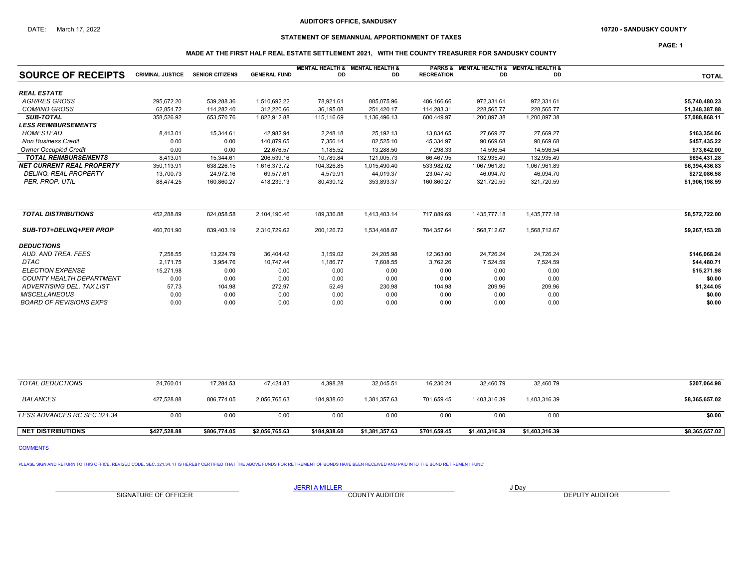## DATE: March 17, 2022 **SANDUSKY COUNTY 10720 - SANDUSKY COUNTY**

## STATEMENT OF SEMIANNUAL APPORTIONMENT OF TAXES

PAGE: 1

### MADE AT THE FIRST HALF REAL ESTATE SETTLEMENT 2021, WITH THE COUNTY TREASURER FOR SANDUSKY COUNTY

|                                  |                         |                        |                     |            | MENTAL HEALTH & MENTAL HEALTH & |                   | PARKS & MENTAL HEALTH & MENTAL HEALTH & |              |                |
|----------------------------------|-------------------------|------------------------|---------------------|------------|---------------------------------|-------------------|-----------------------------------------|--------------|----------------|
| <b>SOURCE OF RECEIPTS</b>        | <b>CRIMINAL JUSTICE</b> | <b>SENIOR CITIZENS</b> | <b>GENERAL FUND</b> | DD         | DD                              | <b>RECREATION</b> | DD                                      | DD           | <b>TOTAL</b>   |
| <b>REAL ESTATE</b>               |                         |                        |                     |            |                                 |                   |                                         |              |                |
| <b>AGR/RES GROSS</b>             | 295,672.20              | 539,288.36             | 1,510,692.22        | 78,921.61  | 885,075.96                      | 486,166.66        | 972,331.61                              | 972,331.61   | \$5,740,480.23 |
| <b>COM/IND GROSS</b>             | 62,854.72               | 114,282.40             | 312,220.66          | 36,195.08  | 251,420.17                      | 114,283.31        | 228,565.77                              | 228,565.77   | \$1,348,387.88 |
| <b>SUB-TOTAL</b>                 | 358,526.92              | 653,570.76             | 1,822,912.88        | 115,116.69 | 1,136,496.13                    | 600,449.97        | 1,200,897.38                            | 1,200,897.38 | \$7,088,868.11 |
| <b>LESS REIMBURSEMENTS</b>       |                         |                        |                     |            |                                 |                   |                                         |              |                |
| <b>HOMESTEAD</b>                 | 8,413.01                | 15,344.61              | 42,982.94           | 2,248.18   | 25,192.13                       | 13,834.65         | 27,669.27                               | 27,669.27    | \$163,354.06   |
| <b>Non Business Credit</b>       | 0.00                    | 0.00                   | 140,879.65          | 7,356.14   | 82,525.10                       | 45,334.97         | 90,669.68                               | 90,669.68    | \$457,435.22   |
| <b>Owner Occupied Credit</b>     | 0.00                    | 0.00                   | 22,676.57           | 1,185.52   | 13,288.50                       | 7,298.33          | 14,596.54                               | 14,596.54    | \$73,642.00    |
| <b>TOTAL REIMBURSEMENTS</b>      | 8,413.01                | 15,344.61              | 206,539.16          | 10,789.84  | 121,005.73                      | 66,467.95         | 132,935.49                              | 132,935.49   | \$694,431.28   |
| <b>NET CURRENT REAL PROPERTY</b> | 350,113.91              | 638,226.15             | 1,616,373.72        | 104,326.85 | 1,015,490.40                    | 533,982.02        | 1,067,961.89                            | 1,067,961.89 | \$6,394,436.83 |
| DELINQ. REAL PROPERTY            | 13,700.73               | 24,972.16              | 69,577.61           | 4,579.91   | 44,019.37                       | 23,047.40         | 46,094.70                               | 46,094.70    | \$272,086.58   |
| PER. PROP. UTIL                  | 88,474.25               | 160,860.27             | 418,239.13          | 80,430.12  | 353,893.37                      | 160,860.27        | 321,720.59                              | 321,720.59   | \$1,906,198.59 |
| <b>TOTAL DISTRIBUTIONS</b>       | 452,288.89              | 824,058.58             | 2,104,190.46        | 189,336.88 | 1,413,403.14                    | 717,889.69        | 1,435,777.18                            | 1,435,777.18 | \$8,572,722.00 |
| <b>SUB-TOT+DELINQ+PER PROP</b>   | 460.701.90              | 839.403.19             | 2,310,729.62        | 200,126.72 | 1,534,408.87                    | 784.357.64        | 1.568.712.67                            | 1.568.712.67 | \$9,267,153.28 |
| <b>DEDUCTIONS</b>                |                         |                        |                     |            |                                 |                   |                                         |              |                |
| AUD, AND TREA, FEES              | 7,258.55                | 13,224.79              | 36,404.42           | 3,159.02   | 24,205.98                       | 12,363.00         | 24,726.24                               | 24,726.24    | \$146,068.24   |
| <b>DTAC</b>                      | 2.171.75                | 3,954.76               | 10,747.44           | 1,186.77   | 7,608.55                        | 3,762.26          | 7,524.59                                | 7,524.59     | \$44,480.71    |
| <b>ELECTION EXPENSE</b>          | 15.271.98               | 0.00                   | 0.00                | 0.00       | 0.00                            | 0.00              | 0.00                                    | 0.00         | \$15,271.98    |
| <b>COUNTY HEALTH DEPARTMENT</b>  | 0.00                    | 0.00                   | 0.00                | 0.00       | 0.00                            | 0.00              | 0.00                                    | 0.00         | \$0.00         |
| <b>ADVERTISING DEL. TAX LIST</b> | 57.73                   | 104.98                 | 272.97              | 52.49      | 230.98                          | 104.98            | 209.96                                  | 209.96       | \$1,244.05     |
| <b>MISCELLANEOUS</b>             | 0.00                    | 0.00                   | 0.00                | 0.00       | 0.00                            | 0.00              | 0.00                                    | 0.00         | \$0.00         |
| <b>BOARD OF REVISIONS EXPS</b>   | 0.00                    | 0.00                   | 0.00                | 0.00       | 0.00                            | 0.00              | 0.00                                    | 0.00         | \$0.00         |

| <b>NET DISTRIBUTIONS</b>    | \$427,528.88 | \$806,774.05 | \$2,056,765.63 | \$184,938.60 | \$1,381,357.63 | \$701,659.45 | \$1,403,316.39 | \$1,403,316.39 | \$8,365,657.02 |
|-----------------------------|--------------|--------------|----------------|--------------|----------------|--------------|----------------|----------------|----------------|
| LESS ADVANCES RC SEC 321.34 | 0.00         | 0.00         | 0.00           | 0.00         | 0.00           | 0.00         | 0.00           | 0.00           | \$0.00         |
| BALANCES                    | 427.528.88   | 806,774.05   | 2,056,765.63   | 184.938.60   | 1.381.357.63   | 701.659.45   | 1.403.316.39   | 1,403,316.39   | \$8,365,657.02 |
| TOTAL DEDUCTIONS            | 24.760.01    | 17.284.53    | 47.424.83      | 4,398.28     | 32.045.51      | 16.230.24    | 32,460.79      | 32,460.79      | \$207,064.98   |

COMMENTS

PLEASE SIGN AND RETURN TO THIS OFFICE, REVISED CODE, SEC. 321.34. 'IT IS HEREBY CERTIFIED THAT THE ABOVE FUNDS FOR RETIREMENT OF BONDS HAVE BEEN RECEIVED AND PAID INTO THE BOND RETIREMENT FUND'

SIGNATURE OF OFFICER **EXECUTE A COUNTY AUDITOR** COUNTY AUDITOR **DEPUTY AUDITOR** 

JERRI A MILLER COUNTY AUDITOR **JUDAN AND A SERVIT A**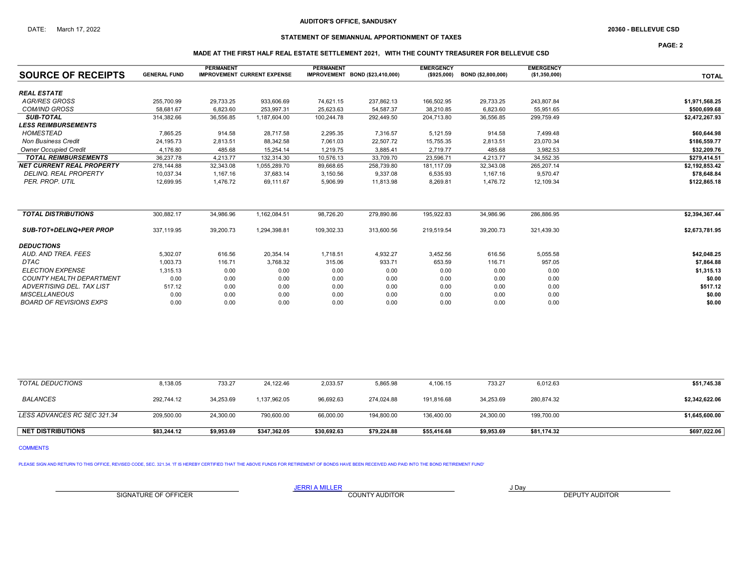## STATEMENT OF SEMIANNUAL APPORTIONMENT OF TAXES

PAGE: 2

### MADE AT THE FIRST HALF REAL ESTATE SETTLEMENT 2021, WITH THE COUNTY TREASURER FOR BELLEVUE CSD

| <b>SOURCE OF RECEIPTS</b>        | <b>GENERAL FUND</b> | <b>PERMANENT</b> | <b>IMPROVEMENT CURRENT EXPENSE</b> | <b>PERMANENT</b> | IMPROVEMENT BOND (\$23,410,000) | <b>EMERGENCY</b><br>( \$925,000) | BOND (\$2,800,000) | <b>EMERGENCY</b><br>(\$1,350,000) |                |
|----------------------------------|---------------------|------------------|------------------------------------|------------------|---------------------------------|----------------------------------|--------------------|-----------------------------------|----------------|
|                                  |                     |                  |                                    |                  |                                 |                                  |                    |                                   | <b>TOTAL</b>   |
| <b>REAL ESTATE</b>               |                     |                  |                                    |                  |                                 |                                  |                    |                                   |                |
| <b>AGR/RES GROSS</b>             | 255,700.99          | 29,733.25        | 933,606.69                         | 74,621.15        | 237,862.13                      | 166,502.95                       | 29,733.25          | 243,807.84                        | \$1,971,568.25 |
| <b>COM/IND GROSS</b>             | 58.681.67           | 6,823.60         | 253,997.31                         | 25,623.63        | 54,587.37                       | 38,210.85                        | 6,823.60           | 55,951.65                         | \$500,699.68   |
| <b>SUB-TOTAL</b>                 | 314,382.66          | 36,556.85        | 1,187,604.00                       | 100,244.78       | 292,449.50                      | 204,713.80                       | 36,556.85          | 299,759.49                        | \$2,472,267.93 |
| <b>LESS REIMBURSEMENTS</b>       |                     |                  |                                    |                  |                                 |                                  |                    |                                   |                |
| <b>HOMESTEAD</b>                 | 7,865.25            | 914.58           | 28,717.58                          | 2,295.35         | 7,316.57                        | 5,121.59                         | 914.58             | 7,499.48                          | \$60,644.98    |
| <b>Non Business Credit</b>       | 24,195.73           | 2,813.51         | 88,342.58                          | 7,061.03         | 22,507.72                       | 15,755.35                        | 2,813.51           | 23,070.34                         | \$186,559.77   |
| <b>Owner Occupied Credit</b>     | 4.176.80            | 485.68           | 15,254.14                          | 1,219.75         | 3,885.41                        | 2,719.77                         | 485.68             | 3,982.53                          | \$32,209.76    |
| <b>TOTAL REIMBURSEMENTS</b>      | 36,237.78           | 4,213.77         | 132,314.30                         | 10,576.13        | 33,709.70                       | 23,596.71                        | 4,213.77           | 34,552.35                         | \$279,414.51   |
| <b>NET CURRENT REAL PROPERTY</b> | 278,144.88          | 32.343.08        | 1,055,289.70                       | 89,668.65        | 258,739.80                      | 181.117.09                       | 32,343.08          | 265.207.14                        | \$2,192,853.42 |
| <b>DELINQ. REAL PROPERTY</b>     | 10,037.34           | 1,167.16         | 37,683.14                          | 3,150.56         | 9,337.08                        | 6,535.93                         | 1,167.16           | 9,570.47                          | \$78,648.84    |
| PER. PROP. UTIL                  | 12,699.95           | 1,476.72         | 69,111.67                          | 5,906.99         | 11,813.98                       | 8,269.81                         | 1,476.72           | 12,109.34                         | \$122,865.18   |
|                                  |                     |                  |                                    |                  |                                 |                                  |                    |                                   |                |
| <b>TOTAL DISTRIBUTIONS</b>       | 300,882.17          | 34,986.96        | 1,162,084.51                       | 98,726.20        | 279,890.86                      | 195,922.83                       | 34,986.96          | 286,886.95                        | \$2,394,367.44 |
| <b>SUB-TOT+DELINQ+PER PROP</b>   | 337,119.95          | 39,200.73        | 1,294,398.81                       | 109,302.33       | 313,600.56                      | 219,519.54                       | 39,200.73          | 321,439.30                        | \$2,673,781.95 |
| <b>DEDUCTIONS</b>                |                     |                  |                                    |                  |                                 |                                  |                    |                                   |                |
| AUD. AND TREA. FEES              | 5.302.07            | 616.56           | 20,354.14                          | 1,718.51         | 4,932.27                        | 3,452.56                         | 616.56             | 5,055.58                          | \$42,048.25    |
| <b>DTAC</b>                      | 1,003.73            | 116.71           | 3,768.32                           | 315.06           | 933.71                          | 653.59                           | 116.71             | 957.05                            | \$7,864.88     |
| <b>ELECTION EXPENSE</b>          | 1.315.13            | 0.00             | 0.00                               | 0.00             | 0.00                            | 0.00                             | 0.00               | 0.00                              | \$1,315.13     |
| <b>COUNTY HEALTH DEPARTMENT</b>  | 0.00                | 0.00             | 0.00                               | 0.00             | 0.00                            | 0.00                             | 0.00               | 0.00                              | \$0.00         |
| ADVERTISING DEL. TAX LIST        | 517.12              | 0.00             | 0.00                               | 0.00             | 0.00                            | 0.00                             | 0.00               | 0.00                              | \$517.12       |
| <b>MISCELLANEOUS</b>             | 0.00                | 0.00             | 0.00                               | 0.00             | 0.00                            | 0.00                             | 0.00               | 0.00                              | \$0.00         |
| <b>BOARD OF REVISIONS EXPS</b>   | 0.00                | 0.00             | 0.00                               | 0.00             | 0.00                            | 0.00                             | 0.00               | 0.00                              | \$0.00         |

| TOTAL DEDUCTIONS            | 8,138.05    | 733.27     | 24,122.46    | 2,033.57    | 5,865.98    | 4,106.15    | 733.27     | 6,012.63    | \$51,745.38    |
|-----------------------------|-------------|------------|--------------|-------------|-------------|-------------|------------|-------------|----------------|
| BALANCES                    | 292.744.12  | 34.253.69  | 1,137,962.05 | 96.692.63   | 274.024.88  | 191.816.68  | 34.253.69  | 280,874.32  | \$2,342,622.06 |
| LESS ADVANCES RC SEC 321.34 | 209,500.00  | 24,300.00  | 790,600.00   | 66,000.00   | 194,800.00  | 136,400.00  | 24,300.00  | 199,700.00  | \$1,645,600.00 |
| <b>NET DISTRIBUTIONS</b>    | \$83.244.12 | \$9,953.69 | \$347,362.05 | \$30,692.63 | \$79,224.88 | \$55,416.68 | \$9,953.69 | \$81,174.32 | \$697,022.06   |

COMMENTS

PLEASE SIGN AND RETURN TO THIS OFFICE, REVISED CODE, SEC. 321.34. 'IT IS HEREBY CERTIFIED THAT THE ABOVE FUNDS FOR RETIREMENT OF BONDS HAVE BEEN RECEIVED AND PAID INTO THE BOND RETIREMENT FUND'

SIGNATURE OF OFFICER **EXECUTE A RELATION COUNTY AUDITOR** COUNTY AUDITOR **DEPUTY AUDITOR** 

JERRI A MILLER COUNTY AUDITOR **Fig. 1998**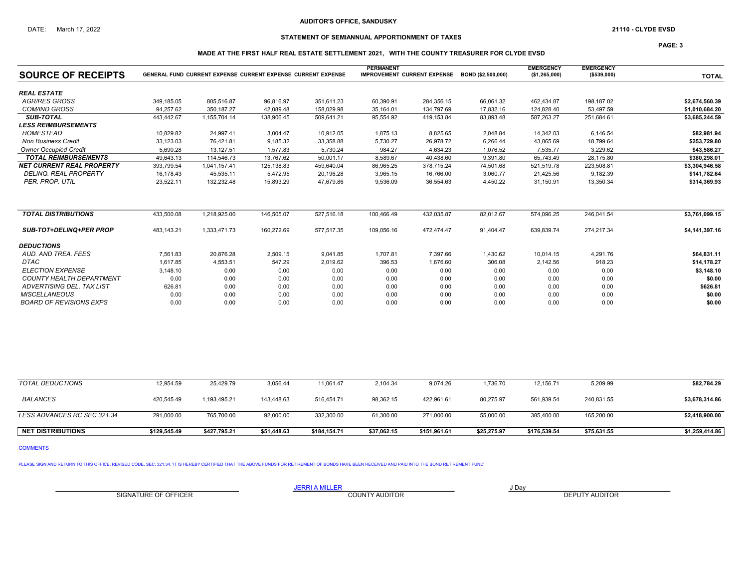## STATEMENT OF SEMIANNUAL APPORTIONMENT OF TAXES

PAGE: 3

### MADE AT THE FIRST HALF REAL ESTATE SETTLEMENT 2021, WITH THE COUNTY TREASURER FOR CLYDE EVSD

|                                  |            |                                                              |             |            | <b>PERMANENT</b>                   |            |                    | <b>EMERGENCY</b> | <b>EMERGENCY</b> |                |
|----------------------------------|------------|--------------------------------------------------------------|-------------|------------|------------------------------------|------------|--------------------|------------------|------------------|----------------|
| <b>SOURCE OF RECEIPTS</b>        |            | GENERAL FUND CURRENT EXPENSE CURRENT EXPENSE CURRENT EXPENSE |             |            | <b>IMPROVEMENT CURRENT EXPENSE</b> |            | BOND (\$2.500.000) | (\$1,265,000)    | (\$539,000)      | <b>TOTAL</b>   |
| <b>REAL ESTATE</b>               |            |                                                              |             |            |                                    |            |                    |                  |                  |                |
| <b>AGR/RES GROSS</b>             | 349,185.05 | 805,516.87                                                   | 96,816.97   | 351,611.23 | 60,390.91                          | 284,356.15 | 66,061.32          | 462,434.87       | 198,187.02       | \$2,674,560.39 |
| <b>COM/IND GROSS</b>             | 94.257.62  | 350, 187.27                                                  | 42,089.48   | 158,029.98 | 35,164.01                          | 134,797.69 | 17,832.16          | 124,828.40       | 53,497.59        | \$1,010,684.20 |
| <b>SUB-TOTAL</b>                 | 443,442.67 | 1,155,704.14                                                 | 138,906.45  | 509,641.21 | 95,554.92                          | 419,153.84 | 83,893.48          | 587,263.27       | 251,684.61       | \$3,685,244.59 |
| <b>LESS REIMBURSEMENTS</b>       |            |                                                              |             |            |                                    |            |                    |                  |                  |                |
| <b>HOMESTEAD</b>                 | 10,829.82  | 24,997.41                                                    | 3,004.47    | 10,912.05  | 1,875.13                           | 8,825.65   | 2,048.84           | 14,342.03        | 6,146.54         | \$82,981.94    |
| <b>Non Business Credit</b>       | 33,123.03  | 76.421.81                                                    | 9,185.32    | 33,358.88  | 5,730.27                           | 26,978.72  | 6,266.44           | 43,865.69        | 18.799.64        | \$253,729.80   |
| <b>Owner Occupied Credit</b>     | 5.690.28   | 13.127.51                                                    | 1.577.83    | 5,730.24   | 984.27                             | 4,634.23   | 1,076.52           | 7.535.77         | 3.229.62         | \$43,586.27    |
| <b>TOTAL REIMBURSEMENTS</b>      | 49,643.13  | 114.546.73                                                   | 13.767.62   | 50,001.17  | 8,589.67                           | 40,438.60  | 9,391.80           | 65.743.49        | 28,175.80        | \$380,298.01   |
| <b>NET CURRENT REAL PROPERTY</b> | 393,799.54 | 1,041,157.41                                                 | 125, 138.83 | 459,640.04 | 86,965.25                          | 378,715.24 | 74,501.68          | 521,519.78       | 223,508.81       | \$3,304,946.58 |
| <b>DELINQ, REAL PROPERTY</b>     | 16.178.43  | 45,535.11                                                    | 5,472.95    | 20,196.28  | 3,965.15                           | 16,766.00  | 3,060.77           | 21,425.56        | 9,182.39         | \$141,782.64   |
| PER. PROP. UTIL                  | 23,522.11  | 132,232.48                                                   | 15,893.29   | 47,679.86  | 9,536.09                           | 36,554.63  | 4,450.22           | 31,150.91        | 13,350.34        | \$314,369.93   |
| <b>TOTAL DISTRIBUTIONS</b>       | 433.500.08 | 1.218.925.00                                                 | 146.505.07  | 527,516.18 | 100.466.49                         | 432.035.87 | 82.012.67          | 574.096.25       | 246.041.54       | \$3.761.099.15 |
| <b>SUB-TOT+DELINQ+PER PROP</b>   | 483,143.21 | 1,333,471.73                                                 | 160,272.69  | 577,517.35 | 109,056.16                         | 472,474.47 | 91,404.47          | 639,839.74       | 274,217.34       | \$4,141,397.16 |
| <b>DEDUCTIONS</b>                |            |                                                              |             |            |                                    |            |                    |                  |                  |                |
| AUD. AND TREA. FEES              | 7.561.83   | 20,876.28                                                    | 2,509.15    | 9,041.85   | 1,707.81                           | 7.397.66   | 1,430.62           | 10,014.15        | 4,291.76         | \$64,831.11    |
| <b>DTAC</b>                      | 1,617.85   | 4,553.51                                                     | 547.29      | 2,019.62   | 396.53                             | 1,676.60   | 306.08             | 2,142.56         | 918.23           | \$14,178.27    |
| <b>ELECTION EXPENSE</b>          | 3,148.10   | 0.00                                                         | 0.00        | 0.00       | 0.00                               | 0.00       | 0.00               | 0.00             | 0.00             | \$3,148.10     |
| <b>COUNTY HEALTH DEPARTMENT</b>  | 0.00       | 0.00                                                         | 0.00        | 0.00       | 0.00                               | 0.00       | 0.00               | 0.00             | 0.00             | \$0.00         |
| ADVERTISING DEL. TAX LIST        | 626.81     | 0.00                                                         | 0.00        | 0.00       | 0.00                               | 0.00       | 0.00               | 0.00             | 0.00             | \$626.81       |
| <b>MISCELLANEOUS</b>             | 0.00       | 0.00                                                         | 0.00        | 0.00       | 0.00                               | 0.00       | 0.00               | 0.00             | 0.00             | \$0.00         |
| <b>BOARD OF REVISIONS EXPS</b>   | 0.00       | 0.00                                                         | 0.00        | 0.00       | 0.00                               | 0.00       | 0.00               | 0.00             | 0.00             | \$0.00         |

| <b>NET DISTRIBUTIONS</b>    | \$129.545.49 | \$427.795.21 | \$51.448.63 | \$184.154.71 | \$37.062.15 | \$151.961.61 | \$25.275.97 | \$176.539.54 | \$75,631.55 | \$1,259,414.86 |
|-----------------------------|--------------|--------------|-------------|--------------|-------------|--------------|-------------|--------------|-------------|----------------|
| LESS ADVANCES RC SEC 321.34 | 291,000.00   | 765,700.00   | 92.000.00   | 332.300.00   | 61,300.00   | 271.000.00   | 55,000.00   | 385.400.00   | 165,200.00  | \$2,418,900.00 |
| <b>BALANCES</b>             | 420,545.49   | 1,193,495.21 | 143,448.63  | 516,454.71   | 98,362.15   | 422,961.61   | 80,275.97   | 561,939.54   | 240,831.55  | \$3,678,314.86 |
| TOTAL DEDUCTIONS            | 12,954.59    | 25,429.79    | 3,056.44    | 11,061.47    | 2,104.34    | 9,074.26     | 1,736.70    | 12,156.71    | 5,209.99    | \$82,784.29    |
|                             |              |              |             |              |             |              |             |              |             |                |

COMMENTS

PLEASE SIGN AND RETURN TO THIS OFFICE, REVISED CODE, SEC. 321.34. 'IT IS HEREBY CERTIFIED THAT THE ABOVE FUNDS FOR RETIREMENT OF BONDS HAVE BEEN RECEIVED AND PAID INTO THE BOND RETIREMENT FUND'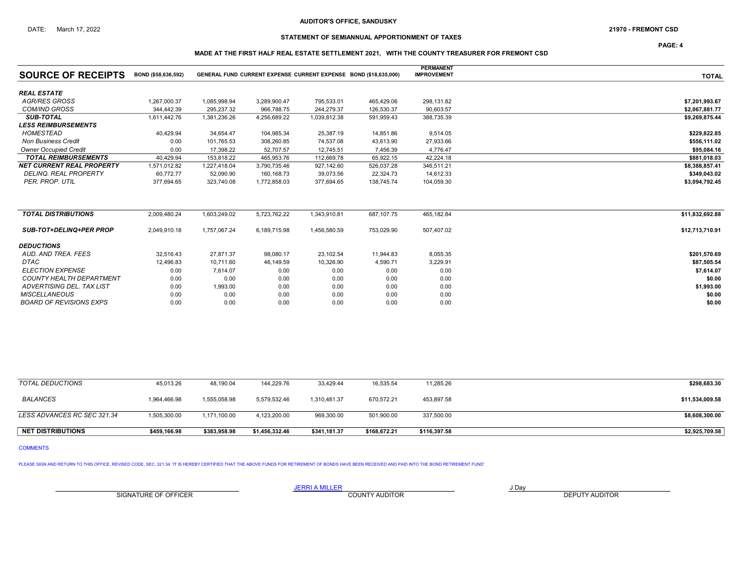## STATEMENT OF SEMIANNUAL APPORTIONMENT OF TAXES

PAGE: 4

### MADE AT THE FIRST HALF REAL ESTATE SETTLEMENT 2021, WITH THE COUNTY TREASURER FOR FREMONT CSD

|                                  |                     |              |              |                                                                  |            | <b>PERMANENT</b>   |                 |
|----------------------------------|---------------------|--------------|--------------|------------------------------------------------------------------|------------|--------------------|-----------------|
| <b>SOURCE OF RECEIPTS</b>        | BOND (\$58,636,592) |              |              | GENERAL FUND CURRENT EXPENSE CURRENT EXPENSE BOND (\$18.635.000) |            | <b>IMPROVEMENT</b> | <b>TOTAL</b>    |
| <b>REAL ESTATE</b>               |                     |              |              |                                                                  |            |                    |                 |
| <b>AGR/RES GROSS</b>             | 1,267,000.37        | 1,085,998.94 | 3,289,900.47 | 795,533.01                                                       | 465,429.06 | 298,131.82         | \$7,201,993.67  |
| <b>COM/IND GROSS</b>             | 344.442.39          | 295,237.32   | 966,788.75   | 244,279.37                                                       | 126,530.37 | 90,603.57          | \$2.067.881.77  |
| <b>SUB-TOTAL</b>                 | 1,611,442.76        | 1,381,236.26 | 4,256,689.22 | 1,039,812.38                                                     | 591,959.43 | 388,735.39         | \$9,269,875.44  |
| <b>LESS REIMBURSEMENTS</b>       |                     |              |              |                                                                  |            |                    |                 |
| <b>HOMESTEAD</b>                 | 40,429.94           | 34,654.47    | 104,985.34   | 25,387.19                                                        | 14,851.86  | 9,514.05           | \$229,822.85    |
| <b>Non Business Credit</b>       | 0.00                | 101,765.53   | 308,260.85   | 74,537.08                                                        | 43,613.90  | 27,933.66          | \$556,111.02    |
| <b>Owner Occupied Credit</b>     | 0.00                | 17.398.22    | 52,707.57    | 12,745.51                                                        | 7,456.39   | 4.776.47           | \$95.084.16     |
| <b>TOTAL REIMBURSEMENTS</b>      | 40.429.94           | 153.818.22   | 465,953.76   | 112,669.78                                                       | 65,922.15  | 42.224.18          | \$881.018.03    |
| <b>NET CURRENT REAL PROPERTY</b> | 1.571.012.82        | 1,227,418.04 | 3,790,735.46 | 927,142.60                                                       | 526,037.28 | 346,511.21         | \$8,388,857.41  |
| <b>DELINQ. REAL PROPERTY</b>     | 60.772.77           | 52,090.90    | 160,168.73   | 39,073.56                                                        | 22,324.73  | 14,612.33          | \$349,043.02    |
| PER. PROP. UTIL                  | 377.694.65          | 323,740.08   | 1,772,858.03 | 377,694.65                                                       | 138,745.74 | 104,059.30         | \$3,094,792.45  |
|                                  |                     |              |              |                                                                  |            |                    |                 |
| <b>TOTAL DISTRIBUTIONS</b>       | 2,009,480.24        | 1,603,249.02 | 5,723,762.22 | 1,343,910.81                                                     | 687,107.75 | 465,182.84         | \$11,832,692.88 |
| <b>SUB-TOT+DELINQ+PER PROP</b>   | 2,049,910.18        | 1,757,067.24 | 6,189,715.98 | 1,456,580.59                                                     | 753,029.90 | 507,407.02         | \$12,713,710.91 |
| <b>DEDUCTIONS</b>                |                     |              |              |                                                                  |            |                    |                 |
| AUD. AND TREA. FEES              | 32,516.43           | 27,871.37    | 98,080.17    | 23,102.54                                                        | 11,944.83  | 8,055.35           | \$201,570.69    |
| DTAC                             | 12,496.83           | 10.711.60    | 46,149.59    | 10,326.90                                                        | 4,590.71   | 3,229.91           | \$87,505.54     |
| <b>ELECTION EXPENSE</b>          | 0.00                | 7,614.07     | 0.00         | 0.00                                                             | 0.00       | 0.00               | \$7,614.07      |
| <b>COUNTY HEALTH DEPARTMENT</b>  | 0.00                | 0.00         | 0.00         | 0.00                                                             | 0.00       | 0.00               | \$0.00          |
| ADVERTISING DEL. TAX LIST        | 0.00                | 1,993.00     | 0.00         | 0.00                                                             | 0.00       | 0.00               | \$1,993.00      |
| <b>MISCELLANEOUS</b>             | 0.00                | 0.00         | 0.00         | 0.00                                                             | 0.00       | 0.00               | \$0.00          |
| BOARD OF REVISIONS EXPS          | 0.00                | 0.00         | 0.00         | 0.00                                                             | 0.00       | 0.00               | \$0.00          |

| <b>TOTAL DEDUCTIONS</b>     | 45,013.26    | 48,190.04    | 144.229.76     | 33.429.44    | 16,535.54    | 11,285.26    | \$298,683.30    |
|-----------------------------|--------------|--------------|----------------|--------------|--------------|--------------|-----------------|
| <b>BALANCES</b>             | 1,964,466.98 | 1,555,058.98 | 5,579,532.46   | 1,310,481.37 | 670.572.21   | 453,897.58   | \$11,534,009.58 |
| LESS ADVANCES RC SEC 321.34 | 1,505,300.00 | 1,171,100.00 | 4,123,200.00   | 969,300.00   | 501,900.00   | 337,500.00   | \$8,608,300.00  |
| <b>NET DISTRIBUTIONS</b>    | \$459,166.98 | \$383,958.98 | \$1,456,332.46 | \$341,181.37 | \$168,672.21 | \$116,397.58 | \$2,925,709.58  |

COMMENTS

PLEASE SIGN AND RETURN TO THIS OFFICE, REVISED CODE, SEC. 321.34. 'IT IS HEREBY CERTIFIED THAT THE ABOVE FUNDS FOR RETIREMENT OF BONDS HAVE BEEN RECEIVED AND PAID INTO THE BOND RETIREMENT FUND'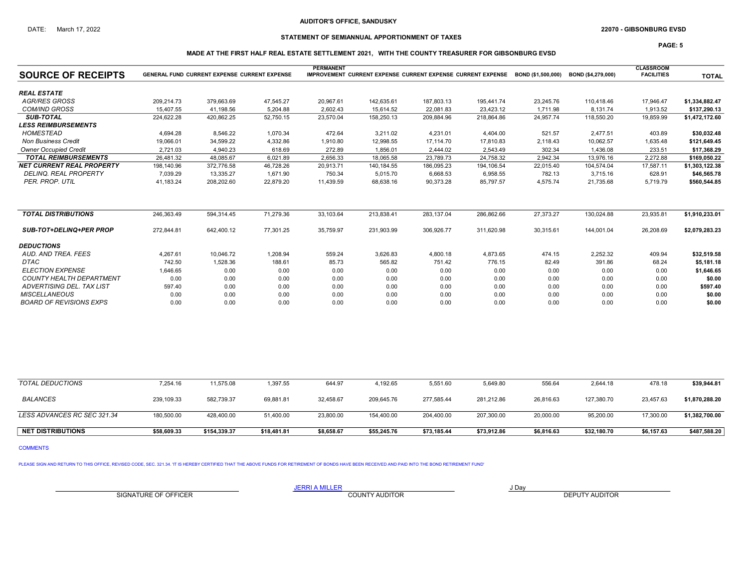## STATEMENT OF SEMIANNUAL APPORTIONMENT OF TAXES

PAGE: 5

### MADE AT THE FIRST HALF REAL ESTATE SETTLEMENT 2021, WITH THE COUNTY TREASURER FOR GIBSONBURG EVSD

| <b>SOURCE OF RECEIPTS</b>        | <b>PERMANENT</b><br><b>GENERAL FUND CURRENT EXPENSE CURRENT EXPENSE</b><br><b>IMPROVEMENT CURRENT EXPENSE CURRENT EXPENSE CURRENT EXPENSE</b><br>BOND (\$1.500.000)<br>BOND (\$4.279.000) |            |           |           |            |            |            |           |            |           | <b>TOTAL</b>   |
|----------------------------------|-------------------------------------------------------------------------------------------------------------------------------------------------------------------------------------------|------------|-----------|-----------|------------|------------|------------|-----------|------------|-----------|----------------|
| <b>REAL ESTATE</b>               |                                                                                                                                                                                           |            |           |           |            |            |            |           |            |           |                |
| <b>AGR/RES GROSS</b>             | 209.214.73                                                                                                                                                                                | 379.663.69 | 47,545.27 | 20,967.61 | 142,635.61 | 187.803.13 | 195.441.74 | 23,245.76 | 110.418.46 | 17.946.47 | \$1,334,882.47 |
| <b>COM/IND GROSS</b>             | 15.407.55                                                                                                                                                                                 | 41.198.56  | 5.204.88  | 2,602.43  | 15,614.52  | 22.081.83  | 23.423.12  | 1.711.98  | 8.131.74   | 1,913.52  | \$137,290.13   |
| <b>SUB-TOTAL</b>                 | 224,622.28                                                                                                                                                                                | 420,862.25 | 52,750.15 | 23,570.04 | 158,250.13 | 209,884.96 | 218,864.86 | 24,957.74 | 118,550.20 | 19,859.99 | \$1,472,172.60 |
| <b>LESS REIMBURSEMENTS</b>       |                                                                                                                                                                                           |            |           |           |            |            |            |           |            |           |                |
| <b>HOMESTEAD</b>                 | 4.694.28                                                                                                                                                                                  | 8,546.22   | 1.070.34  | 472.64    | 3,211.02   | 4.231.01   | 4.404.00   | 521.57    | 2.477.51   | 403.89    | \$30,032.48    |
| <b>Non Business Credit</b>       | 19,066.01                                                                                                                                                                                 | 34,599.22  | 4,332.86  | 1,910.80  | 12,998.55  | 17.114.70  | 17,810.83  | 2,118.43  | 10.062.57  | 1,635.48  | \$121,649.45   |
| <b>Owner Occupied Credit</b>     | 2.721.03                                                                                                                                                                                  | 4.940.23   | 618.69    | 272.89    | 1,856.01   | 2,444.02   | 2,543.49   | 302.34    | 1,436.08   | 233.51    | \$17,368.29    |
| <b>TOTAL REIMBURSEMENTS</b>      | 26,481.32                                                                                                                                                                                 | 48,085.67  | 6,021.89  | 2,656.33  | 18,065.58  | 23,789.73  | 24,758.32  | 2,942.34  | 13,976.16  | 2,272.88  | \$169,050.22   |
| <b>NET CURRENT REAL PROPERTY</b> | 198,140.96                                                                                                                                                                                | 372,776.58 | 46,728.26 | 20,913.71 | 140,184.55 | 186,095.23 | 194,106.54 | 22,015.40 | 104,574.04 | 17,587.11 | \$1,303,122.38 |
| <b>DELINQ, REAL PROPERTY</b>     | 7,039.29                                                                                                                                                                                  | 13,335.27  | 1,671.90  | 750.34    | 5,015.70   | 6,668.53   | 6,958.55   | 782.13    | 3.715.16   | 628.91    | \$46,565.78    |
| PER. PROP. UTIL                  | 41,183.24                                                                                                                                                                                 | 208,202.60 | 22,879.20 | 11,439.59 | 68,638.16  | 90,373.28  | 85,797.57  | 4,575.74  | 21,735.68  | 5,719.79  | \$560,544.85   |
| <b>TOTAL DISTRIBUTIONS</b>       | 246,363.49                                                                                                                                                                                | 594,314.45 | 71,279.36 | 33,103.64 | 213,838.41 | 283,137.04 | 286,862.66 | 27,373.27 | 130,024.88 | 23,935.81 | \$1,910,233.01 |
| <b>SUB-TOT+DELINQ+PER PROP</b>   | 272,844.81                                                                                                                                                                                | 642,400.12 | 77,301.25 | 35,759.97 | 231,903.99 | 306.926.77 | 311,620.98 | 30,315.61 | 144.001.04 | 26,208.69 | \$2,079,283.23 |
| <b>DEDUCTIONS</b>                |                                                                                                                                                                                           |            |           |           |            |            |            |           |            |           |                |
| AUD, AND TREA, FEES              | 4,267.61                                                                                                                                                                                  | 10.046.72  | 1,208.94  | 559.24    | 3,626.83   | 4,800.18   | 4,873.65   | 474.15    | 2,252.32   | 409.94    | \$32,519.58    |
| <b>DTAC</b>                      | 742.50                                                                                                                                                                                    | 1,528.36   | 188.61    | 85.73     | 565.82     | 751.42     | 776.15     | 82.49     | 391.86     | 68.24     | \$5,181.18     |
| <b>ELECTION EXPENSE</b>          | 1,646.65                                                                                                                                                                                  | 0.00       | 0.00      | 0.00      | 0.00       | 0.00       | 0.00       | 0.00      | 0.00       | 0.00      | \$1,646.65     |
| <b>COUNTY HEALTH DEPARTMENT</b>  | 0.00                                                                                                                                                                                      | 0.00       | 0.00      | 0.00      | 0.00       | 0.00       | 0.00       | 0.00      | 0.00       | 0.00      | \$0.00         |
| ADVERTISING DEL. TAX LIST        | 597.40                                                                                                                                                                                    | 0.00       | 0.00      | 0.00      | 0.00       | 0.00       | 0.00       | 0.00      | 0.00       | 0.00      | \$597.40       |
| <b>MISCELLANEOUS</b>             | 0.00                                                                                                                                                                                      | 0.00       | 0.00      | 0.00      | 0.00       | 0.00       | 0.00       | 0.00      | 0.00       | 0.00      | \$0.00         |
| <b>BOARD OF REVISIONS EXPS</b>   | 0.00                                                                                                                                                                                      | 0.00       | 0.00      | 0.00      | 0.00       | 0.00       | 0.00       | 0.00      | 0.00       | 0.00      | \$0.00         |

| <b>NET DISTRIBUTIONS</b>    | \$58,609.33 | \$154,339.37 | \$18,481.81 | \$8,658.67 | \$55,245.76 | \$73,185.44 | \$73,912.86 | \$6,816.63 | \$32,180.70 | \$6,157.63 | \$487,588.20   |
|-----------------------------|-------------|--------------|-------------|------------|-------------|-------------|-------------|------------|-------------|------------|----------------|
| LESS ADVANCES RC SEC 321.34 | 180,500.00  | 428,400.00   | 51,400.00   | 23,800.00  | 154,400.00  | 204,400.00  | 207,300.00  | 20,000.00  | 95,200.00   | 17,300.00  | \$1,382,700.00 |
| BALANCES                    | 239,109.33  | 582.739.37   | 69.881.81   | 32.458.67  | 209.645.76  | 277.585.44  | 281.212.86  | 26.816.63  | 127.380.70  | 23.457.63  | \$1,870,288.20 |
| <b>TOTAL DEDUCTIONS</b>     | 7,254.16    | 11.575.08    | .397.55     | 644.97     | 4,192.65    | 5.551.60    | 5,649.80    | 556.64     | 2.644.18    | 478.18     | \$39,944.81    |
|                             |             |              |             |            |             |             |             |            |             |            |                |

COMMENTS

PLEASE SIGN AND RETURN TO THIS OFFICE, REVISED CODE, SEC. 321.34. 'IT IS HEREBY CERTIFIED THAT THE ABOVE FUNDS FOR RETIREMENT OF BONDS HAVE BEEN RECEIVED AND PAID INTO THE BOND RETIREMENT FUND'

SIGNATURE OF OFFICER **EXECUTE A RELATION COUNTY AUDITOR** COUNTY AUDITOR **DEPUTY AUDITOR**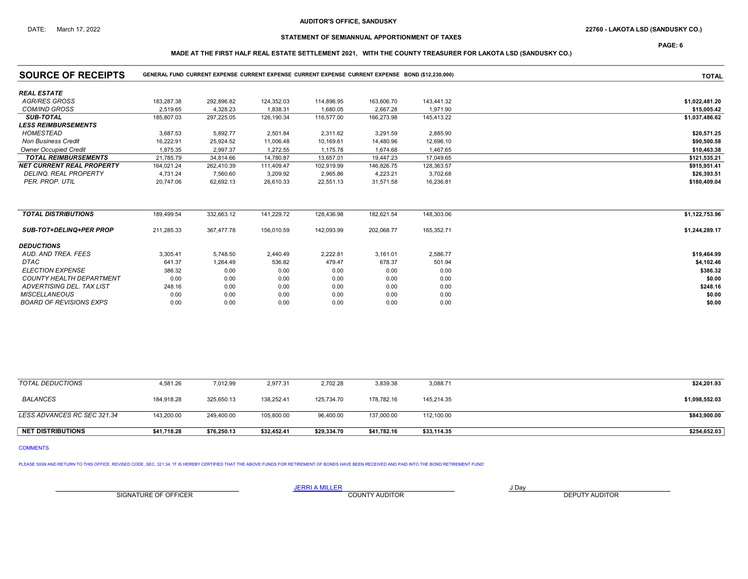## DATE: March 17, 2022 22760 - LAKOTA LSD (SANDUSKY CO.)

## STATEMENT OF SEMIANNUAL APPORTIONMENT OF TAXES

PAGE: 6

## MADE AT THE FIRST HALF REAL ESTATE SETTLEMENT 2021, WITH THE COUNTY TREASURER FOR LAKOTA LSD (SANDUSKY CO.)

| <b>SOURCE OF RECEIPTS</b>        |            | GENERAL FUND CURRENT EXPENSE CURRENT EXPENSE CURRENT EXPENSE CURRENT EXPENSE BOND (\$12,230,000) |            | <b>TOTAL</b> |            |            |                |
|----------------------------------|------------|--------------------------------------------------------------------------------------------------|------------|--------------|------------|------------|----------------|
| <b>REAL ESTATE</b>               |            |                                                                                                  |            |              |            |            |                |
| <b>AGR/RES GROSS</b>             | 183,287.38 | 292,896.82                                                                                       | 124,352.03 | 114,896.95   | 163,606.70 | 143,441.32 | \$1,022,481.20 |
| <b>COM/IND GROSS</b>             | 2,519.65   | 4.328.23                                                                                         | 1,838.31   | 1,680.05     | 2,667.28   | 1,971.90   | \$15,005.42    |
| <b>SUB-TOTAL</b>                 | 185,807.03 | 297,225.05                                                                                       | 126,190.34 | 116,577.00   | 166,273.98 | 145,413.22 | \$1,037,486.62 |
| <b>LESS REIMBURSEMENTS</b>       |            |                                                                                                  |            |              |            |            |                |
| <b>HOMESTEAD</b>                 | 3,687.53   | 5,892.77                                                                                         | 2,501.84   | 2,311.62     | 3,291.59   | 2,885.90   | \$20,571.25    |
| <b>Non Business Credit</b>       | 16,222.91  | 25,924.52                                                                                        | 11,006.48  | 10,169.61    | 14,480.96  | 12,696.10  | \$90,500.58    |
| <b>Owner Occupied Credit</b>     | 1.875.35   | 2.997.37                                                                                         | 1.272.55   | 1,175.78     | 1,674.68   | 1,467.65   | \$10,463.38    |
| <b>TOTAL REIMBURSEMENTS</b>      | 21,785.79  | 34,814.66                                                                                        | 14,780.87  | 13,657.01    | 19,447.23  | 17,049.65  | \$121,535.21   |
| <b>NET CURRENT REAL PROPERTY</b> | 164.021.24 | 262.410.39                                                                                       | 111,409.47 | 102,919.99   | 146,826.75 | 128,363.57 | \$915,951.41   |
| <b>DELINQ, REAL PROPERTY</b>     | 4,731.24   | 7,560.60                                                                                         | 3,209.92   | 2,965.86     | 4,223.21   | 3,702.68   | \$26,393.51    |
| PER. PROP. UTIL                  | 20,747.06  | 62,692.13                                                                                        | 26,610.33  | 22,551.13    | 31,571.58  | 16,236.81  | \$180,409.04   |
|                                  |            |                                                                                                  |            |              |            |            |                |
| <b>TOTAL DISTRIBUTIONS</b>       | 189,499.54 | 332,663.12                                                                                       | 141,229.72 | 128,436.98   | 182,621.54 | 148,303.06 | \$1,122,753.96 |
| <b>SUB-TOT+DELINQ+PER PROP</b>   | 211,285.33 | 367,477.78                                                                                       | 156,010.59 | 142,093.99   | 202,068.77 | 165,352.71 | \$1,244,289.17 |
| <b>DEDUCTIONS</b>                |            |                                                                                                  |            |              |            |            |                |
| AUD, AND TREA, FEES              | 3,305.41   | 5,748.50                                                                                         | 2,440.49   | 2.222.81     | 3,161.01   | 2,586.77   | \$19,464.99    |
| <b>DTAC</b>                      | 641.37     | 1,264.49                                                                                         | 536.82     | 479.47       | 678.37     | 501.94     | \$4,102.46     |
| <b>ELECTION EXPENSE</b>          | 386.32     | 0.00                                                                                             | 0.00       | 0.00         | 0.00       | 0.00       | \$386.32       |
| <b>COUNTY HEALTH DEPARTMENT</b>  | 0.00       | 0.00                                                                                             | 0.00       | 0.00         | 0.00       | 0.00       | \$0.00         |
| ADVERTISING DEL. TAX LIST        | 248.16     | 0.00                                                                                             | 0.00       | 0.00         | 0.00       | 0.00       | \$248.16       |
| <b>MISCELLANEOUS</b>             | 0.00       | 0.00                                                                                             | 0.00       | 0.00         | 0.00       | 0.00       | \$0.00         |
| <b>BOARD OF REVISIONS EXPS</b>   | 0.00       | 0.00                                                                                             | 0.00       | 0.00         | 0.00       | 0.00       | \$0.00         |

| <b>NET DISTRIBUTIONS</b>    | \$41,718.28 | \$76.250.13 | \$32,452.41 | \$29,334.70 | \$41,782.16 | \$33,114.35 | \$254,652.03   |
|-----------------------------|-------------|-------------|-------------|-------------|-------------|-------------|----------------|
|                             |             |             |             |             |             |             |                |
| LESS ADVANCES RC SEC 321.34 | 143,200.00  | 249,400.00  | 105,800.00  | 96,400.00   | 137,000.00  | 112,100.00  | \$843,900.00   |
| <b>BALANCES</b>             | 184.918.28  | 325.650.13  | 138.252.41  | 125.734.70  | 178.782.16  | 145,214.35  | \$1,098,552.03 |
| TOTAL DEDUCTIONS            | 4,581.26    | 7,012.99    | 2,977.31    | 2,702.28    | 3,839.38    | 3,088.71    | \$24,201.93    |

COMMENTS

PLEASE SIGN AND RETURN TO THIS OFFICE, REVISED CODE, SEC. 321.34. 'IT IS HEREBY CERTIFIED THAT THE ABOVE FUNDS FOR RETIREMENT OF BONDS HAVE BEEN RECEIVED AND PAID INTO THE BOND RETIREMENT FUND'

JERRI A MILLER COUNTY AUDITOR THE RESERVE TO A LIMIT OF A LIMIT OF A LIMIT OF A LIMIT OF A LIMIT OF A LIMIT OF A LIMIT OF A LIMIT OF A LIMIT OF A LIMIT OF A LIMIT OF A LIMIT OF A LIMIT OF A LIMIT OF A LIMIT OF A LIMIT OF A SIGNATURE OF OFFICER **EXECUTE A RELATION COUNTY AUDITOR** COUNTY AUDITOR **DEPUTY AUDITOR**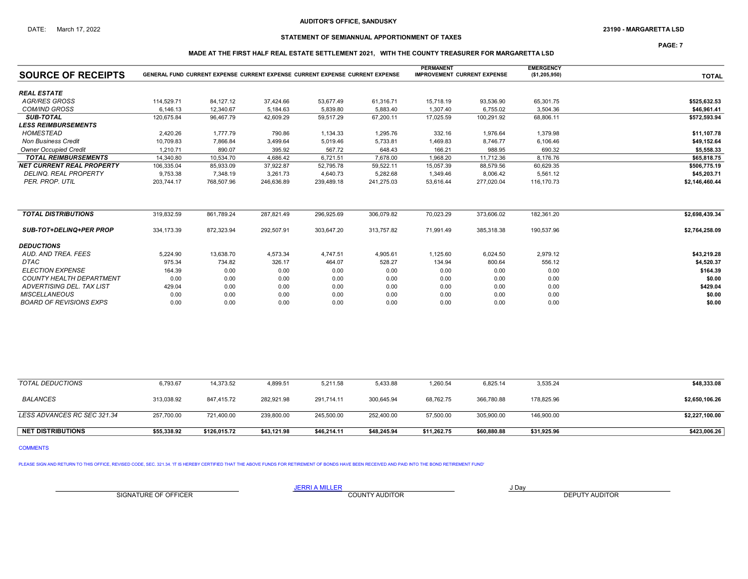## STATEMENT OF SEMIANNUAL APPORTIONMENT OF TAXES

PAGE: 7

### MADE AT THE FIRST HALF REAL ESTATE SETTLEMENT 2021, WITH THE COUNTY TREASURER FOR MARGARETTA LSD

| <b>SOURCE OF RECEIPTS</b>        |            | GENERAL FUND CURRENT EXPENSE CURRENT EXPENSE CURRENT EXPENSE CURRENT EXPENSE |            |            |            | <b>PERMANENT</b><br><b>IMPROVEMENT CURRENT EXPENSE</b> |            | <b>EMERGENCY</b><br>(\$1,205,950) | <b>TOTAL</b>   |
|----------------------------------|------------|------------------------------------------------------------------------------|------------|------------|------------|--------------------------------------------------------|------------|-----------------------------------|----------------|
| <b>REAL ESTATE</b>               |            |                                                                              |            |            |            |                                                        |            |                                   |                |
| <b>AGR/RES GROSS</b>             | 114,529.71 | 84,127.12                                                                    | 37,424.66  | 53,677.49  | 61,316.71  | 15,718.19                                              | 93,536.90  | 65,301.75                         | \$525,632.53   |
| <b>COM/IND GROSS</b>             | 6.146.13   | 12.340.67                                                                    | 5.184.63   | 5,839.80   | 5.883.40   | 1,307.40                                               | 6,755.02   | 3.504.36                          | \$46,961.41    |
| <b>SUB-TOTAL</b>                 | 120.675.84 | 96.467.79                                                                    | 42.609.29  | 59,517.29  | 67,200.11  | 17.025.59                                              | 100.291.92 | 68.806.11                         | \$572,593.94   |
| <b>LESS REIMBURSEMENTS</b>       |            |                                                                              |            |            |            |                                                        |            |                                   |                |
| <b>HOMESTEAD</b>                 | 2,420.26   | 1,777.79                                                                     | 790.86     | 1,134.33   | 1,295.76   | 332.16                                                 | 1,976.64   | 1,379.98                          | \$11,107.78    |
| <b>Non Business Credit</b>       | 10,709.83  | 7,866.84                                                                     | 3,499.64   | 5,019.46   | 5,733.81   | 1,469.83                                               | 8,746.77   | 6,106.46                          | \$49,152.64    |
| <b>Owner Occupied Credit</b>     | 1.210.71   | 890.07                                                                       | 395.92     | 567.72     | 648.43     | 166.21                                                 | 988.95     | 690.32                            | \$5,558.33     |
| <b>TOTAL REIMBURSEMENTS</b>      | 14.340.80  | 10,534.70                                                                    | 4,686.42   | 6,721.51   | 7,678.00   | 1,968.20                                               | 11.712.36  | 8.176.76                          | \$65,818.75    |
| <b>NET CURRENT REAL PROPERTY</b> | 106,335.04 | 85,933.09                                                                    | 37,922.87  | 52,795.78  | 59,522.11  | 15,057.39                                              | 88,579.56  | 60,629.35                         | \$506,775.19   |
| <b>DELINQ. REAL PROPERTY</b>     | 9,753.38   | 7.348.19                                                                     | 3,261.73   | 4,640.73   | 5,282.68   | 1,349.46                                               | 8,006.42   | 5,561.12                          | \$45,203.71    |
| PER. PROP. UTIL                  | 203,744.17 | 768,507.96                                                                   | 246,636.89 | 239,489.18 | 241,275.03 | 53,616.44                                              | 277,020.04 | 116,170.73                        | \$2,146,460.44 |
| <b>TOTAL DISTRIBUTIONS</b>       | 319,832.59 | 861,789.24                                                                   | 287,821.49 | 296,925.69 | 306,079.82 | 70,023.29                                              | 373,606.02 | 182,361.20                        | \$2,698,439.34 |
| <b>SUB-TOT+DELINQ+PER PROP</b>   | 334.173.39 | 872,323.94                                                                   | 292,507.91 | 303,647.20 | 313,757.82 | 71,991.49                                              | 385.318.38 | 190.537.96                        | \$2,764,258.09 |
| <b>DEDUCTIONS</b>                |            |                                                                              |            |            |            |                                                        |            |                                   |                |
| AUD. AND TREA. FEES              | 5,224.90   | 13,638.70                                                                    | 4,573.34   | 4,747.51   | 4,905.61   | 1,125.60                                               | 6,024.50   | 2,979.12                          | \$43,219.28    |
| <b>DTAC</b>                      | 975.34     | 734.82                                                                       | 326.17     | 464.07     | 528.27     | 134.94                                                 | 800.64     | 556.12                            | \$4,520.37     |
| <b>ELECTION EXPENSE</b>          | 164.39     | 0.00                                                                         | 0.00       | 0.00       | 0.00       | 0.00                                                   | 0.00       | 0.00                              | \$164.39       |
| COUNTY HEALTH DEPARTMENT         | 0.00       | 0.00                                                                         | 0.00       | 0.00       | 0.00       | 0.00                                                   | 0.00       | 0.00                              | \$0.00         |
| ADVERTISING DEL. TAX LIST        | 429.04     | 0.00                                                                         | 0.00       | 0.00       | 0.00       | 0.00                                                   | 0.00       | 0.00                              | \$429.04       |
| <b>MISCELLANEOUS</b>             | 0.00       | 0.00                                                                         | 0.00       | 0.00       | 0.00       | 0.00                                                   | 0.00       | 0.00                              | \$0.00         |
| <b>BOARD OF REVISIONS EXPS</b>   | 0.00       | 0.00                                                                         | 0.00       | 0.00       | 0.00       | 0.00                                                   | 0.00       | 0.00                              | \$0.00         |

| <b>TOTAL DEDUCTIONS</b>     | 6,793.67    | 14,373.52    | 4,899.51    | 5,211.58    | 5,433.88    | 1,260.54    | 6,825.14    | 3,535.24    | \$48,333.08    |
|-----------------------------|-------------|--------------|-------------|-------------|-------------|-------------|-------------|-------------|----------------|
| <b>BALANCES</b>             | 313,038.92  | 847,415.72   | 282,921.98  | 291.714.11  | 300,645.94  | 68,762.75   | 366,780.88  | 178,825.96  | \$2,650,106.26 |
| LESS ADVANCES RC SEC 321.34 | 257,700.00  | 721,400.00   | 239,800.00  | 245,500.00  | 252,400.00  | 57,500.00   | 305,900.00  | 146,900.00  | \$2,227,100.00 |
| <b>NET DISTRIBUTIONS</b>    | \$55.338.92 | \$126.015.72 | \$43,121.98 | \$46,214.11 | \$48,245.94 | \$11,262.75 | \$60,880.88 | \$31,925.96 | \$423,006.26   |

COMMENTS

PLEASE SIGN AND RETURN TO THIS OFFICE, REVISED CODE, SEC. 321.34. 'IT IS HEREBY CERTIFIED THAT THE ABOVE FUNDS FOR RETIREMENT OF BONDS HAVE BEEN RECEIVED AND PAID INTO THE BOND RETIREMENT FUND'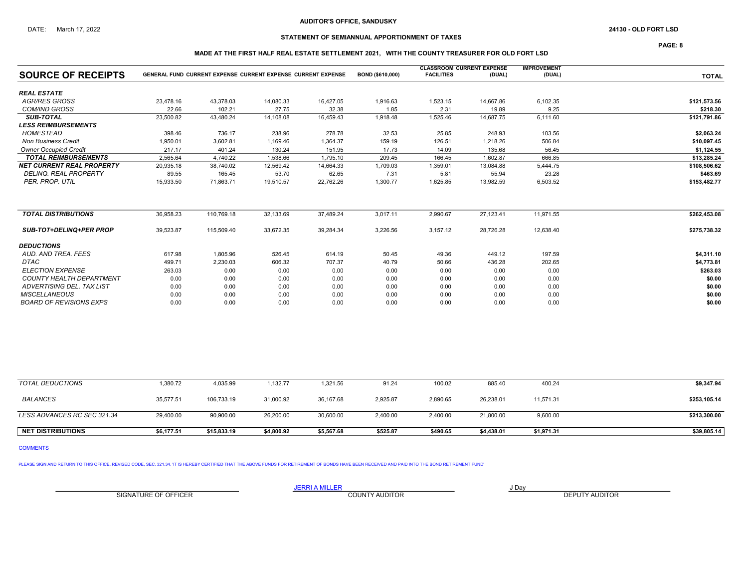## STATEMENT OF SEMIANNUAL APPORTIONMENT OF TAXES

PAGE: 8

### MADE AT THE FIRST HALF REAL ESTATE SETTLEMENT 2021, WITH THE COUNTY TREASURER FOR OLD FORT LSD

|                                  |           |                                                                     |           |           |                  | <b>CLASSROOM CURRENT EXPENSE</b> |           | <b>IMPROVEMENT</b> |              |
|----------------------------------|-----------|---------------------------------------------------------------------|-----------|-----------|------------------|----------------------------------|-----------|--------------------|--------------|
| <b>SOURCE OF RECEIPTS</b>        |           | <b>GENERAL FUND CURRENT EXPENSE CURRENT EXPENSE CURRENT EXPENSE</b> |           |           | BOND (\$610,000) | <b>FACILITIES</b>                | (DUAL)    | (DUAL)             | <b>TOTAL</b> |
| <b>REAL ESTATE</b>               |           |                                                                     |           |           |                  |                                  |           |                    |              |
| <b>AGR/RES GROSS</b>             | 23.478.16 | 43.378.03                                                           | 14,080.33 | 16,427.05 | 1,916.63         | 1,523.15                         | 14.667.86 | 6,102.35           | \$121,573.56 |
| <b>COM/IND GROSS</b>             | 22.66     | 102.21                                                              | 27.75     | 32.38     | 1.85             | 2.31                             | 19.89     | 9.25               | \$218.30     |
| <b>SUB-TOTAL</b>                 | 23,500.82 | 43,480.24                                                           | 14,108.08 | 16,459.43 | 1,918.48         | 1,525.46                         | 14,687.75 | 6,111.60           | \$121,791.86 |
| <b>LESS REIMBURSEMENTS</b>       |           |                                                                     |           |           |                  |                                  |           |                    |              |
| <b>HOMESTEAD</b>                 | 398.46    | 736.17                                                              | 238.96    | 278.78    | 32.53            | 25.85                            | 248.93    | 103.56             | \$2,063.24   |
| <b>Non Business Credit</b>       | 1,950.01  | 3,602.81                                                            | 1,169.46  | 1,364.37  | 159.19           | 126.51                           | 1,218.26  | 506.84             | \$10,097.45  |
| <b>Owner Occupied Credit</b>     | 217.17    | 401.24                                                              | 130.24    | 151.95    | 17.73            | 14.09                            | 135.68    | 56.45              | \$1,124.55   |
| <b>TOTAL REIMBURSEMENTS</b>      | 2,565.64  | 4,740.22                                                            | 1,538.66  | 1,795.10  | 209.45           | 166.45                           | 1,602.87  | 666.85             | \$13,285.24  |
| <b>NET CURRENT REAL PROPERTY</b> | 20,935.18 | 38,740.02                                                           | 12,569.42 | 14,664.33 | 1,709.03         | 1,359.01                         | 13,084.88 | 5,444.75           | \$108,506.62 |
| <b>DELINQ. REAL PROPERTY</b>     | 89.55     | 165.45                                                              | 53.70     | 62.65     | 7.31             | 5.81                             | 55.94     | 23.28              | \$463.69     |
| PER. PROP. UTIL                  | 15,933.50 | 71,863.71                                                           | 19,510.57 | 22,762.26 | 1,300.77         | 1,625.85                         | 13,982.59 | 6,503.52           | \$153,482.77 |
| <b>TOTAL DISTRIBUTIONS</b>       | 36,958.23 | 110,769.18                                                          | 32,133.69 | 37,489.24 | 3,017.11         | 2,990.67                         | 27,123.41 | 11,971.55          | \$262,453.08 |
| <b>SUB-TOT+DELINQ+PER PROP</b>   | 39.523.87 | 115,509.40                                                          | 33,672.35 | 39,284.34 | 3,226.56         | 3,157.12                         | 28,726.28 | 12.638.40          | \$275.738.32 |
| <b>DEDUCTIONS</b>                |           |                                                                     |           |           |                  |                                  |           |                    |              |
| AUD. AND TREA. FEES              | 617.98    | 1.805.96                                                            | 526.45    | 614.19    | 50.45            | 49.36                            | 449.12    | 197.59             | \$4,311.10   |
| <b>DTAC</b>                      | 499.71    | 2,230.03                                                            | 606.32    | 707.37    | 40.79            | 50.66                            | 436.28    | 202.65             | \$4,773.81   |
| <b>ELECTION EXPENSE</b>          | 263.03    | 0.00                                                                | 0.00      | 0.00      | 0.00             | 0.00                             | 0.00      | 0.00               | \$263.03     |
| COUNTY HEALTH DEPARTMENT         | 0.00      | 0.00                                                                | 0.00      | 0.00      | 0.00             | 0.00                             | 0.00      | 0.00               | \$0.00       |
| ADVERTISING DEL. TAX LIST        | 0.00      | 0.00                                                                | 0.00      | 0.00      | 0.00             | 0.00                             | 0.00      | 0.00               | \$0.00       |
| <b>MISCELLANEOUS</b>             | 0.00      | 0.00                                                                | 0.00      | 0.00      | 0.00             | 0.00                             | 0.00      | 0.00               | \$0.00       |
| <b>BOARD OF REVISIONS EXPS</b>   | 0.00      | 0.00                                                                | 0.00      | 0.00      | 0.00             | 0.00                             | 0.00      | 0.00               | \$0.00       |
|                                  |           |                                                                     |           |           |                  |                                  |           |                    |              |

| TOTAL DEDUCTIONS            | 1,380.72   | 4,035.99    | 132.77     | 1,321.56   | 91.24    | 100.02   | 885.40     | 400.24     | \$9,347.94   |
|-----------------------------|------------|-------------|------------|------------|----------|----------|------------|------------|--------------|
| <b>BALANCES</b>             | 35,577.51  | 106,733.19  | 31,000.92  | 36,167.68  | 2,925.87 | 2,890.65 | 26,238.01  | 11,571.31  | \$253,105.14 |
| LESS ADVANCES RC SEC 321.34 | 29,400.00  | 90,900.00   | 26,200.00  | 30,600.00  | 2,400.00 | 2,400.00 | 21,800.00  | 9,600.00   | \$213,300.00 |
| <b>NET DISTRIBUTIONS</b>    | \$6,177.51 | \$15,833.19 | \$4,800.92 | \$5,567.68 | \$525.87 | \$490.65 | \$4,438.01 | \$1,971.31 | \$39,805.14  |

COMMENTS

PLEASE SIGN AND RETURN TO THIS OFFICE, REVISED CODE, SEC. 321.34. 'IT IS HEREBY CERTIFIED THAT THE ABOVE FUNDS FOR RETIREMENT OF BONDS HAVE BEEN RECEIVED AND PAID INTO THE BOND RETIREMENT FUND'

SIGNATURE OF OFFICER **EXECUTE A RELATION COUNTY AUDITOR** COUNTY AUDITOR **DEPUTY AUDITOR** 

JERRI A MILLER COUNTY AUDITOR **Fig. 1998**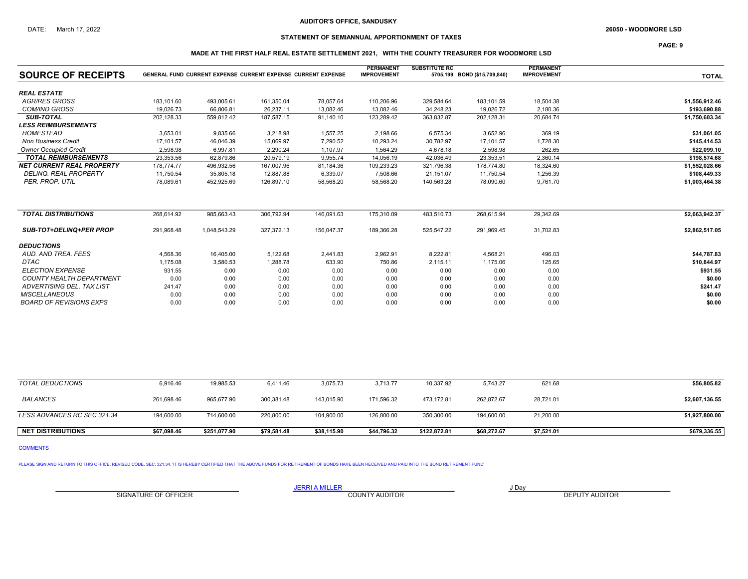## STATEMENT OF SEMIANNUAL APPORTIONMENT OF TAXES

PAGE: 9

### MADE AT THE FIRST HALF REAL ESTATE SETTLEMENT 2021, WITH THE COUNTY TREASURER FOR WOODMORE LSD

| <b>SOURCE OF RECEIPTS</b>        |            | <b>GENERAL FUND CURRENT EXPENSE CURRENT EXPENSE CURRENT EXPENSE</b> |            |            | <b>PERMANENT</b><br><b>IMPROVEMENT</b> | <b>SUBSTITUTE RC</b> | 5705.199 BOND (\$15,709,840) | <b>PERMANENT</b><br><b>IMPROVEMENT</b> | <b>TOTAL</b>   |
|----------------------------------|------------|---------------------------------------------------------------------|------------|------------|----------------------------------------|----------------------|------------------------------|----------------------------------------|----------------|
| <b>REAL ESTATE</b>               |            |                                                                     |            |            |                                        |                      |                              |                                        |                |
| <b>AGR/RES GROSS</b>             | 183.101.60 | 493,005.61                                                          | 161,350.04 | 78,057.64  | 110,206.96                             | 329,584.64           | 183,101.59                   | 18,504.38                              | \$1,556,912.46 |
| <b>COM/IND GROSS</b>             | 19,026.73  | 66,806.81                                                           | 26,237.11  | 13,082.46  | 13,082.46                              | 34,248.23            | 19,026.72                    | 2,180.36                               | \$193,690.88   |
| <b>SUB-TOTAL</b>                 | 202,128.33 | 559,812.42                                                          | 187,587.15 | 91,140.10  | 123,289.42                             | 363,832.87           | 202,128.31                   | 20,684.74                              | \$1,750,603.34 |
| <b>LESS REIMBURSEMENTS</b>       |            |                                                                     |            |            |                                        |                      |                              |                                        |                |
| <b>HOMESTEAD</b>                 | 3,653.01   | 9,835.66                                                            | 3,218.98   | 1,557.25   | 2,198.66                               | 6,575.34             | 3,652.96                     | 369.19                                 | \$31,061.05    |
| <b>Non Business Credit</b>       | 17,101.57  | 46,046.39                                                           | 15,069.97  | 7,290.52   | 10,293.24                              | 30,782.97            | 17,101.57                    | 1,728.30                               | \$145,414.53   |
| <b>Owner Occupied Credit</b>     | 2,598.98   | 6,997.81                                                            | 2,290.24   | 1,107.97   | 1,564.29                               | 4,678.18             | 2,598.98                     | 262.65                                 | \$22,099.10    |
| <b>TOTAL REIMBURSEMENTS</b>      | 23,353.56  | 62,879.86                                                           | 20,579.19  | 9,955.74   | 14,056.19                              | 42,036.49            | 23,353.51                    | 2,360.14                               | \$198,574.68   |
| <b>NET CURRENT REAL PROPERTY</b> | 178.774.77 | 496,932.56                                                          | 167,007.96 | 81,184.36  | 109,233.23                             | 321,796.38           | 178.774.80                   | 18,324.60                              | \$1,552,028.66 |
| DELINQ. REAL PROPERTY            | 11,750.54  | 35,805.18                                                           | 12,887.88  | 6,339.07   | 7,508.66                               | 21,151.07            | 11,750.54                    | 1,256.39                               | \$108,449.33   |
| PER. PROP. UTIL                  | 78,089.61  | 452,925.69                                                          | 126,897.10 | 58,568.20  | 58,568.20                              | 140,563.28           | 78,090.60                    | 9,761.70                               | \$1,003,464.38 |
| <b>TOTAL DISTRIBUTIONS</b>       | 268,614.92 | 985,663.43                                                          | 306,792.94 | 146,091.63 | 175,310.09                             | 483,510.73           | 268,615.94                   | 29,342.69                              | \$2,663,942.37 |
| <b>SUB-TOT+DELINQ+PER PROP</b>   | 291,968.48 | 1.048.543.29                                                        | 327.372.13 | 156,047.37 | 189,366.28                             | 525,547.22           | 291.969.45                   | 31,702.83                              | \$2,862,517.05 |
| <b>DEDUCTIONS</b>                |            |                                                                     |            |            |                                        |                      |                              |                                        |                |
| AUD. AND TREA. FEES              | 4,568.36   | 16,405.00                                                           | 5,122.68   | 2,441.83   | 2,962.91                               | 8,222.81             | 4,568.21                     | 496.03                                 | \$44,787.83    |
| DTAC                             | 1,175.08   | 3,580.53                                                            | 1,288.78   | 633.90     | 750.86                                 | 2,115.11             | 1,175.06                     | 125.65                                 | \$10,844.97    |
| <b>ELECTION EXPENSE</b>          | 931.55     | 0.00                                                                | 0.00       | 0.00       | 0.00                                   | 0.00                 | 0.00                         | 0.00                                   | \$931.55       |
| <b>COUNTY HEALTH DEPARTMENT</b>  | 0.00       | 0.00                                                                | 0.00       | 0.00       | 0.00                                   | 0.00                 | 0.00                         | 0.00                                   | \$0.00         |
| ADVERTISING DEL. TAX LIST        | 241.47     | 0.00                                                                | 0.00       | 0.00       | 0.00                                   | 0.00                 | 0.00                         | 0.00                                   | \$241.47       |
| <b>MISCELLANEOUS</b>             | 0.00       | 0.00                                                                | 0.00       | 0.00       | 0.00                                   | 0.00                 | 0.00                         | 0.00                                   | \$0.00         |
| <b>BOARD OF REVISIONS EXPS</b>   | 0.00       | 0.00                                                                | 0.00       | 0.00       | 0.00                                   | 0.00                 | 0.00                         | 0.00                                   | \$0.00         |

| TOTAL DEDUCTIONS            | 6,916.46    | 19,985.53    | 6,411.46    | 3,075.73    | 3,713.77    | 10,337.92    | 5,743.27    | 621.68     | \$56,805.82    |
|-----------------------------|-------------|--------------|-------------|-------------|-------------|--------------|-------------|------------|----------------|
| <b>BALANCES</b>             | 261,698.46  | 965.677.90   | 300,381.48  | 143.015.90  | 171.596.32  | 473.172.81   | 262.872.67  | 28,721.01  | \$2,607,136.55 |
| LESS ADVANCES RC SEC 321.34 | 194,600.00  | 714,600.00   | 220,800.00  | 104,900.00  | 126,800.00  | 350,300.00   | 194,600.00  | 21,200.00  | \$1,927,800.00 |
| <b>NET DISTRIBUTIONS</b>    | \$67,098.46 | \$251,077.90 | \$79,581.48 | \$38,115.90 | \$44,796.32 | \$122,872.81 | \$68,272.67 | \$7,521.01 | \$679,336.55   |

COMMENTS

PLEASE SIGN AND RETURN TO THIS OFFICE, REVISED CODE, SEC. 321.34. 'IT IS HEREBY CERTIFIED THAT THE ABOVE FUNDS FOR RETIREMENT OF BONDS HAVE BEEN RECEIVED AND PAID INTO THE BOND RETIREMENT FUND'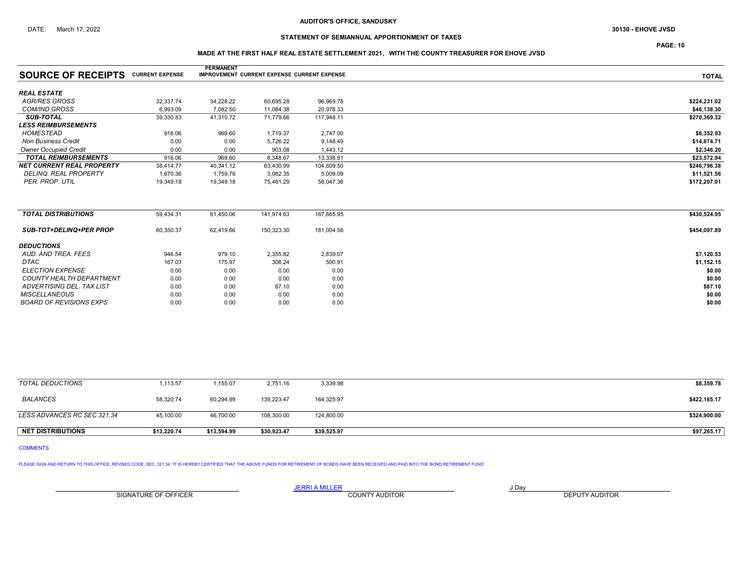## STATEMENT OF SEMIANNUAL APPORTIONMENT OF TAXES

### MADE AT THE FIRST HALF REAL ESTATE SETTLEMENT 2021, WITH THE COUNTY TREASURER FOR EHOVE JVSD

|                                           |           | <b>PERMANENT</b> |                                             |            |              |
|-------------------------------------------|-----------|------------------|---------------------------------------------|------------|--------------|
| <b>SOURCE OF RECEIPTS CURRENT EXPENSE</b> |           |                  | IMPROVEMENT CURRENT EXPENSE CURRENT EXPENSE |            | <b>TOTAL</b> |
| <b>REAL ESTATE</b>                        |           |                  |                                             |            |              |
| AGR/RES GROSS                             | 32,337.74 | 34,228.22        | 60,695.28                                   | 96,969.78  | \$224,231.02 |
| <b>COM/IND GROSS</b>                      | 6,993.09  | 7,082.50         | 11,084.38                                   | 20,978.33  | \$46,138.30  |
| <b>SUB-TOTAL</b>                          | 39,330.83 | 41,310.72        | 71,779.66                                   | 117,948.11 | \$270,369.32 |
| <b>LESS REIMBURSEMENTS</b>                |           |                  |                                             |            |              |
| <b>HOMESTEAD</b>                          | 916.06    | 969.60           | 1,719.37                                    | 2,747.00   | \$6,352.03   |
| <b>Non Business Credit</b>                | 0.00      | 0.00             | 5,726.22                                    | 9,148.49   | \$14,874.71  |
| <b>Owner Occupied Credit</b>              | 0.00      | 0.00             | 903.08                                      | 1,443.12   | \$2,346.20   |
| <b>TOTAL REIMBURSEMENTS</b>               | 916.06    | 969.60           | 8,348.67                                    | 13,338.61  | \$23,572.94  |
| <b>NET CURRENT REAL PROPERTY</b>          | 38,414.77 | 40,341.12        | 63,430.99                                   | 104,609.50 | \$246,796.38 |
| <b>DELINQ, REAL PROPERTY</b>              | 1,670.36  | 1,759.76         | 3,082.35                                    | 5,009.09   | \$11,521.56  |
| PER. PROP. UTIL                           | 19,349.18 | 19,349.18        | 75,461.29                                   | 58,047.36  | \$172,207.01 |
|                                           |           |                  |                                             |            |              |
| <b>TOTAL DISTRIBUTIONS</b>                | 59,434.31 | 61,450.06        | 141,974.63                                  | 167,665.95 | \$430,524.95 |
| <b>SUB-TOT+DELINQ+PER PROP</b>            | 60,350.37 | 62,419.66        | 150,323.30                                  | 181,004.56 | \$454,097.89 |
| <b>DEDUCTIONS</b>                         |           |                  |                                             |            |              |
| AUD. AND TREA. FEES                       | 946.54    | 979.10           | 2,355.82                                    | 2,839.07   | \$7,120.53   |
| DTAC                                      | 167.03    | 175.97           | 308.24                                      | 500.91     | \$1,152.15   |
| <b>ELECTION EXPENSE</b>                   | 0.00      | 0.00             | 0.00                                        | 0.00       | \$0.00       |
| <b>COUNTY HEALTH DEPARTMENT</b>           | 0.00      | 0.00             | 0.00                                        | 0.00       | \$0.00       |
| ADVERTISING DEL. TAX LIST                 | 0.00      | 0.00             | 87.10                                       | 0.00       | \$87.10      |
| <b>MISCELLANEOUS</b>                      | 0.00      | 0.00             | 0.00                                        | 0.00       | \$0.00       |
| <b>BOARD OF REVISIONS EXPS</b>            | 0.00      | 0.00             | 0.00                                        | 0.00       | \$0.00       |
|                                           |           |                  |                                             |            |              |

| <b>NET DISTRIBUTIONS</b>    | \$13,220.74 | \$13,594.99 | \$30,923.47 | \$39,525.97 | \$97,265.17  |
|-----------------------------|-------------|-------------|-------------|-------------|--------------|
| LESS ADVANCES RC SEC 321.34 | 45,100.00   | 46,700.00   | 108.300.00  | 124,800.00  | \$324,900.00 |
|                             |             |             |             |             |              |
| <b>BALANCES</b>             | 58,320.74   | 60,294.99   | 139,223.47  | 164,325.97  | \$422,165.17 |
|                             |             |             |             |             |              |
| TOTAL DEDUCTIONS            | 1,113.57    | ,155.07     | 2,751.16    | 3,339.98    | \$8,359.78   |

COMMENTS

PLEASE SIGN AND RETURN TO THIS OFFICE, REVISED CODE, SEC. 321.34. 'IT IS HEREBY CERTIFIED THAT THE ABOVE FUNDS FOR RETIREMENT OF BONDS HAVE BEEN RECEIVED AND PAID INTO THE BOND RETIREMENT FUND'

SIGNATURE OF OFFICER **EXECUTE A RELATION COUNTY AUDITOR** COUNTY AUDITOR **DEPUTY AUDITOR** 

JERRI A MILLER COUNTY AUDITOR **Fig. 1998** 

PAGE: 10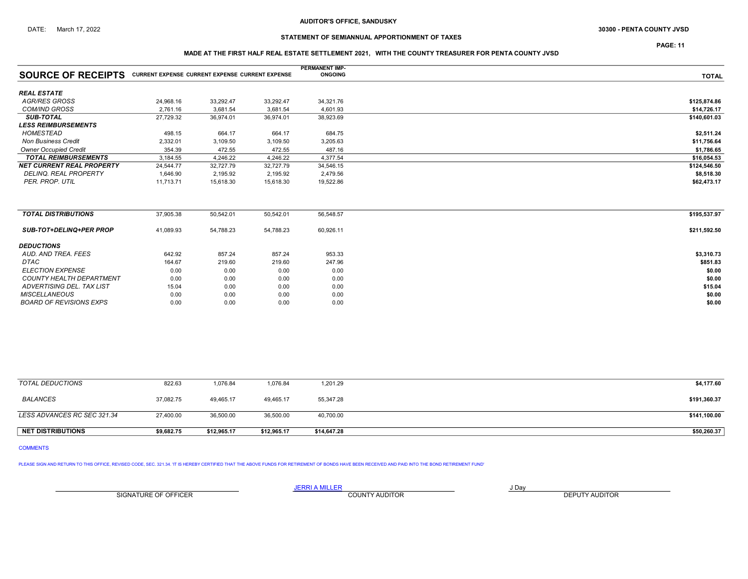## DATE: March 17, 2022 **Subset of the COUNTY JVSD 30300 - PENTA COUNTY JVSD 30300 - PENTA COUNTY JVSD**

## STATEMENT OF SEMIANNUAL APPORTIONMENT OF TAXES

PAGE: 11

### MADE AT THE FIRST HALF REAL ESTATE SETTLEMENT 2021, WITH THE COUNTY TREASURER FOR PENTA COUNTY JVSD

|                                                                           |           |           |           | <b>PERMANENT IMP-</b> |              |
|---------------------------------------------------------------------------|-----------|-----------|-----------|-----------------------|--------------|
| <b>SOURCE OF RECEIPTS</b> CURRENT EXPENSE CURRENT EXPENSE CURRENT EXPENSE |           |           |           | <b>ONGOING</b>        | <b>TOTAL</b> |
| <b>REAL ESTATE</b>                                                        |           |           |           |                       |              |
| <b>AGR/RES GROSS</b>                                                      | 24,968.16 | 33,292.47 | 33,292.47 | 34,321.76             | \$125,874.86 |
| <b>COM/IND GROSS</b>                                                      | 2,761.16  | 3,681.54  | 3,681.54  | 4,601.93              | \$14,726.17  |
| <b>SUB-TOTAL</b>                                                          | 27,729.32 | 36,974.01 | 36,974.01 | 38,923.69             | \$140,601.03 |
| <b>LESS REIMBURSEMENTS</b>                                                |           |           |           |                       |              |
| HOMESTEAD                                                                 | 498.15    | 664.17    | 664.17    | 684.75                | \$2,511.24   |
| <b>Non Business Credit</b>                                                | 2,332.01  | 3,109.50  | 3,109.50  | 3,205.63              | \$11,756.64  |
| <b>Owner Occupied Credit</b>                                              | 354.39    | 472.55    | 472.55    | 487.16                | \$1,786.65   |
| <b>TOTAL REIMBURSEMENTS</b>                                               | 3,184.55  | 4,246.22  | 4,246.22  | 4,377.54              | \$16,054.53  |
| <b>NET CURRENT REAL PROPERTY</b>                                          | 24,544.77 | 32,727.79 | 32,727.79 | 34,546.15             | \$124,546.50 |
| <b>DELINQ. REAL PROPERTY</b>                                              | 1,646.90  | 2,195.92  | 2,195.92  | 2,479.56              | \$8,518.30   |
| PER. PROP. UTIL                                                           | 11,713.71 | 15,618.30 | 15,618.30 | 19,522.86             | \$62,473.17  |
| <b>TOTAL DISTRIBUTIONS</b>                                                | 37,905.38 | 50,542.01 | 50,542.01 | 56,548.57             | \$195,537.97 |
| <b>SUB-TOT+DELINQ+PER PROP</b>                                            | 41,089.93 | 54,788.23 | 54,788.23 | 60,926.11             | \$211,592.50 |
| <b>DEDUCTIONS</b>                                                         |           |           |           |                       |              |
| AUD, AND TREA, FEES                                                       | 642.92    | 857.24    | 857.24    | 953.33                | \$3,310.73   |
| <b>DTAC</b>                                                               | 164.67    | 219.60    | 219.60    | 247.96                | \$851.83     |
| <b>ELECTION EXPENSE</b>                                                   | 0.00      | 0.00      | 0.00      | 0.00                  | \$0.00       |
| <b>COUNTY HEALTH DEPARTMENT</b>                                           | 0.00      | 0.00      | 0.00      | 0.00                  | \$0.00       |
| ADVERTISING DEL. TAX LIST                                                 | 15.04     | 0.00      | 0.00      | 0.00                  | \$15.04      |
| <b>MISCELLANEOUS</b>                                                      | 0.00      | 0.00      | 0.00      | 0.00                  | \$0.00       |
| <b>BOARD OF REVISIONS EXPS</b>                                            | 0.00      | 0.00      | 0.00      | 0.00                  | \$0.00       |

| TOTAL DEDUCTIONS            | 822.63     | 1,076.84    | 1,076.84    | 1,201.29    | \$4,177.60   |
|-----------------------------|------------|-------------|-------------|-------------|--------------|
| <b>BALANCES</b>             | 37,082.75  | 49,465.17   | 49,465.17   | 55,347.28   | \$191,360.37 |
| LESS ADVANCES RC SEC 321.34 | 27,400.00  | 36,500.00   | 36,500.00   | 40,700.00   | \$141,100.00 |
| <b>NET DISTRIBUTIONS</b>    | \$9.682.75 | \$12.965.17 | \$12,965.17 | \$14,647.28 | \$50,260.37  |

## COMMENTS

PLEASE SIGN AND RETURN TO THIS OFFICE, REVISED CODE, SEC. 321.34. 'IT IS HEREBY CERTIFIED THAT THE ABOVE FUNDS FOR RETIREMENT OF BONDS HAVE BEEN RECEIVED AND PAID INTO THE BOND RETIREMENT FUND'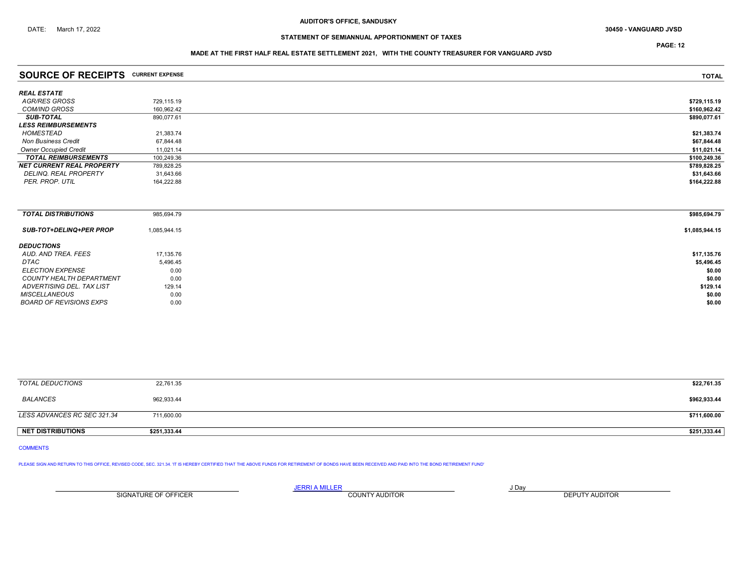PAGE: 12

### MADE AT THE FIRST HALF REAL ESTATE SETTLEMENT 2021, WITH THE COUNTY TREASURER FOR VANGUARD JVSD

| <b>SOURCE OF RECEIPTS</b>         | <b>CURRENT EXPENSE</b> | <b>TOTAL</b> |
|-----------------------------------|------------------------|--------------|
|                                   |                        |              |
| REAL ESTATE                       |                        |              |
| AGR/RES GROSS                     | 729,115.19             | \$729,115.19 |
| <i>COM/IND GROSS</i>              | 160.962.42             | \$160,962.42 |
| <b>SUB-TOTAL</b>                  | 890,077.61             | \$890,077.61 |
| <i><b>LESS REIMBURSEMENTS</b></i> |                        |              |
| HOMESTEAD                         | 21,383.74              | \$21,383.74  |
| <b>Non Business Credit</b>        | 67,844.48              | \$67,844.48  |
| <b>Owner Occupied Credit</b>      | 11,021.14              | \$11,021.14  |
| <b>TOTAL REIMBURSEMENTS</b>       | 100,249.36             | \$100,249.36 |
| NET CURRENT REAL PROPERTY         | 789,828.25             | \$789,828.25 |
| DELINQ. REAL PROPERTY             | 31,643.66              | \$31,643.66  |
| PER. PROP. UTIL                   | 164,222.88             | \$164,222.88 |
|                                   |                        |              |
|                                   |                        |              |

| <b>TOTAL DISTRIBUTIONS</b>     | 985,694.79   | \$985,694.79   |
|--------------------------------|--------------|----------------|
| <b>SUB-TOT+DELINQ+PER PROP</b> | 1,085,944.15 | \$1,085,944.15 |
| <b>DEDUCTIONS</b>              |              |                |
| AUD. AND TREA. FEES            | 17,135.76    | \$17,135.76    |
| DTAC                           | 5,496.45     | \$5,496.45     |
| <b>ELECTION EXPENSE</b>        | 0.00         | \$0.00         |
| COUNTY HEALTH DEPARTMENT       | 0.00         | \$0.00         |
| ADVERTISING DEL. TAX LIST      | 129.14       | \$129.14       |
| <b>MISCELLANEOUS</b>           | 0.00         | \$0.00         |
| <b>BOARD OF REVISIONS EXPS</b> | 0.00         | \$0.00         |

| TOTAL DEDUCTIONS            | 22,761.35    | \$22,761.35  |
|-----------------------------|--------------|--------------|
| BALANCES                    | 962,933.44   | \$962,933.44 |
| LESS ADVANCES RC SEC 321.34 | 711,600.00   | \$711,600.00 |
| <b>NET DISTRIBUTIONS</b>    | \$251,333.44 | \$251,333.44 |

COMMENTS

PLEASE SIGN AND RETURN TO THIS OFFICE, REVISED CODE, SEC. 321.34. 'IT IS HEREBY CERTIFIED THAT THE ABOVE FUNDS FOR RETIREMENT OF BONDS HAVE BEEN RECEIVED AND PAID INTO THE BOND RETIREMENT FUND'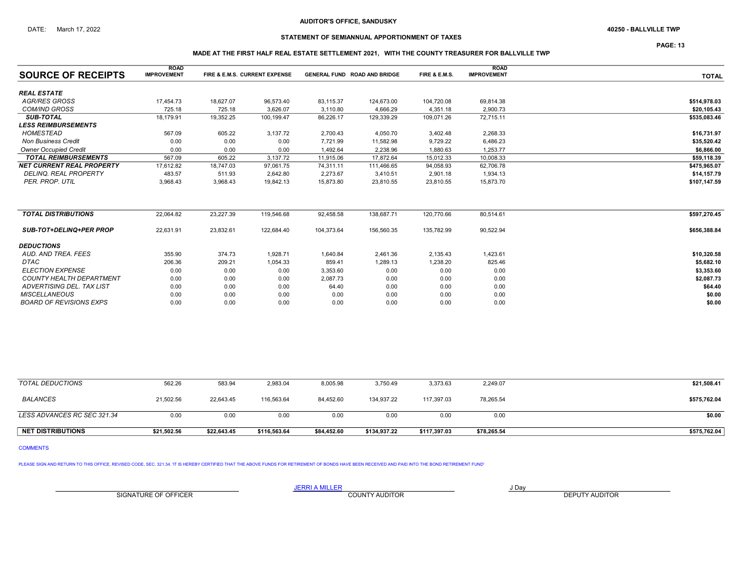## STATEMENT OF SEMIANNUAL APPORTIONMENT OF TAXES

PAGE: 13

## MADE AT THE FIRST HALF REAL ESTATE SETTLEMENT 2021, WITH THE COUNTY TREASURER FOR BALLVILLE TWP

|                                  | <b>ROAD</b>        |           |                               |            |                                     |               | <b>ROAD</b>        |              |
|----------------------------------|--------------------|-----------|-------------------------------|------------|-------------------------------------|---------------|--------------------|--------------|
| <b>SOURCE OF RECEIPTS</b>        | <b>IMPROVEMENT</b> |           | FIRE & E.M.S. CURRENT EXPENSE |            | <b>GENERAL FUND ROAD AND BRIDGE</b> | FIRE & E.M.S. | <b>IMPROVEMENT</b> | <b>TOTAL</b> |
| <b>REAL ESTATE</b>               |                    |           |                               |            |                                     |               |                    |              |
| <b>AGR/RES GROSS</b>             | 17,454.73          | 18,627.07 | 96,573.40                     | 83,115.37  | 124,673.00                          | 104,720.08    | 69,814.38          | \$514,978.03 |
| <b>COM/IND GROSS</b>             | 725.18             | 725.18    | 3,626.07                      | 3,110.80   | 4,666.29                            | 4,351.18      | 2,900.73           | \$20,105.43  |
| <b>SUB-TOTAL</b>                 | 18.179.91          | 19,352.25 | 100,199.47                    | 86,226.17  | 129,339.29                          | 109,071.26    | 72.715.11          | \$535,083.46 |
| <b>LESS REIMBURSEMENTS</b>       |                    |           |                               |            |                                     |               |                    |              |
| <b>HOMESTEAD</b>                 | 567.09             | 605.22    | 3.137.72                      | 2,700.43   | 4,050.70                            | 3,402.48      | 2,268.33           | \$16,731.97  |
| <b>Non Business Credit</b>       | 0.00               | 0.00      | 0.00                          | 7,721.99   | 11,582.98                           | 9,729.22      | 6,486.23           | \$35,520.42  |
| <b>Owner Occupied Credit</b>     | 0.00               | 0.00      | 0.00                          | 1,492.64   | 2,238.96                            | 1,880.63      | 1,253.77           | \$6,866.00   |
| <b>TOTAL REIMBURSEMENTS</b>      | 567.09             | 605.22    | 3,137.72                      | 11,915.06  | 17,872.64                           | 15,012.33     | 10,008.33          | \$59,118.39  |
| <b>NET CURRENT REAL PROPERTY</b> | 17,612.82          | 18,747.03 | 97,061.75                     | 74,311.11  | 111,466.65                          | 94,058.93     | 62,706.78          | \$475,965.07 |
| <b>DELINQ. REAL PROPERTY</b>     | 483.57             | 511.93    | 2.642.80                      | 2.273.67   | 3,410.51                            | 2,901.18      | 1.934.13           | \$14,157.79  |
| PER. PROP. UTIL                  | 3,968.43           | 3,968.43  | 19,842.13                     | 15,873.80  | 23,810.55                           | 23,810.55     | 15,873.70          | \$107,147.59 |
| <b>TOTAL DISTRIBUTIONS</b>       | 22,064.82          | 23,227.39 | 119,546.68                    | 92,458.58  | 138,687.71                          | 120,770.66    |                    | \$597,270.45 |
|                                  |                    |           |                               |            |                                     |               | 80,514.61          |              |
| <b>SUB-TOT+DELINQ+PER PROP</b>   | 22.631.91          | 23.832.61 | 122.684.40                    | 104,373.64 | 156,560.35                          | 135.782.99    | 90,522.94          | \$656,388.84 |
| <b>DEDUCTIONS</b>                |                    |           |                               |            |                                     |               |                    |              |
| AUD. AND TREA. FEES              | 355.90             | 374.73    | 1,928.71                      | 1,640.84   | 2,461.36                            | 2,135.43      | 1,423.61           | \$10,320.58  |
| DTAC                             | 206.36             | 209.21    | 1,054.33                      | 859.41     | 1,289.13                            | 1,238.20      | 825.46             | \$5,682.10   |
| <b>ELECTION EXPENSE</b>          | 0.00               | 0.00      | 0.00                          | 3,353.60   | 0.00                                | 0.00          | 0.00               | \$3,353.60   |
| <b>COUNTY HEALTH DEPARTMENT</b>  | 0.00               | 0.00      | 0.00                          | 2,087.73   | 0.00                                | 0.00          | 0.00               | \$2,087.73   |
| ADVERTISING DEL. TAX LIST        | 0.00               | 0.00      | 0.00                          | 64.40      | 0.00                                | 0.00          | 0.00               | \$64.40      |
| <b>MISCELLANEOUS</b>             | 0.00               | 0.00      | 0.00                          | 0.00       | 0.00                                | 0.00          | 0.00               | \$0.00       |
| <b>BOARD OF REVISIONS EXPS</b>   | 0.00               | 0.00      | 0.00                          | 0.00       | 0.00                                | 0.00          | 0.00               | \$0.00       |

| <b>NET DISTRIBUTIONS</b>    | \$21.502.56 | \$22,643.45 | \$116,563.64 | \$84,452.60 | \$134,937.22 | \$117,397.03 | \$78,265.54 | \$575,762.04 |
|-----------------------------|-------------|-------------|--------------|-------------|--------------|--------------|-------------|--------------|
| LESS ADVANCES RC SEC 321.34 | 0.00        | 0.00        | 0.00         | 0.00        | 0.00         | 0.00         | 0.00        | \$0.00       |
| BALANCES                    | 21.502.56   | 22.643.45   | 116.563.64   | 84.452.60   | 134.937.22   | 117.397.03   | 78,265.54   | \$575,762.04 |
| TOTAL DEDUCTIONS            | 562.26      | 583.94      | 2,983.04     | 8,005.98    | 3,750.49     | 3,373.63     | 2,249.07    | \$21,508.41  |

COMMENTS

PLEASE SIGN AND RETURN TO THIS OFFICE, REVISED CODE, SEC. 321.34. 'IT IS HEREBY CERTIFIED THAT THE ABOVE FUNDS FOR RETIREMENT OF BONDS HAVE BEEN RECEIVED AND PAID INTO THE BOND RETIREMENT FUND'

SIGNATURE OF OFFICER **EXECUTE A RELATION COUNTY AUDITOR** COUNTY AUDITOR **DEPUTY AUDITOR**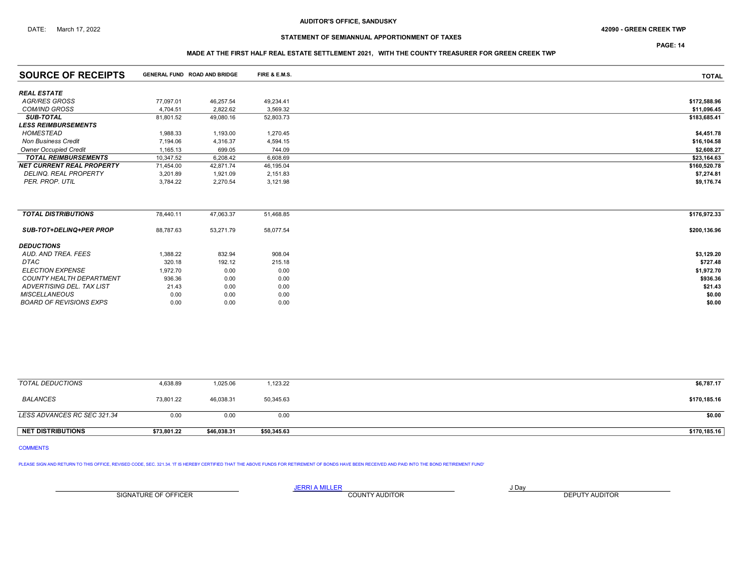### DATE: March 17, 2022 42090 - GREEN CREEK TWP

## STATEMENT OF SEMIANNUAL APPORTIONMENT OF TAXES

PAGE: 14

### MADE AT THE FIRST HALF REAL ESTATE SETTLEMENT 2021, WITH THE COUNTY TREASURER FOR GREEN CREEK TWP

| <b>SOURCE OF RECEIPTS</b>        |           | <b>GENERAL FUND ROAD AND BRIDGE</b> | FIRE & E.M.S. | <b>TOTAL</b> |
|----------------------------------|-----------|-------------------------------------|---------------|--------------|
| <b>REAL ESTATE</b>               |           |                                     |               |              |
| <b>AGR/RES GROSS</b>             | 77,097.01 | 46,257.54                           | 49,234.41     | \$172,588.96 |
| <b>COM/IND GROSS</b>             | 4,704.51  | 2,822.62                            | 3,569.32      | \$11,096.45  |
| <b>SUB-TOTAL</b>                 | 81,801.52 | 49,080.16                           | 52,803.73     | \$183,685.41 |
| <b>LESS REIMBURSEMENTS</b>       |           |                                     |               |              |
| HOMESTEAD                        | 1,988.33  | 1,193.00                            | 1,270.45      | \$4,451.78   |
| <b>Non Business Credit</b>       | 7.194.06  | 4,316.37                            | 4,594.15      | \$16,104.58  |
| <b>Owner Occupied Credit</b>     | 1,165.13  | 699.05                              | 744.09        | \$2,608.27   |
| <b>TOTAL REIMBURSEMENTS</b>      | 10,347.52 | 6,208.42                            | 6,608.69      | \$23,164.63  |
| <b>NET CURRENT REAL PROPERTY</b> | 71,454.00 | 42.871.74                           | 46,195.04     | \$160,520.78 |
| DELINQ. REAL PROPERTY            | 3,201.89  | 1,921.09                            | 2,151.83      | \$7,274.81   |
| PER. PROP. UTIL                  | 3,784.22  | 2,270.54                            | 3,121.98      | \$9,176.74   |
|                                  |           |                                     |               |              |
| <b>TOTAL DISTRIBUTIONS</b>       | 78,440.11 | 47,063.37                           | 51,468.85     | \$176,972.33 |
|                                  |           |                                     |               |              |
| <b>SUB-TOT+DELINQ+PER PROP</b>   | 88,787.63 | 53,271.79                           | 58,077.54     | \$200,136.96 |
| <b>DEDUCTIONS</b>                |           |                                     |               |              |
| AUD. AND TREA. FEES              | 1,388.22  | 832.94                              | 908.04        | \$3,129.20   |
| <b>DTAC</b>                      | 320.18    | 192.12                              | 215.18        | \$727.48     |
| <b>ELECTION EXPENSE</b>          | 1,972.70  | 0.00                                | 0.00          | \$1,972.70   |
| <b>COUNTY HEALTH DEPARTMENT</b>  | 936.36    | 0.00                                | 0.00          | \$936.36     |
| ADVERTISING DEL. TAX LIST        | 21.43     | 0.00                                | 0.00          | \$21.43      |
| <b>MISCELLANEOUS</b>             | 0.00      | 0.00                                | 0.00          | \$0.00       |
| <b>BOARD OF REVISIONS EXPS</b>   | 0.00      | 0.00                                | 0.00          | \$0.00       |

| TOTAL DEDUCTIONS            | 4,638.89    | 1,025.06    | 1,123.22    | \$6,787.17   |
|-----------------------------|-------------|-------------|-------------|--------------|
| BALANCES                    | 73.801.22   | 46.038.31   | 50,345.63   | \$170,185.16 |
| LESS ADVANCES RC SEC 321.34 | 0.00        | 0.00        | 0.00        | \$0.00       |
| <b>NET DISTRIBUTIONS</b>    | \$73.801.22 | \$46,038.31 | \$50,345.63 | \$170,185.16 |

## COMMENTS

PLEASE SIGN AND RETURN TO THIS OFFICE, REVISED CODE, SEC. 321.34. 'IT IS HEREBY CERTIFIED THAT THE ABOVE FUNDS FOR RETIREMENT OF BONDS HAVE BEEN RECEIVED AND PAID INTO THE BOND RETIREMENT FUND'

SIGNATURE OF OFFICER **EXECUTE A RELATION COUNTY AUDITOR** COUNTY AUDITOR **DEPUTY AUDITOR**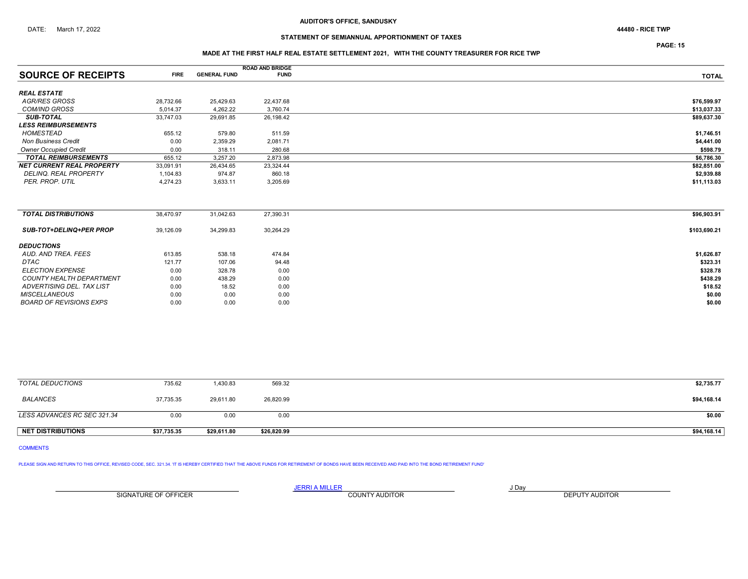## STATEMENT OF SEMIANNUAL APPORTIONMENT OF TAXES

PAGE: 15

### MADE AT THE FIRST HALF REAL ESTATE SETTLEMENT 2021, WITH THE COUNTY TREASURER FOR RICE TWP

|                                  |             |                     | <b>ROAD AND BRIDGE</b> |              |
|----------------------------------|-------------|---------------------|------------------------|--------------|
| <b>SOURCE OF RECEIPTS</b>        | <b>FIRE</b> | <b>GENERAL FUND</b> | <b>FUND</b>            | <b>TOTAL</b> |
| <b>REAL ESTATE</b>               |             |                     |                        |              |
| <b>AGR/RES GROSS</b>             | 28,732.66   | 25,429.63           | 22,437.68              | \$76,599.97  |
| <b>COM/IND GROSS</b>             | 5.014.37    | 4,262.22            | 3,760.74               | \$13,037.33  |
| <b>SUB-TOTAL</b>                 | 33,747.03   | 29,691.85           | 26,198.42              | \$89,637.30  |
| <b>LESS REIMBURSEMENTS</b>       |             |                     |                        |              |
| <b>HOMESTEAD</b>                 | 655.12      | 579.80              | 511.59                 | \$1,746.51   |
| <b>Non Business Credit</b>       | 0.00        | 2,359.29            | 2,081.71               | \$4,441.00   |
| <b>Owner Occupied Credit</b>     | 0.00        | 318.11              | 280.68                 | \$598.79     |
| <b>TOTAL REIMBURSEMENTS</b>      | 655.12      | 3,257.20            | 2,873.98               | \$6,786.30   |
| <b>NET CURRENT REAL PROPERTY</b> | 33,091.91   | 26,434.65           | 23,324.44              | \$82,851.00  |
| <b>DELINQ, REAL PROPERTY</b>     | 1,104.83    | 974.87              | 860.18                 | \$2,939.88   |
| PER. PROP. UTIL                  | 4,274.23    | 3,633.11            | 3,205.69               | \$11,113.03  |
|                                  |             |                     |                        |              |
| <b>TOTAL DISTRIBUTIONS</b>       | 38,470.97   | 31,042.63           | 27,390.31              | \$96,903.91  |
| SUB-TOT+DELINQ+PER PROP          | 39,126.09   | 34,299.83           | 30,264.29              | \$103,690.21 |
| <b>DEDUCTIONS</b>                |             |                     |                        |              |
| AUD, AND TREA, FEES              | 613.85      | 538.18              | 474.84                 | \$1,626.87   |
| <b>DTAC</b>                      | 121.77      | 107.06              | 94.48                  | \$323.31     |
| <b>ELECTION EXPENSE</b>          | 0.00        | 328.78              | 0.00                   | \$328.78     |
| <b>COUNTY HEALTH DEPARTMENT</b>  | 0.00        | 438.29              | 0.00                   | \$438.29     |
| ADVERTISING DEL. TAX LIST        | 0.00        | 18.52               | 0.00                   | \$18.52      |
| <b>MISCELLANEOUS</b>             | 0.00        | 0.00                | 0.00                   | \$0.00       |
| <b>BOARD OF REVISIONS EXPS</b>   | 0.00        | 0.00                | 0.00                   | \$0.00       |
|                                  |             |                     |                        |              |

| TOTAL DEDUCTIONS            | 735.62      | 1,430.83    | 569.32      | \$2,735.77  |
|-----------------------------|-------------|-------------|-------------|-------------|
| <b>BALANCES</b>             | 37,735.35   | 29,611.80   | 26,820.99   | \$94,168.14 |
| LESS ADVANCES RC SEC 321.34 | 0.00        | 0.00        | 0.00        | \$0.00      |
| <b>NET DISTRIBUTIONS</b>    | \$37,735.35 | \$29,611.80 | \$26,820.99 | \$94,168.14 |

## COMMENTS

PLEASE SIGN AND RETURN TO THIS OFFICE, REVISED CODE, SEC. 321.34. 'IT IS HEREBY CERTIFIED THAT THE ABOVE FUNDS FOR RETIREMENT OF BONDS HAVE BEEN RECEIVED AND PAID INTO THE BOND RETIREMENT FUND'

SIGNATURE OF OFFICER **EXECUTE A RELATION COUNTY AUDITOR** COUNTY AUDITOR **DEPUTY AUDITOR** 

JERRI A MILLER COUNTY AUDITOR **Fig. 1998**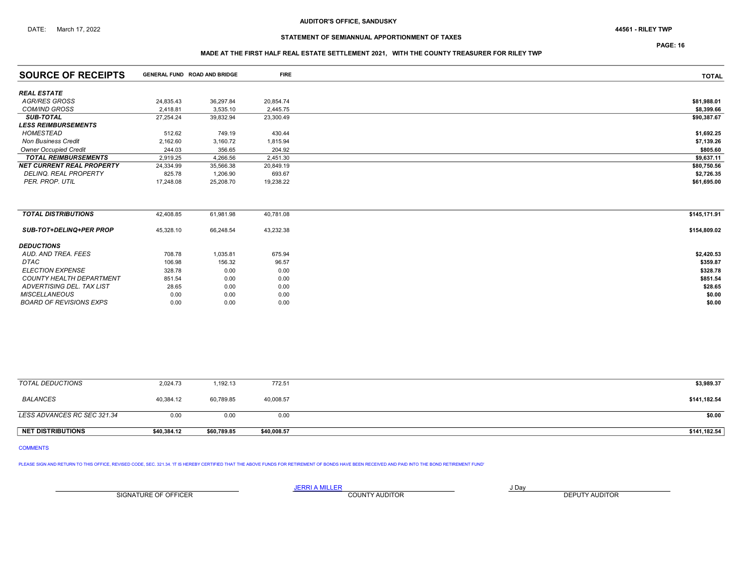## STATEMENT OF SEMIANNUAL APPORTIONMENT OF TAXES

PAGE: 16

# MADE AT THE FIRST HALF REAL ESTATE SETTLEMENT 2021, WITH THE COUNTY TREASURER FOR RILEY TWP

| <b>SOURCE OF RECEIPTS</b>        | GENERAL FUND ROAD AND BRIDGE |           | <b>FIRE</b> | <b>TOTAL</b> |
|----------------------------------|------------------------------|-----------|-------------|--------------|
| <b>REAL ESTATE</b>               |                              |           |             |              |
| <b>AGR/RES GROSS</b>             | 24,835.43                    | 36,297.84 | 20,854.74   | \$81,988.01  |
| <b>COM/IND GROSS</b>             | 2.418.81                     | 3,535.10  | 2,445.75    | \$8,399.66   |
| <b>SUB-TOTAL</b>                 | 27,254.24                    | 39,832.94 | 23,300.49   | \$90,387.67  |
| <b>LESS REIMBURSEMENTS</b>       |                              |           |             |              |
| HOMESTEAD                        | 512.62                       | 749.19    | 430.44      | \$1,692.25   |
| <b>Non Business Credit</b>       | 2,162.60                     | 3,160.72  | 1,815.94    | \$7,139.26   |
| <b>Owner Occupied Credit</b>     | 244.03                       | 356.65    | 204.92      | \$805.60     |
| <b>TOTAL REIMBURSEMENTS</b>      | 2,919.25                     | 4,266.56  | 2,451.30    | \$9,637.11   |
| <b>NET CURRENT REAL PROPERTY</b> | 24,334.99                    | 35,566.38 | 20,849.19   | \$80,750.56  |
| <b>DELINQ, REAL PROPERTY</b>     | 825.78                       | 1,206.90  | 693.67      | \$2,726.35   |
| PER. PROP. UTIL                  | 17,248.08                    | 25,208.70 | 19,238.22   | \$61,695.00  |
|                                  |                              |           |             |              |
| <b>TOTAL DISTRIBUTIONS</b>       | 42,408.85                    | 61,981.98 | 40,781.08   | \$145,171.91 |
| SUB-TOT+DELINQ+PER PROP          | 45,328.10                    | 66,248.54 | 43,232.38   | \$154,809.02 |
| <b>DEDUCTIONS</b>                |                              |           |             |              |
| AUD, AND TREA, FEES              | 708.78                       | 1,035.81  | 675.94      | \$2,420.53   |
| <b>DTAC</b>                      | 106.98                       | 156.32    | 96.57       | \$359.87     |
| <b>ELECTION EXPENSE</b>          | 328.78                       | 0.00      | 0.00        | \$328.78     |
| <b>COUNTY HEALTH DEPARTMENT</b>  | 851.54                       | 0.00      | 0.00        | \$851.54     |
| ADVERTISING DEL. TAX LIST        | 28.65                        | 0.00      | 0.00        | \$28.65      |
| <b>MISCELLANEOUS</b>             | 0.00                         | 0.00      | 0.00        | \$0.00       |
| <b>BOARD OF REVISIONS EXPS</b>   | 0.00                         | 0.00      | 0.00        | \$0.00       |

| <b>NET DISTRIBUTIONS</b>    | \$40,384.12 | \$60,789.85 | \$40,008.57 | \$141,182.54 |
|-----------------------------|-------------|-------------|-------------|--------------|
| LESS ADVANCES RC SEC 321.34 | 0.00        | 0.00        | 0.00        | \$0.00       |
| BALANCES                    | 40.384.12   | 60,789.85   | 40,008.57   | \$141,182.54 |
| TOTAL DEDUCTIONS            | 2,024.73    | 1,192.13    | 772.51      | \$3,989.37   |

### COMMENTS

PLEASE SIGN AND RETURN TO THIS OFFICE, REVISED CODE, SEC. 321.34. 'IT IS HEREBY CERTIFIED THAT THE ABOVE FUNDS FOR RETIREMENT OF BONDS HAVE BEEN RECEIVED AND PAID INTO THE BOND RETIREMENT FUND'

SIGNATURE OF OFFICER **EXECUTE A RELATION COUNTY AUDITOR** COUNTY AUDITOR **DEPUTY AUDITOR**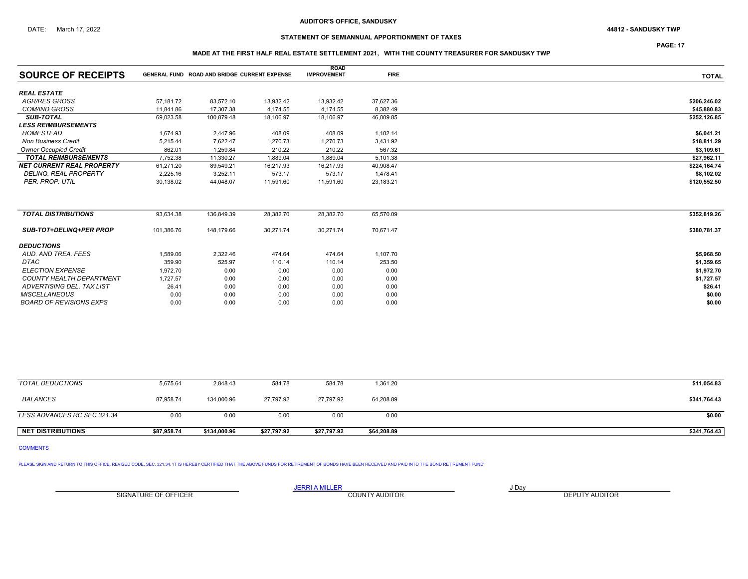## STATEMENT OF SEMIANNUAL APPORTIONMENT OF TAXES

PAGE: 17

### MADE AT THE FIRST HALF REAL ESTATE SETTLEMENT 2021, WITH THE COUNTY TREASURER FOR SANDUSKY TWP

|                                  |            |                                              |           | <b>ROAD</b>        |             |              |
|----------------------------------|------------|----------------------------------------------|-----------|--------------------|-------------|--------------|
| <b>SOURCE OF RECEIPTS</b>        |            | GENERAL FUND ROAD AND BRIDGE CURRENT EXPENSE |           | <b>IMPROVEMENT</b> | <b>FIRE</b> | <b>TOTAL</b> |
| <b>REAL ESTATE</b>               |            |                                              |           |                    |             |              |
| <b>AGR/RES GROSS</b>             | 57,181.72  | 83,572.10                                    | 13,932.42 | 13,932.42          | 37,627.36   | \$206,246.02 |
| <b>COM/IND GROSS</b>             | 11.841.86  | 17.307.38                                    | 4.174.55  | 4,174.55           | 8,382.49    | \$45,880.83  |
| <b>SUB-TOTAL</b>                 | 69,023.58  | 100,879.48                                   | 18,106.97 | 18,106.97          | 46,009.85   | \$252,126.85 |
| <b>LESS REIMBURSEMENTS</b>       |            |                                              |           |                    |             |              |
| HOMESTEAD                        | 1,674.93   | 2,447.96                                     | 408.09    | 408.09             | 1,102.14    | \$6,041.21   |
| <b>Non Business Credit</b>       | 5,215.44   | 7,622.47                                     | 1,270.73  | 1,270.73           | 3,431.92    | \$18,811.29  |
| <b>Owner Occupied Credit</b>     | 862.01     | 1,259.84                                     | 210.22    | 210.22             | 567.32      | \$3,109.61   |
| <b>TOTAL REIMBURSEMENTS</b>      | 7,752.38   | 11,330.27                                    | 1,889.04  | 1,889.04           | 5,101.38    | \$27,962.11  |
| <b>NET CURRENT REAL PROPERTY</b> | 61,271.20  | 89,549.21                                    | 16,217.93 | 16,217.93          | 40,908.47   | \$224,164.74 |
| <b>DELINQ, REAL PROPERTY</b>     | 2,225.16   | 3,252.11                                     | 573.17    | 573.17             | 1,478.41    | \$8,102.02   |
| PER. PROP. UTIL                  | 30,138.02  | 44,048.07                                    | 11,591.60 | 11,591.60          | 23,183.21   | \$120,552.50 |
| <b>TOTAL DISTRIBUTIONS</b>       | 93,634.38  | 136,849.39                                   | 28,382.70 | 28,382.70          | 65,570.09   | \$352,819.26 |
| <b>SUB-TOT+DELINQ+PER PROP</b>   | 101,386.76 | 148.179.66                                   | 30,271.74 | 30,271.74          | 70,671.47   | \$380,781.37 |
| <b>DEDUCTIONS</b>                |            |                                              |           |                    |             |              |
| AUD. AND TREA. FEES              | 1,589.06   | 2,322.46                                     | 474.64    | 474.64             | 1,107.70    | \$5,968.50   |
| <b>DTAC</b>                      | 359.90     | 525.97                                       | 110.14    | 110.14             | 253.50      | \$1,359.65   |
| <b>ELECTION EXPENSE</b>          | 1,972.70   | 0.00                                         | 0.00      | 0.00               | 0.00        | \$1,972.70   |
| <b>COUNTY HEALTH DEPARTMENT</b>  | 1,727.57   | 0.00                                         | 0.00      | 0.00               | 0.00        | \$1,727.57   |
| ADVERTISING DEL. TAX LIST        | 26.41      | 0.00                                         | 0.00      | 0.00               | 0.00        | \$26.41      |
| <b>MISCELLANEOUS</b>             | 0.00       | 0.00                                         | 0.00      | 0.00               | 0.00        | \$0.00       |
| <b>BOARD OF REVISIONS EXPS</b>   | 0.00       | 0.00                                         | 0.00      | 0.00               | 0.00        | \$0.00       |
|                                  |            |                                              |           |                    |             |              |

| <b>NET DISTRIBUTIONS</b>    | \$87.958.74 | \$134,000.96 | \$27.797.92 | \$27,797.92 | \$64,208.89 | \$341,764.43 |
|-----------------------------|-------------|--------------|-------------|-------------|-------------|--------------|
| LESS ADVANCES RC SEC 321.34 | 0.00        | 0.00         | 0.00        | 0.00        | 0.00        | \$0.00       |
|                             |             |              |             |             |             |              |
| <b>BALANCES</b>             | 87,958.74   | 134,000.96   | 27,797.92   | 27,797.92   | 64,208.89   | \$341,764.43 |
| TOTAL DEDUCTIONS            | 5,675.64    | 2,848.43     | 584.78      | 584.78      | 1,361.20    | \$11,054.83  |

COMMENTS

PLEASE SIGN AND RETURN TO THIS OFFICE, REVISED CODE, SEC. 321.34. 'IT IS HEREBY CERTIFIED THAT THE ABOVE FUNDS FOR RETIREMENT OF BONDS HAVE BEEN RECEIVED AND PAID INTO THE BOND RETIREMENT FUND'

SIGNATURE OF OFFICER **EXECUTE A RELATION COUNTY AUDITOR** COUNTY AUDITOR **DEPUTY AUDITOR**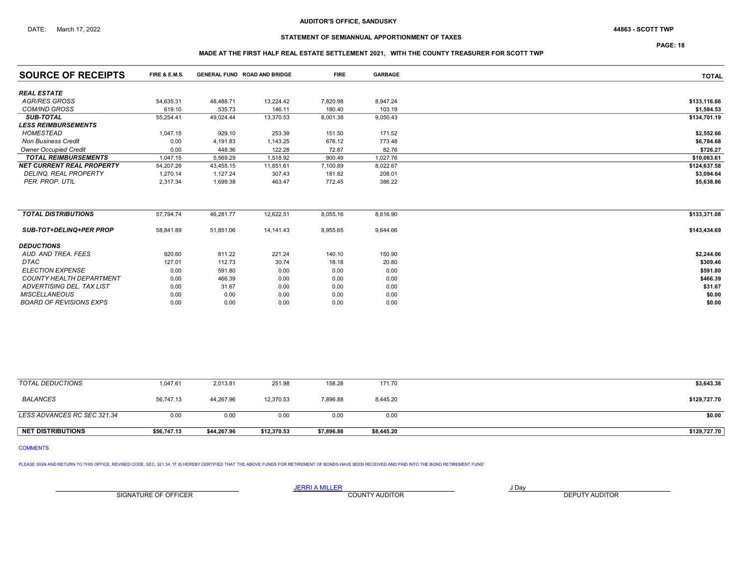## STATEMENT OF SEMIANNUAL APPORTIONMENT OF TAXES

PAGE: 18

### MADE AT THE FIRST HALF REAL ESTATE SETTLEMENT 2021, WITH THE COUNTY TREASURER FOR SCOTT TWP

| <b>SOURCE OF RECEIPTS</b>        | <b>FIRE &amp; E.M.S.</b> | <b>GENERAL FUND ROAD AND BRIDGE</b> |             | <b>FIRE</b> | <b>GARBAGE</b> | <b>TOTAL</b> |
|----------------------------------|--------------------------|-------------------------------------|-------------|-------------|----------------|--------------|
| <b>REAL ESTATE</b>               |                          |                                     |             |             |                |              |
| <b>AGR/RES GROSS</b>             | 54,635.31                | 48,488.71                           | 13,224.42   | 7,820.98    | 8,947.24       | \$133,116.66 |
| <b>COM/IND GROSS</b>             | 619.10                   | 535.73                              | 146.11      | 180.40      | 103.19         | \$1,584.53   |
| <b>SUB-TOTAL</b>                 | 55,254.41                | 49,024.44                           | 13,370.53   | 8,001.38    | 9,050.43       | \$134,701.19 |
| <b>LESS REIMBURSEMENTS</b>       |                          |                                     |             |             |                |              |
| <b>HOMESTEAD</b>                 | 1,047.15                 | 929.10                              | 253.39      | 151.50      | 171.52         | \$2,552.66   |
| <b>Non Business Credit</b>       | 0.00                     | 4,191.83                            | 1,143.25    | 676.12      | 773.48         | \$6,784.68   |
| <b>Owner Occupied Credit</b>     | 0.00                     | 448.36                              | 122.28      | 72.87       | 82.76          | \$726.27     |
| <b>TOTAL REIMBURSEMENTS</b>      | 1,047.15                 | 5,569.29                            | 1,518.92    | 900.49      | 1,027.76       | \$10,063.61  |
| <b>NET CURRENT REAL PROPERTY</b> | 54,207.26                | 43,455.15                           | 11,851.61   | 7,100.89    | 8,022.67       | \$124,637.58 |
| <b>DELINQ. REAL PROPERTY</b>     | 1,270.14                 | 1,127.24                            | 307.43      | 181.82      | 208.01         | \$3,094.64   |
| PER. PROP. UTIL                  | 2,317.34                 | 1,699.38                            | 463.47      | 772.45      | 386.22         | \$5,638.86   |
|                                  |                          |                                     |             |             |                |              |
| <b>TOTAL DISTRIBUTIONS</b>       | 57,794.74                | 46,281.77                           | 12,622.51   | 8,055.16    | 8,616.90       | \$133,371.08 |
| <b>SUB-TOT+DELINQ+PER PROP</b>   | 58,841.89                | 51,851.06                           | 14, 141. 43 | 8,955.65    | 9,644.66       | \$143,434.69 |
| <b>DEDUCTIONS</b>                |                          |                                     |             |             |                |              |
| AUD, AND TREA, FEES              | 920.60                   | 811.22                              | 221.24      | 140.10      | 150.90         | \$2,244.06   |
| <b>DTAC</b>                      | 127.01                   | 112.73                              | 30.74       | 18.18       | 20.80          | \$309.46     |
| <b>ELECTION EXPENSE</b>          | 0.00                     | 591.80                              | 0.00        | 0.00        | 0.00           | \$591.80     |
| <b>COUNTY HEALTH DEPARTMENT</b>  | 0.00                     | 466.39                              | 0.00        | 0.00        | 0.00           | \$466.39     |
| ADVERTISING DEL. TAX LIST        | 0.00                     | 31.67                               | 0.00        | 0.00        | 0.00           | \$31.67      |
| <b>MISCELLANEOUS</b>             | 0.00                     | 0.00                                | 0.00        | 0.00        | 0.00           | \$0.00       |
| <b>BOARD OF REVISIONS EXPS</b>   | 0.00                     | 0.00                                | 0.00        | 0.00        | 0.00           | \$0.00       |

| <b>NET DISTRIBUTIONS</b>    | \$56,747.13 | \$44.267.96 | \$12,370.53 | \$7,896.88 | \$8,445.20 | \$129,727.70 |
|-----------------------------|-------------|-------------|-------------|------------|------------|--------------|
| LESS ADVANCES RC SEC 321.34 | 0.00        | 0.00        | 0.00        | 0.00       | 0.00       | \$0.00       |
| <b>BALANCES</b>             | 56,747.13   | 44,267.96   | 12,370.53   | 7,896.88   | 8,445.20   | \$129,727.70 |
| TOTAL DEDUCTIONS            | 1,047.61    | 2,013.81    | 251.98      | 158.28     | 171.70     | \$3,643.38   |

## COMMENTS

PLEASE SIGN AND RETURN TO THIS OFFICE, REVISED CODE, SEC. 321.34. 'IT IS HEREBY CERTIFIED THAT THE ABOVE FUNDS FOR RETIREMENT OF BONDS HAVE BEEN RECEIVED AND PAID INTO THE BOND RETIREMENT FUND'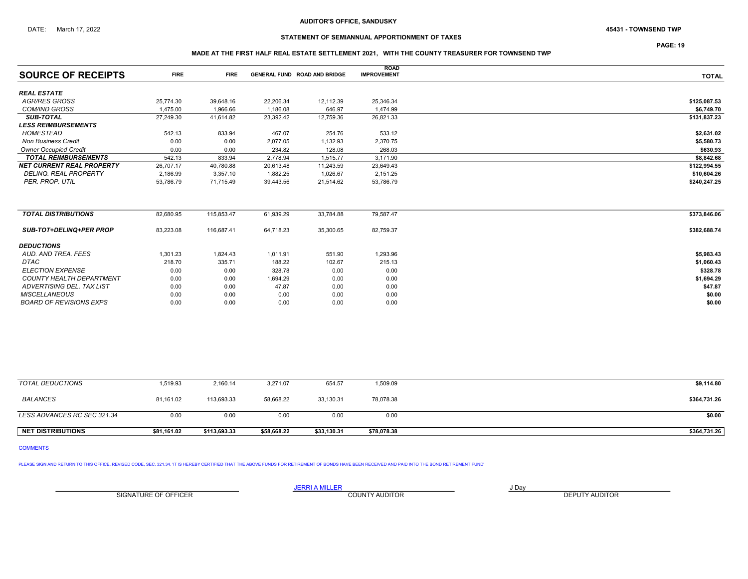## STATEMENT OF SEMIANNUAL APPORTIONMENT OF TAXES

PAGE: 19

### MADE AT THE FIRST HALF REAL ESTATE SETTLEMENT 2021, WITH THE COUNTY TREASURER FOR TOWNSEND TWP

| <b>SOURCE OF RECEIPTS</b>        | <b>FIRE</b> | <b>FIRE</b> |           | <b>GENERAL FUND ROAD AND BRIDGE</b> | <b>ROAD</b><br><b>IMPROVEMENT</b> | <b>TOTAL</b> |
|----------------------------------|-------------|-------------|-----------|-------------------------------------|-----------------------------------|--------------|
|                                  |             |             |           |                                     |                                   |              |
| <b>REAL ESTATE</b>               |             |             |           |                                     |                                   |              |
| <b>AGR/RES GROSS</b>             | 25,774.30   | 39,648.16   | 22,206.34 | 12,112.39                           | 25,346.34                         | \$125,087.53 |
| <b>COM/IND GROSS</b>             | 1,475.00    | 1,966.66    | 1,186.08  | 646.97                              | 1,474.99                          | \$6,749.70   |
| <b>SUB-TOTAL</b>                 | 27,249.30   | 41,614.82   | 23,392.42 | 12,759.36                           | 26,821.33                         | \$131,837.23 |
| <b>LESS REIMBURSEMENTS</b>       |             |             |           |                                     |                                   |              |
| HOMESTEAD                        | 542.13      | 833.94      | 467.07    | 254.76                              | 533.12                            | \$2,631.02   |
| <b>Non Business Credit</b>       | 0.00        | 0.00        | 2,077.05  | 1,132.93                            | 2,370.75                          | \$5,580.73   |
| <b>Owner Occupied Credit</b>     | 0.00        | 0.00        | 234.82    | 128.08                              | 268.03                            | \$630.93     |
| <b>TOTAL REIMBURSEMENTS</b>      | 542.13      | 833.94      | 2,778.94  | 1,515.77                            | 3,171.90                          | \$8,842.68   |
| <b>NET CURRENT REAL PROPERTY</b> | 26,707.17   | 40.780.88   | 20,613.48 | 11,243.59                           | 23,649.43                         | \$122,994.55 |
| <b>DELINQ, REAL PROPERTY</b>     | 2,186.99    | 3,357.10    | 1,882.25  | 1,026.67                            | 2,151.25                          | \$10,604.26  |
| PER. PROP. UTIL                  | 53,786.79   | 71,715.49   | 39,443.56 | 21,514.62                           | 53,786.79                         | \$240,247.25 |
|                                  |             |             |           |                                     |                                   |              |
| <b>TOTAL DISTRIBUTIONS</b>       | 82,680.95   | 115,853.47  | 61,939.29 | 33,784.88                           | 79,587.47                         | \$373,846.06 |
| <b>SUB-TOT+DELINQ+PER PROP</b>   | 83,223.08   | 116,687.41  | 64,718.23 | 35,300.65                           | 82,759.37                         | \$382,688.74 |
| <b>DEDUCTIONS</b>                |             |             |           |                                     |                                   |              |
| AUD. AND TREA. FEES              | 1,301.23    | 1,824.43    | 1,011.91  | 551.90                              | 1,293.96                          | \$5,983.43   |
| DTAC                             | 218.70      | 335.71      | 188.22    | 102.67                              | 215.13                            | \$1,060.43   |
| <b>ELECTION EXPENSE</b>          | 0.00        | 0.00        | 328.78    | 0.00                                | 0.00                              | \$328.78     |
| <b>COUNTY HEALTH DEPARTMENT</b>  | 0.00        | 0.00        | 1,694.29  | 0.00                                | 0.00                              | \$1,694.29   |
| ADVERTISING DEL. TAX LIST        | 0.00        | 0.00        | 47.87     | 0.00                                | 0.00                              | \$47.87      |
| <b>MISCELLANEOUS</b>             | 0.00        | 0.00        | 0.00      | 0.00                                | 0.00                              | \$0.00       |
| <b>BOARD OF REVISIONS EXPS</b>   | 0.00        | 0.00        | 0.00      | 0.00                                | 0.00                              | \$0.00       |

| <b>NET DISTRIBUTIONS</b>    | \$81,161.02 | \$113.693.33 | \$58,668.22 | \$33,130.31 | \$78,078.38 | \$364,731.26 |
|-----------------------------|-------------|--------------|-------------|-------------|-------------|--------------|
| LESS ADVANCES RC SEC 321.34 | 0.00        | 0.00         | 0.00        | 0.00        | 0.00        | \$0.00       |
| <b>BALANCES</b>             | 81,161.02   | 113,693.33   | 58,668.22   | 33,130.31   | 78,078.38   | \$364,731.26 |
| TOTAL DEDUCTIONS            | 1,519.93    | 2,160.14     | 3,271.07    | 654.57      | 1,509.09    | \$9,114.80   |

COMMENTS

PLEASE SIGN AND RETURN TO THIS OFFICE, REVISED CODE, SEC. 321.34. IT IS HEREBY CERTIFIED THAT THE ABOVE FUNDS FOR RETIREMENT OF BONDS HAVE BEEN RECEIVED AND PAID INTO THE BOND RETIREMENT FUND'

SIGNATURE OF OFFICER **EXECUTE A RELATION COUNTY AUDITOR** COUNTY AUDITOR **DEPUTY AUDITOR**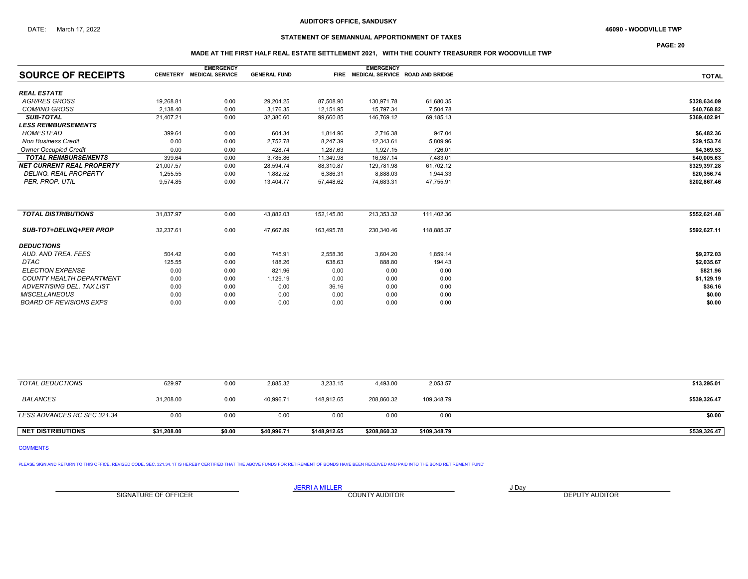## STATEMENT OF SEMIANNUAL APPORTIONMENT OF TAXES

PAGE: 20

### MADE AT THE FIRST HALF REAL ESTATE SETTLEMENT 2021, WITH THE COUNTY TREASURER FOR WOODVILLE TWP

|                                  |           | <b>EMERGENCY</b>         |                     |            | <b>EMERGENCY</b> |                                      |              |
|----------------------------------|-----------|--------------------------|---------------------|------------|------------------|--------------------------------------|--------------|
| <b>SOURCE OF RECEIPTS</b>        |           | CEMETERY MEDICAL SERVICE | <b>GENERAL FUND</b> |            |                  | FIRE MEDICAL SERVICE ROAD AND BRIDGE | <b>TOTAL</b> |
| <b>REAL ESTATE</b>               |           |                          |                     |            |                  |                                      |              |
| <b>AGR/RES GROSS</b>             | 19.268.81 | 0.00                     | 29,204.25           | 87,508.90  | 130,971.78       | 61,680.35                            | \$328,634.09 |
| <b>COM/IND GROSS</b>             | 2,138.40  | 0.00                     | 3,176.35            | 12,151.95  | 15,797.34        | 7.504.78                             | \$40,768.82  |
| <b>SUB-TOTAL</b>                 | 21,407.21 | 0.00                     | 32,380.60           | 99,660.85  | 146,769.12       | 69,185.13                            | \$369,402.91 |
| <b>LESS REIMBURSEMENTS</b>       |           |                          |                     |            |                  |                                      |              |
| <b>HOMESTEAD</b>                 | 399.64    | 0.00                     | 604.34              | 1,814.96   | 2,716.38         | 947.04                               | \$6,482.36   |
| <b>Non Business Credit</b>       | 0.00      | 0.00                     | 2,752.78            | 8,247.39   | 12,343.61        | 5,809.96                             | \$29,153.74  |
| <b>Owner Occupied Credit</b>     | 0.00      | 0.00                     | 428.74              | 1,287.63   | 1,927.15         | 726.01                               | \$4,369.53   |
| <b>TOTAL REIMBURSEMENTS</b>      | 399.64    | 0.00                     | 3,785.86            | 11,349.98  | 16,987.14        | 7,483.01                             | \$40,005.63  |
| <b>NET CURRENT REAL PROPERTY</b> | 21,007.57 | 0.00                     | 28,594.74           | 88,310.87  | 129,781.98       | 61,702.12                            | \$329,397.28 |
| <b>DELINQ, REAL PROPERTY</b>     | 1,255.55  | 0.00                     | 1.882.52            | 6,386.31   | 8,888.03         | 1,944.33                             | \$20,356.74  |
| PER. PROP. UTIL                  | 9.574.85  | 0.00                     | 13,404.77           | 57,448.62  | 74,683.31        | 47,755.91                            | \$202,867.46 |
|                                  |           |                          |                     |            |                  |                                      |              |
| <b>TOTAL DISTRIBUTIONS</b>       | 31,837.97 | 0.00                     | 43,882.03           | 152,145.80 | 213,353.32       | 111,402.36                           | \$552,621.48 |
| <b>SUB-TOT+DELINQ+PER PROP</b>   | 32,237.61 | 0.00                     | 47,667.89           | 163,495.78 | 230,340.46       | 118,885.37                           | \$592,627.11 |
| <b>DEDUCTIONS</b>                |           |                          |                     |            |                  |                                      |              |
| AUD, AND TREA, FEES              | 504.42    | 0.00                     | 745.91              | 2,558.36   | 3,604.20         | 1,859.14                             | \$9,272.03   |
| <b>DTAC</b>                      | 125.55    | 0.00                     | 188.26              | 638.63     | 888.80           | 194.43                               | \$2,035.67   |
| <b>ELECTION EXPENSE</b>          | 0.00      | 0.00                     | 821.96              | 0.00       | 0.00             | 0.00                                 | \$821.96     |
| <b>COUNTY HEALTH DEPARTMENT</b>  | 0.00      | 0.00                     | 1,129.19            | 0.00       | 0.00             | 0.00                                 | \$1,129.19   |
| <b>ADVERTISING DEL. TAX LIST</b> | 0.00      | 0.00                     | 0.00                | 36.16      | 0.00             | 0.00                                 | \$36.16      |
| <b>MISCELLANEOUS</b>             | 0.00      | 0.00                     | 0.00                | 0.00       | 0.00             | 0.00                                 | \$0.00       |
| <b>BOARD OF REVISIONS EXPS</b>   | 0.00      | 0.00                     | 0.00                | 0.00       | 0.00             | 0.00                                 | \$0.00       |

| <b>NET DISTRIBUTIONS</b>    | \$31.208.00 | \$0.00 | \$40,996.71 | \$148,912.65 | \$208,860.32 | \$109,348.79 | \$539,326.47 |
|-----------------------------|-------------|--------|-------------|--------------|--------------|--------------|--------------|
| LESS ADVANCES RC SEC 321.34 | 0.00        | 0.00   | 0.00        | 0.00         | 0.00         | 0.00         | \$0.00       |
| BALANCES                    | 31,208.00   | 0.00   | 40,996.71   | 148,912.65   | 208,860.32   | 109,348.79   | \$539,326.47 |
| TOTAL DEDUCTIONS            | 629.97      | 0.00   | 2,885.32    | 3,233.15     | 4,493.00     | 2,053.57     | \$13,295.01  |

COMMENTS

PLEASE SIGN AND RETURN TO THIS OFFICE, REVISED CODE, SEC. 321.34. 'IT IS HEREBY CERTIFIED THAT THE ABOVE FUNDS FOR RETIREMENT OF BONDS HAVE BEEN RECEIVED AND PAID INTO THE BOND RETIREMENT FUND'

SIGNATURE OF OFFICER **EXECUTE A RELATION COUNTY AUDITOR** COUNTY AUDITOR **DEPUTY AUDITOR**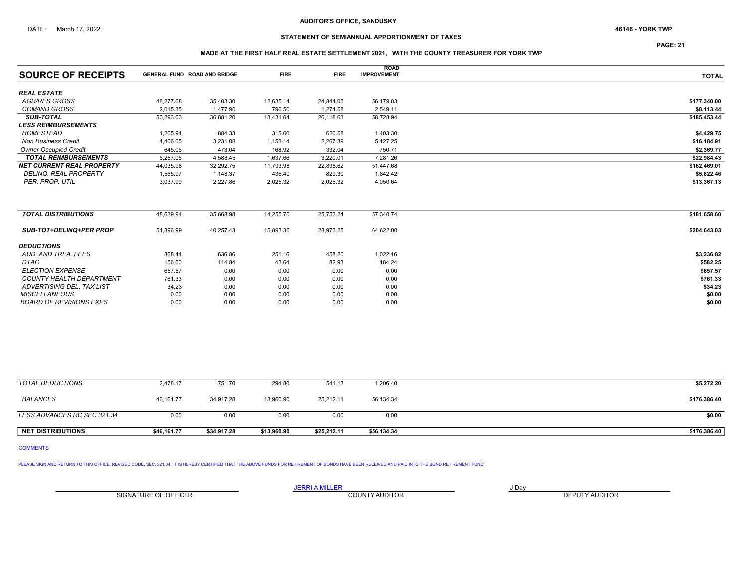## STATEMENT OF SEMIANNUAL APPORTIONMENT OF TAXES

PAGE: 21

### MADE AT THE FIRST HALF REAL ESTATE SETTLEMENT 2021, WITH THE COUNTY TREASURER FOR YORK TWP

| <b>SOURCE OF RECEIPTS</b>        | <b>GENERAL FUND ROAD AND BRIDGE</b> |           | <b>FIRE</b> | <b>FIRE</b> | <b>ROAD</b><br><b>IMPROVEMENT</b> | <b>TOTAL</b> |
|----------------------------------|-------------------------------------|-----------|-------------|-------------|-----------------------------------|--------------|
|                                  |                                     |           |             |             |                                   |              |
| <b>REAL ESTATE</b>               |                                     |           |             |             |                                   |              |
| <b>AGR/RES GROSS</b>             | 48,277.68                           | 35,403.30 | 12,635.14   | 24,844.05   | 56,179.83                         | \$177,340.00 |
| <b>COM/IND GROSS</b>             | 2,015.35                            | 1,477.90  | 796.50      | 1,274.58    | 2,549.11                          | \$8,113.44   |
| <b>SUB-TOTAL</b>                 | 50,293.03                           | 36,881.20 | 13,431.64   | 26,118.63   | 58,728.94                         | \$185,453.44 |
| <b>LESS REIMBURSEMENTS</b>       |                                     |           |             |             |                                   |              |
| <b>HOMESTEAD</b>                 | 1,205.94                            | 884.33    | 315.60      | 620.58      | 1,403.30                          | \$4,429.75   |
| <b>Non Business Credit</b>       | 4,406.05                            | 3,231.08  | 1,153.14    | 2,267.39    | 5,127.25                          | \$16,184.91  |
| <b>Owner Occupied Credit</b>     | 645.06                              | 473.04    | 168.92      | 332.04      | 750.71                            | \$2,369.77   |
| <b>TOTAL REIMBURSEMENTS</b>      | 6,257.05                            | 4,588.45  | 1,637.66    | 3,220.01    | 7,281.26                          | \$22,984.43  |
| <b>NET CURRENT REAL PROPERTY</b> | 44,035.98                           | 32,292.75 | 11,793.98   | 22,898.62   | 51,447.68                         | \$162,469.01 |
| <b>DELINQ, REAL PROPERTY</b>     | 1,565.97                            | 1,148.37  | 436.40      | 829.30      | 1,842.42                          | \$5,822.46   |
| PER. PROP. UTIL                  | 3.037.99                            | 2,227.86  | 2,025.32    | 2,025.32    | 4,050.64                          | \$13,367.13  |
|                                  |                                     |           |             |             |                                   |              |
| <b>TOTAL DISTRIBUTIONS</b>       | 48,639.94                           | 35,668.98 | 14,255.70   | 25,753.24   | 57,340.74                         | \$181,658.60 |
| <b>SUB-TOT+DELINQ+PER PROP</b>   | 54,896.99                           | 40,257.43 | 15,893.36   | 28,973.25   | 64,622.00                         | \$204,643.03 |
| <b>DEDUCTIONS</b>                |                                     |           |             |             |                                   |              |
| AUD, AND TREA, FEES              | 868.44                              | 636.86    | 251.16      | 458.20      | 1,022.16                          | \$3,236.82   |
| <b>DTAC</b>                      | 156.60                              | 114.84    | 43.64       | 82.93       | 184.24                            | \$582.25     |
| <b>ELECTION EXPENSE</b>          | 657.57                              | 0.00      | 0.00        | 0.00        | 0.00                              | \$657.57     |
| <b>COUNTY HEALTH DEPARTMENT</b>  | 761.33                              | 0.00      | 0.00        | 0.00        | 0.00                              | \$761.33     |
| ADVERTISING DEL. TAX LIST        | 34.23                               | 0.00      | 0.00        | 0.00        | 0.00                              | \$34.23      |
| <b>MISCELLANEOUS</b>             | 0.00                                | 0.00      | 0.00        | 0.00        | 0.00                              | \$0.00       |

| <b>NET DISTRIBUTIONS</b>    | \$46,161.77 | \$34,917.28 | \$13,960.90 | \$25,212.11 | \$56,134.34 | \$176,386.40 |
|-----------------------------|-------------|-------------|-------------|-------------|-------------|--------------|
| LESS ADVANCES RC SEC 321.34 | 0.00        | 0.00        | 0.00        | 0.00        | 0.00        | \$0.00       |
| <b>BALANCES</b>             | 46, 161. 77 | 34,917.28   | 13,960.90   | 25,212.11   | 56,134.34   | \$176,386.40 |
| TOTAL DEDUCTIONS            | 2,478.17    | 751.70      | 294.80      | 541.13      | 1,206.40    | \$5,272.20   |

 $BOARD \, OF \, REVISIONS \, EXPS$   $10.00$   $0.00$   $0.00$   $0.00$   $0.00$   $0.00$   $0.00$   $0.00$   $0.00$   $0.00$   $0.00$   $0.00$   $0.00$   $0.00$   $0.00$ 

COMMENTS

PLEASE SIGN AND RETURN TO THIS OFFICE, REVISED CODE, SEC. 321.34. IT IS HEREBY CERTIFIED THAT THE ABOVE FUNDS FOR RETIREMENT OF BONDS HAVE BEEN RECEIVED AND PAID INTO THE BOND RETIREMENT FUND'

SIGNATURE OF OFFICER **EXECUTE A RELATION COUNTY AUDITOR** COUNTY AUDITOR **DEPUTY AUDITOR**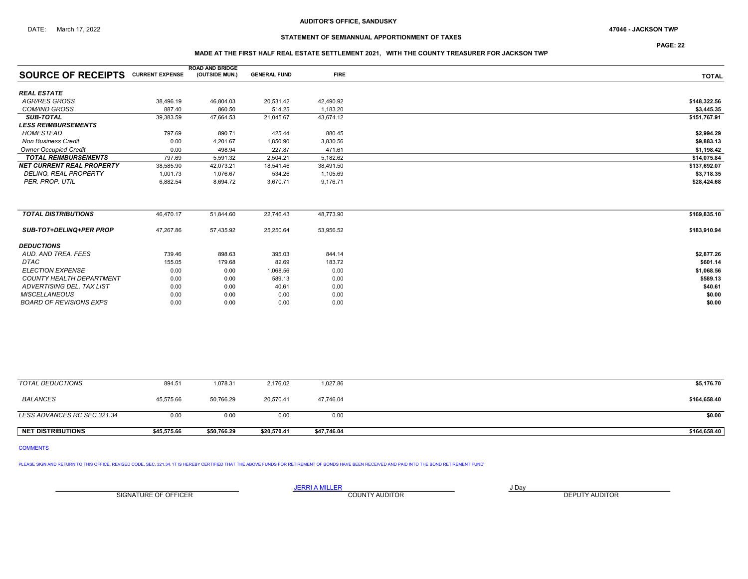## STATEMENT OF SEMIANNUAL APPORTIONMENT OF TAXES

PAGE: 22

### MADE AT THE FIRST HALF REAL ESTATE SETTLEMENT 2021, WITH THE COUNTY TREASURER FOR JACKSON TWP

|                                           |           | <b>ROAD AND BRIDGE</b> |                     |             |              |
|-------------------------------------------|-----------|------------------------|---------------------|-------------|--------------|
| <b>SOURCE OF RECEIPTS CURRENT EXPENSE</b> |           | (OUTSIDE MUN.)         | <b>GENERAL FUND</b> | <b>FIRE</b> | <b>TOTAL</b> |
| <b>REAL ESTATE</b>                        |           |                        |                     |             |              |
| <b>AGR/RES GROSS</b>                      | 38,496.19 | 46,804.03              | 20,531.42           | 42,490.92   | \$148,322.56 |
| <b>COM/IND GROSS</b>                      | 887.40    | 860.50                 | 514.25              | 1,183.20    | \$3,445.35   |
| <b>SUB-TOTAL</b>                          | 39,383.59 | 47,664.53              | 21,045.67           | 43,674.12   | \$151,767.91 |
| <b>LESS REIMBURSEMENTS</b>                |           |                        |                     |             |              |
| <b>HOMESTEAD</b>                          | 797.69    | 890.71                 | 425.44              | 880.45      | \$2,994.29   |
| <b>Non Business Credit</b>                | 0.00      | 4,201.67               | 1,850.90            | 3,830.56    | \$9,883.13   |
| <b>Owner Occupied Credit</b>              | 0.00      | 498.94                 | 227.87              | 471.61      | \$1,198.42   |
| <b>TOTAL REIMBURSEMENTS</b>               | 797.69    | 5,591.32               | 2,504.21            | 5,182.62    | \$14,075.84  |
| <b>NET CURRENT REAL PROPERTY</b>          | 38,585.90 | 42,073.21              | 18,541.46           | 38,491.50   | \$137,692.07 |
| DELINQ. REAL PROPERTY                     | 1,001.73  | 1,076.67               | 534.26              | 1,105.69    | \$3,718.35   |
| PER. PROP. UTIL                           | 6,882.54  | 8.694.72               | 3,670.71            | 9,176.71    | \$28,424.68  |
|                                           |           |                        |                     |             |              |
| <b>TOTAL DISTRIBUTIONS</b>                | 46,470.17 | 51,844.60              | 22,746.43           | 48,773.90   | \$169,835.10 |
| <b>SUB-TOT+DELINQ+PER PROP</b>            | 47,267.86 | 57,435.92              | 25,250.64           | 53,956.52   | \$183,910.94 |
| <b>DEDUCTIONS</b>                         |           |                        |                     |             |              |
| AUD, AND TREA, FEES                       | 739.46    | 898.63                 | 395.03              | 844.14      | \$2,877.26   |
| DTAC                                      | 155.05    | 179.68                 | 82.69               | 183.72      | \$601.14     |
| <b>ELECTION EXPENSE</b>                   | 0.00      | 0.00                   | 1,068.56            | 0.00        | \$1,068.56   |
| <b>COUNTY HEALTH DEPARTMENT</b>           | 0.00      | 0.00                   | 589.13              | 0.00        | \$589.13     |
| ADVERTISING DEL. TAX LIST                 | 0.00      | 0.00                   | 40.61               | 0.00        | \$40.61      |
| <b>MISCELLANEOUS</b>                      | 0.00      | 0.00                   | 0.00                | 0.00        | \$0.00       |
| <b>BOARD OF REVISIONS EXPS</b>            | 0.00      | 0.00                   | 0.00                | 0.00        | \$0.00       |

| <b>NET DISTRIBUTIONS</b>    | \$45.575.66 | \$50.766.29 | \$20.570.41 | \$47,746.04 | \$164,658.40 |
|-----------------------------|-------------|-------------|-------------|-------------|--------------|
| LESS ADVANCES RC SEC 321.34 | 0.00        | 0.00        | 0.00        | 0.00        | \$0.00       |
| <b>BALANCES</b>             | 45,575.66   | 50,766.29   | 20,570.41   | 47,746.04   | \$164,658.40 |
| TOTAL DEDUCTIONS            | 894.51      | 1,078.31    | 2,176.02    | 1,027.86    | \$5,176.70   |

## COMMENTS

PLEASE SIGN AND RETURN TO THIS OFFICE, REVISED CODE, SEC. 321.34. 'IT IS HEREBY CERTIFIED THAT THE ABOVE FUNDS FOR RETIREMENT OF BONDS HAVE BEEN RECEIVED AND PAID INTO THE BOND RETIREMENT FUND'

SIGNATURE OF OFFICER **EXECUTE A RELATION COUNTY AUDITOR** COUNTY AUDITOR **DEPUTY AUDITOR** 

JERRI A MILLER COUNTY AUDITOR **Fig. 1998**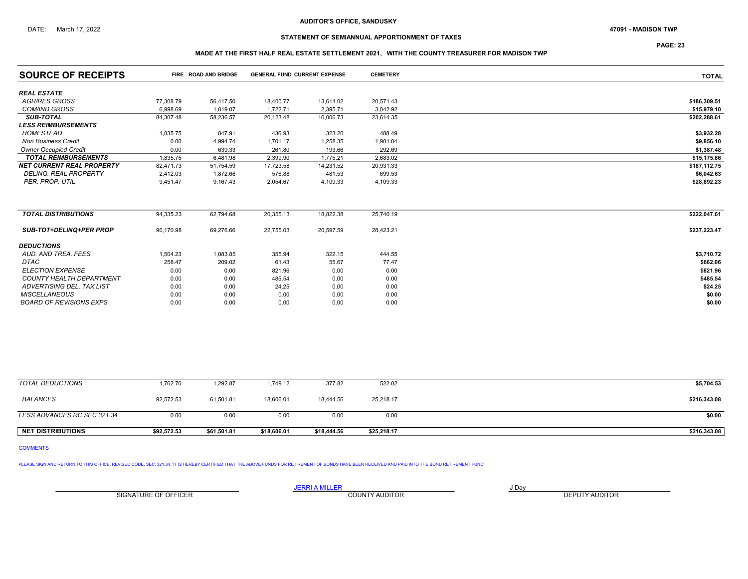## STATEMENT OF SEMIANNUAL APPORTIONMENT OF TAXES

PAGE: 23

## MADE AT THE FIRST HALF REAL ESTATE SETTLEMENT 2021, WITH THE COUNTY TREASURER FOR MADISON TWP

| <b>SOURCE OF RECEIPTS</b>        | FIRE ROAD AND BRIDGE |           | <b>GENERAL FUND CURRENT EXPENSE</b> |           | <b>CEMETERY</b> | <b>TOTAL</b> |
|----------------------------------|----------------------|-----------|-------------------------------------|-----------|-----------------|--------------|
| <b>REAL ESTATE</b>               |                      |           |                                     |           |                 |              |
| <b>AGR/RES GROSS</b>             | 77,308.79            | 56,417.50 | 18,400.77                           | 13,611.02 | 20,571.43       | \$186,309.51 |
| <b>COM/IND GROSS</b>             | 6.998.69             | 1.819.07  | 1,722.71                            | 2,395.71  | 3,042.92        | \$15,979.10  |
| <b>SUB-TOTAL</b>                 | 84,307.48            | 58,236.57 | 20,123.48                           | 16,006.73 | 23,614.35       | \$202,288.61 |
| <b>LESS REIMBURSEMENTS</b>       |                      |           |                                     |           |                 |              |
| HOMESTEAD                        | 1,835.75             | 847.91    | 436.93                              | 323.20    | 488.49          | \$3,932.28   |
| <b>Non Business Credit</b>       | 0.00                 | 4,994.74  | 1,701.17                            | 1,258.35  | 1,901.84        | \$9,856.10   |
| <b>Owner Occupied Credit</b>     | 0.00                 | 639.33    | 261.80                              | 193.66    | 292.69          | \$1,387.48   |
| <b>TOTAL REIMBURSEMENTS</b>      | 1,835.75             | 6.481.98  | 2,399.90                            | 1,775.21  | 2,683.02        | \$15,175.86  |
| <b>NET CURRENT REAL PROPERTY</b> | 82.471.73            | 51.754.59 | 17,723.58                           | 14,231.52 | 20,931.33       | \$187,112.75 |
| <b>DELINQ, REAL PROPERTY</b>     | 2,412.03             | 1,872.66  | 576.88                              | 481.53    | 699.53          | \$6,042.63   |
| PER. PROP. UTIL                  | 9,451.47             | 9,167.43  | 2,054.67                            | 4,109.33  | 4,109.33        | \$28,892.23  |
| <b>TOTAL DISTRIBUTIONS</b>       | 94,335.23            | 62,794.68 | 20,355.13                           | 18,822.38 | 25,740.19       | \$222,047.61 |
| <b>SUB-TOT+DELINQ+PER PROP</b>   | 96,170.98            | 69,276.66 | 22,755.03                           | 20,597.59 | 28,423.21       | \$237,223.47 |
| <b>DEDUCTIONS</b>                |                      |           |                                     |           |                 |              |
| AUD. AND TREA. FEES              | 1,504.23             | 1,083.85  | 355.94                              | 322.15    | 444.55          | \$3,710.72   |
| <b>DTAC</b>                      | 258.47               | 209.02    | 61.43                               | 55.67     | 77.47           | \$662.06     |
| <b>ELECTION EXPENSE</b>          | 0.00                 | 0.00      | 821.96                              | 0.00      | 0.00            | \$821.96     |
| <b>COUNTY HEALTH DEPARTMENT</b>  | 0.00                 | 0.00      | 485.54                              | 0.00      | 0.00            | \$485.54     |
| ADVERTISING DEL. TAX LIST        | 0.00                 | 0.00      | 24.25                               | 0.00      | 0.00            | \$24.25      |
| <b>MISCELLANEOUS</b>             | 0.00                 | 0.00      | 0.00                                | 0.00      | 0.00            | \$0.00       |
| <b>BOARD OF REVISIONS EXPS</b>   | 0.00                 | 0.00      | 0.00                                | 0.00      | 0.00            | \$0.00       |

| <b>NET DISTRIBUTIONS</b>    | \$92.572.53 | \$61,501.81 | \$18,606.01 | \$18,444.56 | \$25,218.17 | \$216,343.08 |
|-----------------------------|-------------|-------------|-------------|-------------|-------------|--------------|
| LESS ADVANCES RC SEC 321.34 | 0.00        | 0.00        | 0.00        | 0.00        | 0.00        | \$0.00       |
| <b>BALANCES</b>             | 92,572.53   | 61,501.81   | 18,606.01   | 18,444.56   | 25,218.17   | \$216,343.08 |
| TOTAL DEDUCTIONS            | 1,762.70    | 1,292.87    | .749.12     | 377.82      | 522.02      | \$5,704.53   |

COMMENTS

PLEASE SIGN AND RETURN TO THIS OFFICE, REVISED CODE, SEC. 321.34. 'IT IS HEREBY CERTIFIED THAT THE ABOVE FUNDS FOR RETIREMENT OF BONDS HAVE BEEN RECEIVED AND PAID INTO THE BOND RETIREMENT FUND'

SIGNATURE OF OFFICER **EXECUTE A RELATION COUNTY AUDITOR** COUNTY AUDITOR **DEPUTY AUDITOR**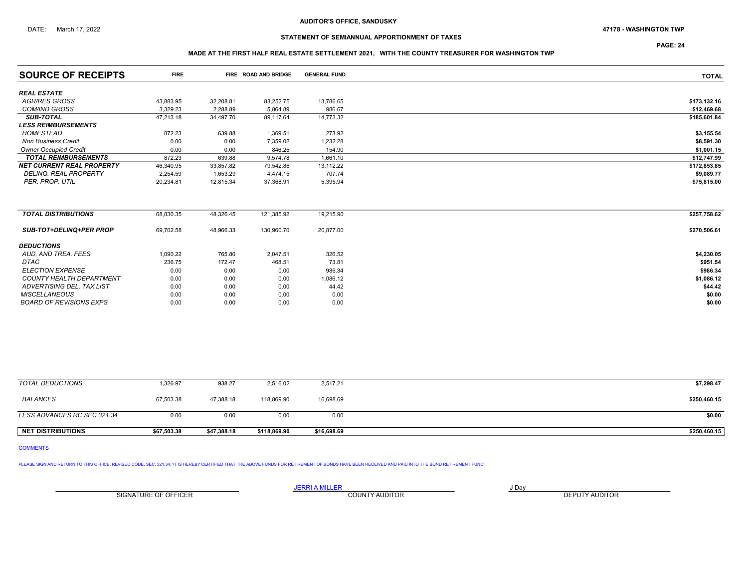### DATE: March 17, 2022 47178 - WASHINGTON TWP

## STATEMENT OF SEMIANNUAL APPORTIONMENT OF TAXES

# MADE AT THE FIRST HALF REAL ESTATE SETTLEMENT 2021, WITH THE COUNTY TREASURER FOR WASHINGTON TWP

| <b>SOURCE OF RECEIPTS</b>        | <b>FIRE</b> |           | FIRE ROAD AND BRIDGE | <b>GENERAL FUND</b> | <b>TOTAL</b> |
|----------------------------------|-------------|-----------|----------------------|---------------------|--------------|
| <b>REAL ESTATE</b>               |             |           |                      |                     |              |
| <b>AGR/RES GROSS</b>             | 43,883.95   | 32,208.81 | 83,252.75            | 13,786.65           | \$173,132.16 |
| <b>COM/IND GROSS</b>             | 3.329.23    | 2.288.89  | 5,864.89             | 986.67              | \$12,469.68  |
| <b>SUB-TOTAL</b>                 | 47,213.18   | 34.497.70 | 89.117.64            | 14,773.32           | \$185,601.84 |
| <b>LESS REIMBURSEMENTS</b>       |             |           |                      |                     |              |
| HOMESTEAD                        | 872.23      | 639.88    | 1,369.51             | 273.92              | \$3,155.54   |
| <b>Non Business Credit</b>       | 0.00        | 0.00      | 7,359.02             | 1,232.28            | \$8,591.30   |
| <b>Owner Occupied Credit</b>     | 0.00        | 0.00      | 846.25               | 154.90              | \$1,001.15   |
| <b>TOTAL REIMBURSEMENTS</b>      | 872.23      | 639.88    | 9,574.78             | 1,661.10            | \$12,747.99  |
| <b>NET CURRENT REAL PROPERTY</b> | 46,340.95   | 33,857.82 | 79,542.86            | 13,112.22           | \$172,853.85 |
| <b>DELINQ, REAL PROPERTY</b>     | 2,254.59    | 1,653.29  | 4,474.15             | 707.74              | \$9,089.77   |
| PER. PROP. UTIL                  | 20,234.81   | 12,815.34 | 37,368.91            | 5,395.94            | \$75,815.00  |
|                                  |             |           |                      |                     |              |
| <b>TOTAL DISTRIBUTIONS</b>       | 68,830.35   | 48,326.45 | 121,385.92           | 19,215.90           | \$257,758.62 |
| <b>SUB-TOT+DELINQ+PER PROP</b>   | 69,702.58   | 48,966.33 | 130,960.70           | 20,877.00           | \$270,506.61 |
| <b>DEDUCTIONS</b>                |             |           |                      |                     |              |
| AUD, AND TREA, FEES              | 1,090.22    | 765.80    | 2.047.51             | 326.52              | \$4,230.05   |
| <b>DTAC</b>                      | 236.75      | 172.47    | 468.51               | 73.81               | \$951.54     |
| <b>ELECTION EXPENSE</b>          | 0.00        | 0.00      | 0.00                 | 986.34              | \$986.34     |
| <b>COUNTY HEALTH DEPARTMENT</b>  | 0.00        | 0.00      | 0.00                 | 1,086.12            | \$1,086.12   |
| ADVERTISING DEL. TAX LIST        | 0.00        | 0.00      | 0.00                 | 44.42               | \$44.42      |
| <b>MISCELLANEOUS</b>             | 0.00        | 0.00      | 0.00                 | 0.00                | \$0.00       |
| <b>BOARD OF REVISIONS EXPS</b>   | 0.00        | 0.00      | 0.00                 | 0.00                | \$0.00       |

| <b>NET DISTRIBUTIONS</b>    | \$67,503.38 | \$47,388.18 | \$118,869.90 | \$16,698.69 | \$250,460.15 |
|-----------------------------|-------------|-------------|--------------|-------------|--------------|
| LESS ADVANCES RC SEC 321.34 | 0.00        | 0.00        | 0.00         | 0.00        | \$0.00       |
| BALANCES                    | 67,503.38   | 47,388.18   | 118,869.90   | 16,698.69   | \$250,460.15 |
| TOTAL DEDUCTIONS            | 1,326.97    | 938.27      | 2,516.02     | 2,517.21    | \$7,298.47   |

## COMMENTS

PLEASE SIGN AND RETURN TO THIS OFFICE, REVISED CODE, SEC. 321.34. 'IT IS HEREBY CERTIFIED THAT THE ABOVE FUNDS FOR RETIREMENT OF BONDS HAVE BEEN RECEIVED AND PAID INTO THE BOND RETIREMENT FUND'

SIGNATURE OF OFFICER **EXECUTE A RELATION COUNTY AUDITOR** COUNTY AUDITOR **DEPUTY AUDITOR** 

JERRI A MILLER COUNTY AUDITOR **Finally COUNTY AUDITOR** 

PAGE: 24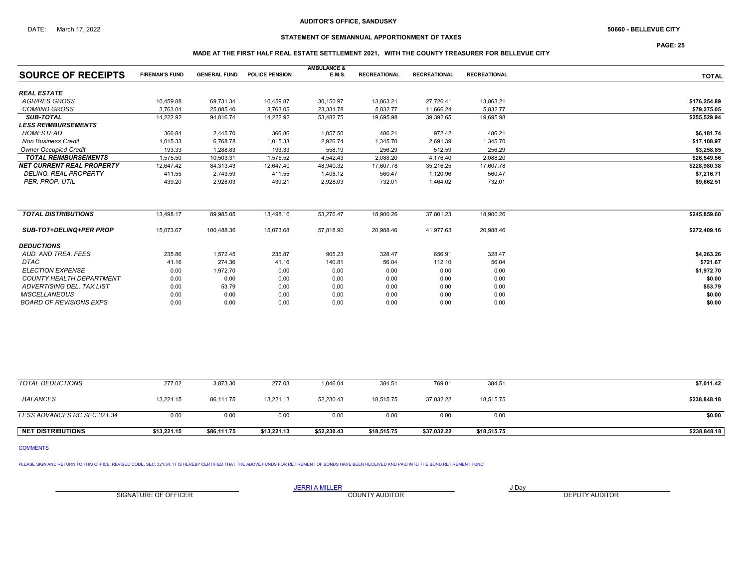## STATEMENT OF SEMIANNUAL APPORTIONMENT OF TAXES

PAGE: 25

### MADE AT THE FIRST HALF REAL ESTATE SETTLEMENT 2021, WITH THE COUNTY TREASURER FOR BELLEVUE CITY

|                                  |                       |                     |                       | <b>AMBULANCE &amp;</b> |                     |                     |                     |              |
|----------------------------------|-----------------------|---------------------|-----------------------|------------------------|---------------------|---------------------|---------------------|--------------|
| <b>SOURCE OF RECEIPTS</b>        | <b>FIREMAN'S FUND</b> | <b>GENERAL FUND</b> | <b>POLICE PENSION</b> | <b>E.M.S.</b>          | <b>RECREATIONAL</b> | <b>RECREATIONAL</b> | <b>RECREATIONAL</b> | <b>TOTAL</b> |
| <b>REAL ESTATE</b>               |                       |                     |                       |                        |                     |                     |                     |              |
| <b>AGR/RES GROSS</b>             | 10,459.88             | 69,731.34           | 10,459.87             | 30,150.97              | 13,863.21           | 27,726.41           | 13,863.21           | \$176,254.89 |
| <b>COM/IND GROSS</b>             | 3,763.04              | 25,085.40           | 3,763.05              | 23,331.78              | 5,832.77            | 11,666.24           | 5,832.77            | \$79,275.05  |
| <b>SUB-TOTAL</b>                 | 14,222.92             | 94.816.74           | 14,222.92             | 53,482.75              | 19,695.98           | 39,392.65           | 19,695.98           | \$255,529.94 |
| <b>LESS REIMBURSEMENTS</b>       |                       |                     |                       |                        |                     |                     |                     |              |
| <b>HOMESTEAD</b>                 | 366.84                | 2,445.70            | 366.86                | 1,057.50               | 486.21              | 972.42              | 486.21              | \$6,181.74   |
| <b>Non Business Credit</b>       | 1,015.33              | 6.768.78            | 1,015.33              | 2,926.74               | 1,345.70            | 2,691.39            | 1,345.70            | \$17,108.97  |
| <b>Owner Occupied Credit</b>     | 193.33                | 1.288.83            | 193.33                | 558.19                 | 256.29              | 512.59              | 256.29              | \$3,258.85   |
| <b>TOTAL REIMBURSEMENTS</b>      | 1,575.50              | 10,503.31           | 1,575.52              | 4,542.43               | 2,088.20            | 4,176.40            | 2,088.20            | \$26,549.56  |
| <b>NET CURRENT REAL PROPERTY</b> | 12,647.42             | 84,313.43           | 12,647.40             | 48,940.32              | 17,607.78           | 35,216.25           | 17,607.78           | \$228,980.38 |
| <b>DELINQ. REAL PROPERTY</b>     | 411.55                | 2,743.59            | 411.55                | 1,408.12               | 560.47              | 1,120.96            | 560.47              | \$7,216.71   |
| PER. PROP. UTIL                  | 439.20                | 2.928.03            | 439.21                | 2,928.03               | 732.01              | 1.464.02            | 732.01              | \$9.662.51   |
|                                  |                       |                     |                       |                        |                     |                     |                     |              |
| <b>TOTAL DISTRIBUTIONS</b>       | 13,498.17             | 89,985.05           | 13,498.16             | 53,276.47              | 18,900.26           | 37,801.23           | 18,900.26           | \$245,859.60 |
| <b>SUB-TOT+DELINQ+PER PROP</b>   | 15,073.67             | 100,488.36          | 15,073.68             | 57,818.90              | 20,988.46           | 41,977.63           | 20,988.46           | \$272,409.16 |
| <b>DEDUCTIONS</b>                |                       |                     |                       |                        |                     |                     |                     |              |
| AUD, AND TREA, FEES              | 235.86                | 1,572.45            | 235.87                | 905.23                 | 328.47              | 656.91              | 328.47              | \$4,263.26   |
| <b>DTAC</b>                      | 41.16                 | 274.36              | 41.16                 | 140.81                 | 56.04               | 112.10              | 56.04               | \$721.67     |
| <b>ELECTION EXPENSE</b>          | 0.00                  | 1,972.70            | 0.00                  | 0.00                   | 0.00                | 0.00                | 0.00                | \$1,972.70   |
| <b>COUNTY HEALTH DEPARTMENT</b>  | 0.00                  | 0.00                | 0.00                  | 0.00                   | 0.00                | 0.00                | 0.00                | \$0.00       |
| <b>ADVERTISING DEL. TAX LIST</b> | 0.00                  | 53.79               | 0.00                  | 0.00                   | 0.00                | 0.00                | 0.00                | \$53.79      |
| <b>MISCELLANEOUS</b>             | 0.00                  | 0.00                | 0.00                  | 0.00                   | 0.00                | 0.00                | 0.00                | \$0.00       |
| <b>BOARD OF REVISIONS EXPS</b>   | 0.00                  | 0.00                | 0.00                  | 0.00                   | 0.00                | 0.00                | 0.00                | \$0.00       |

| TOTAL DEDUCTIONS            | 277.02      | 3.873.30    | 277.03      | 1,046.04    | 384.51      | 769.01      | 384.51      | \$7,011.42   |
|-----------------------------|-------------|-------------|-------------|-------------|-------------|-------------|-------------|--------------|
| <b>BALANCES</b>             | 13.221.15   | 86.111.75   | 13.221.13   | 52.230.43   | 18.515.75   | 37.032.22   | 18,515.75   | \$238,848.18 |
| LESS ADVANCES RC SEC 321.34 | 0.00        | 0.00        | 0.00        | 0.00        | 0.00        | 0.00        | 0.00        | \$0.00       |
| <b>NET DISTRIBUTIONS</b>    | \$13.221.15 | \$86,111.75 | \$13,221.13 | \$52,230.43 | \$18,515.75 | \$37,032.22 | \$18,515.75 | \$238,848.18 |

COMMENTS

PLEASE SIGN AND RETURN TO THIS OFFICE, REVISED CODE, SEC. 321.34. 'IT IS HEREBY CERTIFIED THAT THE ABOVE FUNDS FOR RETIREMENT OF BONDS HAVE BEEN RECEIVED AND PAID INTO THE BOND RETIREMENT FUND'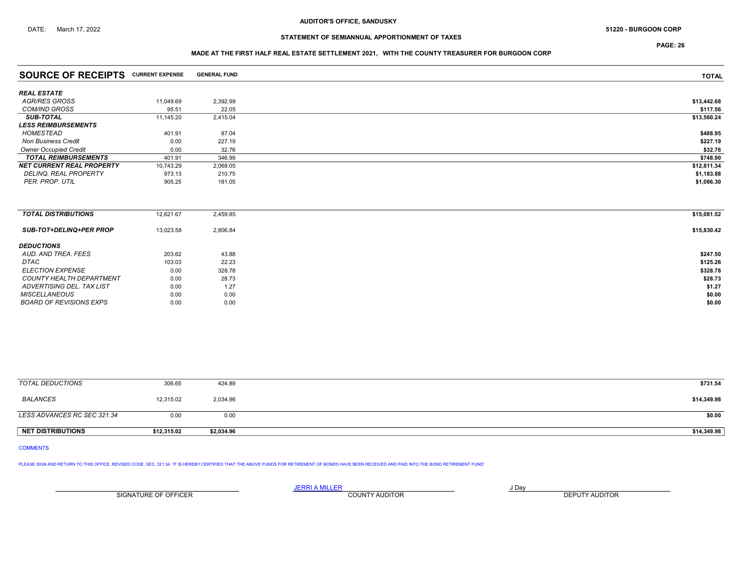## STATEMENT OF SEMIANNUAL APPORTIONMENT OF TAXES

PAGE: 26

### MADE AT THE FIRST HALF REAL ESTATE SETTLEMENT 2021, WITH THE COUNTY TREASURER FOR BURGOON CORP

| <b>SOURCE OF RECEIPTS CURRENT EXPENSE</b> |           | <b>GENERAL FUND</b> | <b>TOTAL</b> |
|-------------------------------------------|-----------|---------------------|--------------|
| <b>REAL ESTATE</b>                        |           |                     |              |
| <b>AGR/RES GROSS</b>                      | 11,049.69 | 2,392.99            | \$13,442.68  |
| <b>COM/IND GROSS</b>                      | 95.51     | 22.05               | \$117.56     |
| <b>SUB-TOTAL</b>                          | 11,145.20 | 2,415.04            | \$13,560.24  |
| <b>LESS REIMBURSEMENTS</b>                |           |                     |              |
| HOMESTEAD                                 | 401.91    | 87.04               | \$488.95     |
| <b>Non Business Credit</b>                | 0.00      | 227.19              | \$227.19     |
| <b>Owner Occupied Credit</b>              | 0.00      | 32.76               | \$32.76      |
| <b>TOTAL REIMBURSEMENTS</b>               | 401.91    | 346.99              | \$748.90     |
| <b>NET CURRENT REAL PROPERTY</b>          | 10,743.29 | 2,068.05            | \$12,811.34  |
| DELINQ. REAL PROPERTY                     | 973.13    | 210.75              | \$1,183.88   |
| PER. PROP. UTIL                           | 905.25    | 181.05              | \$1,086.30   |
|                                           |           |                     |              |
| <b>TOTAL DISTRIBUTIONS</b>                | 12,621.67 | 2,459.85            | \$15,081.52  |
| <b>SUB-TOT+DELINQ+PER PROP</b>            | 13,023.58 | 2,806.84            | \$15,830.42  |
| <b>DEDUCTIONS</b>                         |           |                     |              |
| AUD. AND TREA. FEES                       | 203.62    | 43.88               | \$247.50     |
| DTAC                                      | 103.03    | 22.23               | \$125.26     |
| <b>ELECTION EXPENSE</b>                   | 0.00      | 328.78              | \$328.78     |
| <b>COUNTY HEALTH DEPARTMENT</b>           | 0.00      | 28.73               | \$28.73      |
| ADVERTISING DEL. TAX LIST                 | 0.00      | 1.27                | \$1.27       |

| TOTAL DEDUCTIONS            | 306.65      | 424.89     | \$731.54    |
|-----------------------------|-------------|------------|-------------|
| BALANCES                    | 12,315.02   | 2,034.96   | \$14,349.98 |
| LESS ADVANCES RC SEC 321.34 | 0.00        | 0.00       | \$0.00      |
| NET DISTRIBUTIONS           | \$12,315.02 | \$2,034.96 | \$14,349.98 |

 $MISCELLANEOUS$  0.00 0.00 0.00 0.00 0.00 \$0.00 BOARD OF REVISIONS EXPS  $0.00$   $0.00$   $0.00$ 

### COMMENTS

PLEASE SIGN AND RETURN TO THIS OFFICE, REVISED CODE, SEC. 321.34. IT IS HEREBY CERTIFIED THAT THE ABOVE FUNDS FOR RETIREMENT OF BONDS HAVE BEEN RECEIVED AND PAID INTO THE BOND RETIREMENT FUND'

<u>JERRI A MILLER</u> JOAY AND A DAY SIGNATURE OF OFFICER **EXECUTS A TELEPHONE COUNTY AUDITOR DEPUTY AUDITOR DEPUTY AUDITOR**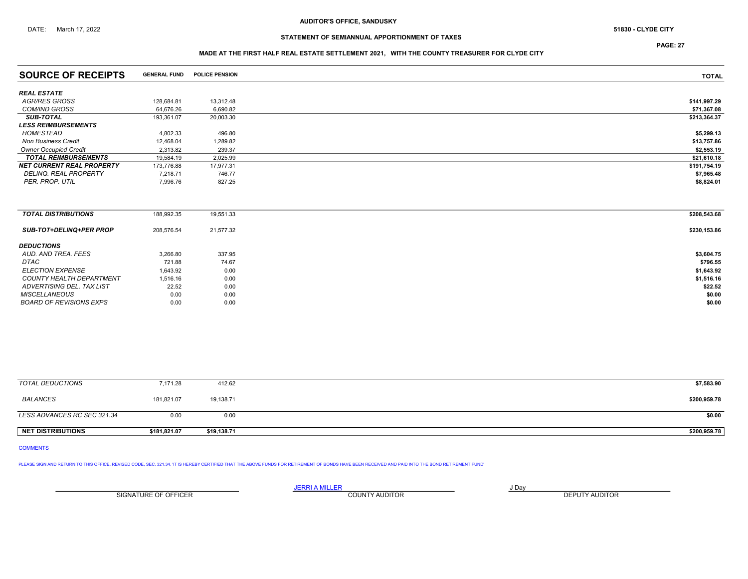## STATEMENT OF SEMIANNUAL APPORTIONMENT OF TAXES

# MADE AT THE FIRST HALF REAL ESTATE SETTLEMENT 2021, WITH THE COUNTY TREASURER FOR CLYDE CITY

| <b>SOURCE OF RECEIPTS</b>        | <b>GENERAL FUND</b> | <b>POLICE PENSION</b> | <b>TOTAL</b> |
|----------------------------------|---------------------|-----------------------|--------------|
| <b>REAL ESTATE</b>               |                     |                       |              |
| <b>AGR/RES GROSS</b>             |                     |                       |              |
|                                  | 128,684.81          | 13,312.48             | \$141,997.29 |
| <b>COM/IND GROSS</b>             | 64,676.26           | 6,690.82              | \$71,367.08  |
| <b>SUB-TOTAL</b>                 | 193,361.07          | 20,003.30             | \$213,364.37 |
| <b>LESS REIMBURSEMENTS</b>       |                     |                       |              |
| HOMESTEAD                        | 4,802.33            | 496.80                | \$5,299.13   |
| <b>Non Business Credit</b>       | 12,468.04           | 1,289.82              | \$13,757.86  |
| <b>Owner Occupied Credit</b>     | 2,313.82            | 239.37                | \$2,553.19   |
| <b>TOTAL REIMBURSEMENTS</b>      | 19,584.19           | 2,025.99              | \$21,610.18  |
| <b>NET CURRENT REAL PROPERTY</b> | 173,776.88          | 17,977.31             | \$191,754.19 |
| <b>DELINQ, REAL PROPERTY</b>     | 7,218.71            | 746.77                | \$7,965.48   |
| PER. PROP. UTIL                  | 7,996.76            | 827.25                | \$8,824.01   |
|                                  |                     |                       |              |
| <b>TOTAL DISTRIBUTIONS</b>       | 188,992.35          | 19,551.33             | \$208,543.68 |
| <b>SUB-TOT+DELINQ+PER PROP</b>   | 208,576.54          | 21,577.32             | \$230,153.86 |
| <b>DEDUCTIONS</b>                |                     |                       |              |
| AUD. AND TREA. FEES              | 3,266.80            | 337.95                | \$3,604.75   |
| DTAC                             | 721.88              | 74.67                 | \$796.55     |
| <b>ELECTION EXPENSE</b>          | 1,643.92            | 0.00                  | \$1,643.92   |
| <b>COUNTY HEALTH DEPARTMENT</b>  | 1,516.16            | 0.00                  | \$1,516.16   |
| ADVERTISING DEL. TAX LIST        | 22.52               | 0.00                  | \$22.52      |

 $MISCELLANEOUS$  0.00 0.00 0.00 0.00 0.00 \$0.00 BOARD OF REVISIONS EXPS  $0.00$   $0.00$   $0.00$ 

| TOTAL DEDUCTIONS            | 7,171.28     | 412.62      | \$7,583.90   |
|-----------------------------|--------------|-------------|--------------|
| BALANCES                    | 181,821.07   | 19,138.71   | \$200,959.78 |
| LESS ADVANCES RC SEC 321.34 | 0.00         | 0.00        | \$0.00       |
| <b>NET DISTRIBUTIONS</b>    | \$181,821.07 | \$19,138.71 | \$200,959.78 |

## COMMENTS

PLEASE SIGN AND RETURN TO THIS OFFICE, REVISED CODE, SEC. 321.34. IT IS HEREBY CERTIFIED THAT THE ABOVE FUNDS FOR RETIREMENT OF BONDS HAVE BEEN RECEIVED AND PAID INTO THE BOND RETIREMENT FUND'

JERRI A MILLER COUNTY AUDITOR **Finally COUNTY AUDITOR** SIGNATURE OF OFFICER **EXECUTE A RELATION COUNTY AUDITOR** COUNTY AUDITOR **DEPUTY AUDITOR** 

PAGE: 27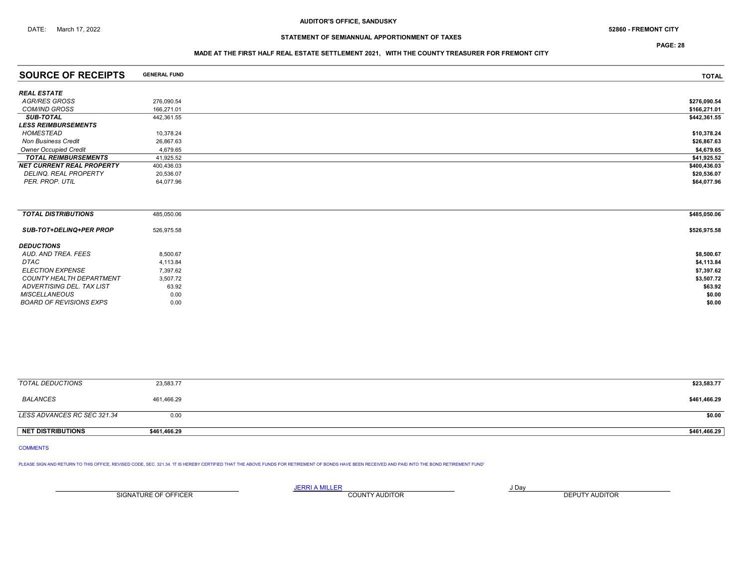PAGE: 28

### MADE AT THE FIRST HALF REAL ESTATE SETTLEMENT 2021, WITH THE COUNTY TREASURER FOR FREMONT CITY

| <b>SOURCE OF RECEIPTS</b>        | <b>GENERAL FUND</b> | <b>TOTAL</b>                                    |
|----------------------------------|---------------------|-------------------------------------------------|
| <b>REAL ESTATE</b>               |                     |                                                 |
| <b>AGR/RES GROSS</b>             | 276,090.54          | \$276,090.54                                    |
| <b>COM/IND GROSS</b>             | 166,271.01          | \$166,271.01                                    |
| <b>SUB-TOTAL</b>                 | 442,361.55          | \$442,361.55                                    |
| <b>LESS REIMBURSEMENTS</b>       |                     |                                                 |
| HOMESTEAD                        | 10,378.24           | \$10,378.24                                     |
| <b>Non Business Credit</b>       | 26,867.63           | \$26,867.63                                     |
| <b>Owner Occupied Credit</b>     | 4,679.65            | \$4,679.65                                      |
| <b>TOTAL REIMBURSEMENTS</b>      | 41,925.52           | \$41,925.52                                     |
| <b>NET CURRENT REAL PROPERTY</b> | 400,436.03          | \$400,436.03                                    |
| DELINQ. REAL PROPERTY            | 20,536.07           | \$20,536.07                                     |
| PER. PROP. UTIL                  | 64,077.96           | \$64,077.96                                     |
|                                  |                     |                                                 |
| <b>TOTAL DISTRIBUTIONS</b>       | 485,050.06          | \$485,050.06                                    |
| <b>SUB-TOT+DELINQ+PER PROP</b>   | 526,975.58          | \$526,975.58                                    |
| <b>DEDUCTIONS</b>                |                     | the contract of the contract of the contract of |
|                                  |                     |                                                 |

| ----------                |          |            |
|---------------------------|----------|------------|
| AUD. AND TREA. FEES       | 8,500.67 | \$8,500.67 |
| DTAC                      | 4,113.84 | \$4,113.84 |
| <b>ELECTION EXPENSE</b>   | 7,397.62 | \$7,397.62 |
| COUNTY HEALTH DEPARTMENT  | 3,507.72 | \$3,507.72 |
| ADVERTISING DEL. TAX LIST | 63.92    |            |
| <b>MISCELLANEOUS</b>      | 0.00     |            |
| BOARD OF REVISIONS EXPS   | 0.00     |            |
|                           |          |            |

| <b>TOTAL DEDUCTIONS</b>     | 23,583.77    | \$23,583.77  |
|-----------------------------|--------------|--------------|
| BALANCES                    | 461,466.29   | \$461,466.29 |
| LESS ADVANCES RC SEC 321.34 | 0.00         | \$0.00       |
| NET DISTRIBUTIONS           | \$461,466.29 | \$461,466.29 |

COMMENTS

PLEASE SIGN AND RETURN TO THIS OFFICE, REVISED CODE, SEC. 321.34. 'IT IS HEREBY CERTIFIED THAT THE ABOVE FUNDS FOR RETIREMENT OF BONDS HAVE BEEN RECEIVED AND PAID INTO THE BOND RETIREMENT FUND'

<u>JERRI A MILLER COUNTY AUDITOR AND BRITING COUNTY AND BRITING AND THE STATE OF A LIGHT OF A LIGHT OF A LIGHT OF A</u> SIGNATURE OF OFFICER **EXECUTE A RELATION COUNTY AUDITOR** COUNTY AUDITOR **DEPUTY AUDITOR**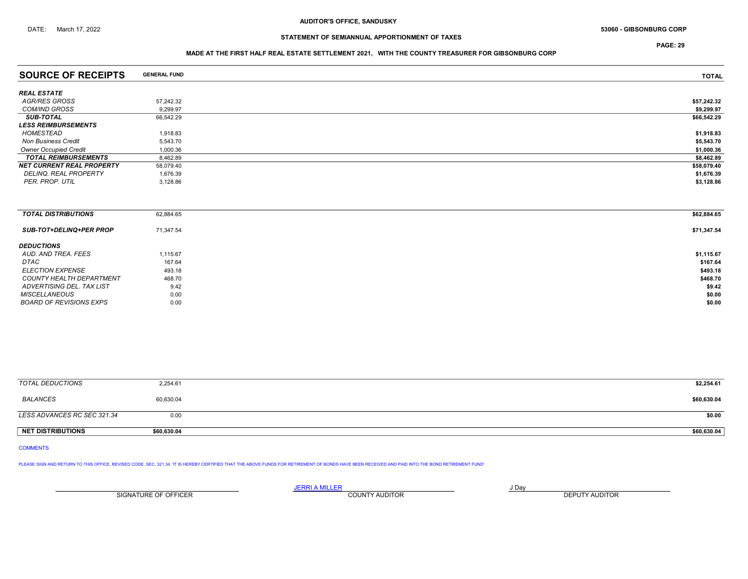DATE: March 17, 2022 **53060 - GIBSONBURG CORP** 53060 - GIBSONBURG CORP

## STATEMENT OF SEMIANNUAL APPORTIONMENT OF TAXES

PAGE: 29

### MADE AT THE FIRST HALF REAL ESTATE SETTLEMENT 2021, WITH THE COUNTY TREASURER FOR GIBSONBURG CORP

| <b>SOURCE OF RECEIPTS</b>        | <b>GENERAL FUND</b> | <b>TOTAL</b> |
|----------------------------------|---------------------|--------------|
| <b>REAL ESTATE</b>               |                     |              |
| AGR/RES GROSS                    | 57,242.32           | \$57,242.32  |
| <b>COM/IND GROSS</b>             | 9.299.97            | \$9,299.97   |
| <b>SUB-TOTAL</b>                 | 66,542.29           | \$66,542.29  |
| <b>LESS REIMBURSEMENTS</b>       |                     |              |
| HOMESTEAD                        | 1,918.83            | \$1,918.83   |
| <b>Non Business Credit</b>       | 5,543.70            | \$5,543.70   |
| <b>Owner Occupied Credit</b>     | 1,000.36            | \$1,000.36   |
| <b>TOTAL REIMBURSEMENTS</b>      | 8,462.89            | \$8,462.89   |
| <b>NET CURRENT REAL PROPERTY</b> | 58,079.40           | \$58,079.40  |
| DELINQ. REAL PROPERTY            | 1,676.39            | \$1,676.39   |
| PER. PROP. UTIL                  | 3,128.86            | \$3,128.86   |
|                                  |                     |              |
|                                  |                     |              |
| <b>TOTAL DISTRIBUTIONS</b>       | 62,884.65           | \$62,884.65  |
| <b>SUB-TOT+DELINQ+PER PROP</b>   | 71,347.54           | \$71,347.54  |
| $P = 110P 101P 101P$             |                     |              |

| <b>DEDUCTIONS</b>         |          |            |
|---------------------------|----------|------------|
| AUD. AND TREA. FEES       | 1,115.67 | \$1,115.67 |
| <b>DTAC</b>               | 167.64   | \$167.64   |
| <i>ELECTION EXPENSE</i>   | 493.18   | \$493.18   |
| COUNTY HEALTH DEPARTMENT  | 468.70   | \$468.70   |
| ADVERTISING DEL. TAX LIST | 9.42     | \$9.42     |
| <b>MISCELLANEOUS</b>      | 0.00     | \$0.00     |
| BOARD OF REVISIONS EXPS   | 0.00     | \$0.00     |
|                           |          |            |

| TOTAL DEDUCTIONS            | 2,254.61    | \$2,254.61  |
|-----------------------------|-------------|-------------|
| <b>BALANCES</b>             | 60,630.04   | \$60,630.04 |
| LESS ADVANCES RC SEC 321.34 | 0.00        | \$0.00      |
| <b>NET DISTRIBUTIONS</b>    | \$60,630.04 | \$60,630.04 |

COMMENTS

PLEASE SIGN AND RETURN TO THIS OFFICE, REVISED CODE, SEC. 321.34. 'IT IS HEREBY CERTIFIED THAT THE ABOVE FUNDS FOR RETIREMENT OF BONDS HAVE BEEN RECEIVED AND PAID INTO THE BOND RETIREMENT FUND'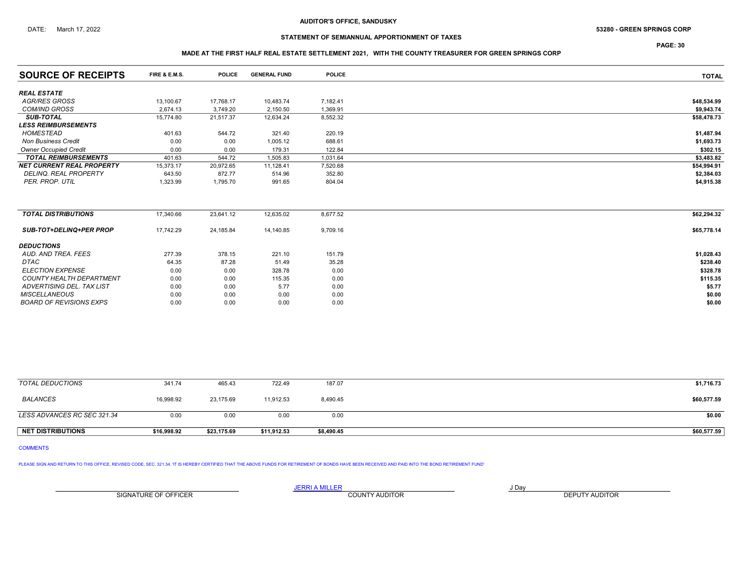### DATE: March 17, 2022 **S3280 - GREEN SPRINGS CORP** 53280 - GREEN SPRINGS CORP

## STATEMENT OF SEMIANNUAL APPORTIONMENT OF TAXES

PAGE: 30

### MADE AT THE FIRST HALF REAL ESTATE SETTLEMENT 2021, WITH THE COUNTY TREASURER FOR GREEN SPRINGS CORP

| <b>SOURCE OF RECEIPTS</b>        | FIRE & E.M.S. | <b>POLICE</b> | <b>GENERAL FUND</b> | <b>POLICE</b> | <b>TOTAL</b> |
|----------------------------------|---------------|---------------|---------------------|---------------|--------------|
| <b>REAL ESTATE</b>               |               |               |                     |               |              |
| <b>AGR/RES GROSS</b>             | 13,100.67     | 17,768.17     | 10,483.74           | 7,182.41      | \$48,534.99  |
| <b>COM/IND GROSS</b>             | 2,674.13      | 3,749.20      | 2,150.50            | 1,369.91      | \$9,943.74   |
| <b>SUB-TOTAL</b>                 | 15,774.80     | 21,517.37     | 12,634.24           | 8,552.32      | \$58,478.73  |
| <b>LESS REIMBURSEMENTS</b>       |               |               |                     |               |              |
| <b>HOMESTEAD</b>                 | 401.63        | 544.72        | 321.40              | 220.19        | \$1,487.94   |
| <b>Non Business Credit</b>       | 0.00          | 0.00          | 1,005.12            | 688.61        | \$1,693.73   |
| <b>Owner Occupied Credit</b>     | 0.00          | 0.00          | 179.31              | 122.84        | \$302.15     |
| <b>TOTAL REIMBURSEMENTS</b>      | 401.63        | 544.72        | 1,505.83            | 1,031.64      | \$3,483.82   |
| <b>NET CURRENT REAL PROPERTY</b> | 15,373.17     | 20,972.65     | 11,128.41           | 7,520.68      | \$54,994.91  |
| <b>DELINQ, REAL PROPERTY</b>     | 643.50        | 872.77        | 514.96              | 352.80        | \$2,384.03   |
| PER. PROP. UTIL                  | 1,323.99      | 1,795.70      | 991.65              | 804.04        | \$4,915.38   |
|                                  |               |               |                     |               |              |
| <b>TOTAL DISTRIBUTIONS</b>       | 17,340.66     | 23,641.12     | 12,635.02           | 8,677.52      | \$62,294.32  |
| <b>SUB-TOT+DELINQ+PER PROP</b>   | 17,742.29     | 24,185.84     | 14,140.85           | 9,709.16      | \$65,778.14  |
| <b>DEDUCTIONS</b>                |               |               |                     |               |              |
| AUD. AND TREA. FEES              | 277.39        | 378.15        | 221.10              | 151.79        | \$1,028.43   |
| DTAC                             | 64.35         | 87.28         | 51.49               | 35.28         | \$238.40     |
| <b>ELECTION EXPENSE</b>          | 0.00          | 0.00          | 328.78              | 0.00          | \$328.78     |
| <b>COUNTY HEALTH DEPARTMENT</b>  | 0.00          | 0.00          | 115.35              | 0.00          | \$115.35     |
| ADVERTISING DEL. TAX LIST        | 0.00          | 0.00          | 5.77                | 0.00          | \$5.77       |
| <b>MISCELLANEOUS</b>             | 0.00          | 0.00          | 0.00                | 0.00          | \$0.00       |
| <b>BOARD OF REVISIONS EXPS</b>   | 0.00          | 0.00          | 0.00                | 0.00          | \$0.00       |

| TOTAL DEDUCTIONS            | 341.74      | 465.43      | 722.49      | 187.07     | \$1,716.73  |
|-----------------------------|-------------|-------------|-------------|------------|-------------|
| BALANCES                    | 16.998.92   | 23,175.69   | 11.912.53   | 8,490.45   | \$60,577.59 |
| LESS ADVANCES RC SEC 321.34 | 0.00        | 0.00        | 0.00        | 0.00       | \$0.00      |
| <b>NET DISTRIBUTIONS</b>    | \$16,998.92 | \$23,175.69 | \$11,912.53 | \$8,490.45 | \$60,577.59 |

```
COMMENTS
```
PLEASE SIGN AND RETURN TO THIS OFFICE, REVISED CODE, SEC. 321.34. 'IT IS HEREBY CERTIFIED THAT THE ABOVE FUNDS FOR RETIREMENT OF BONDS HAVE BEEN RECEIVED AND PAID INTO THE BOND RETIREMENT FUND'

SIGNATURE OF OFFICER **EXECUTE A RELATION COUNTY AUDITOR** COUNTY AUDITOR **DEPUTY AUDITOR** 

<u>JERRI A MILLER COUNTY AUDITOR AND BRITING COUNTY AND BRITING AND THE STATE OF A LIGHT OF A LIGHT OF A LIGHT OF A</u>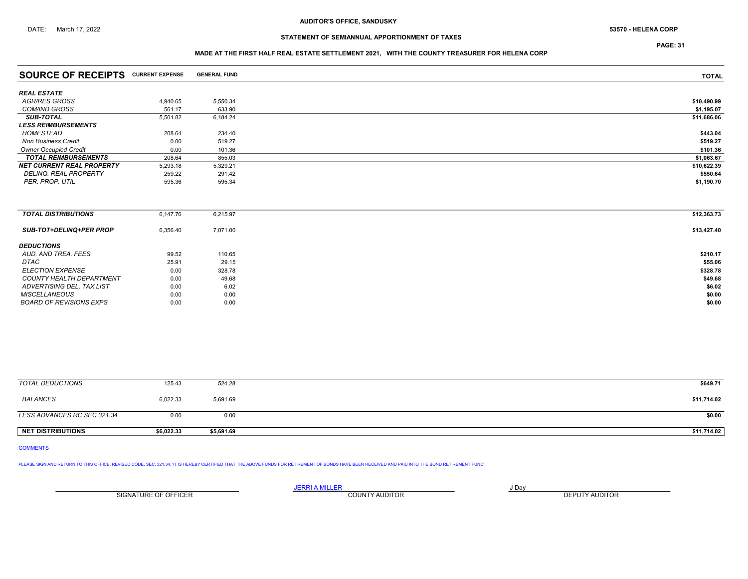## STATEMENT OF SEMIANNUAL APPORTIONMENT OF TAXES

PAGE: 31

### MADE AT THE FIRST HALF REAL ESTATE SETTLEMENT 2021, WITH THE COUNTY TREASURER FOR HELENA CORP

| <b>SOURCE OF RECEIPTS CURRENT EXPENSE</b> |          | <b>GENERAL FUND</b> | <b>TOTAL</b> |
|-------------------------------------------|----------|---------------------|--------------|
|                                           |          |                     |              |
| <b>REAL ESTATE</b>                        |          |                     |              |
| AGR/RES GROSS                             | 4,940.65 | 5,550.34            | \$10,490.99  |
| <b>COM/IND GROSS</b>                      | 561.17   | 633.90              | \$1,195.07   |
| <b>SUB-TOTAL</b>                          | 5,501.82 | 6,184.24            | \$11,686.06  |
| <b>LESS REIMBURSEMENTS</b>                |          |                     |              |
| <b>HOMESTEAD</b>                          | 208.64   | 234.40              | \$443.04     |
| <b>Non Business Credit</b>                | 0.00     | 519.27              | \$519.27     |
| <b>Owner Occupied Credit</b>              | 0.00     | 101.36              | \$101.36     |
| <b>TOTAL REIMBURSEMENTS</b>               | 208.64   | 855.03              | \$1,063.67   |
| <b>NET CURRENT REAL PROPERTY</b>          | 5,293.18 | 5,329.21            | \$10,622.39  |
| DELINQ. REAL PROPERTY                     | 259.22   | 291.42              | \$550.64     |
| PER. PROP. UTIL                           | 595.36   | 595.34              | \$1,190.70   |
|                                           |          |                     |              |
| <b>TOTAL DISTRIBUTIONS</b>                | 6,147.76 | 6,215.97            | \$12,363.73  |
| <b>SUB-TOT+DELINQ+PER PROP</b>            | 6,356.40 | 7,071.00            | \$13,427.40  |
| <b>DEDUCTIONS</b>                         |          |                     |              |
| AUD. AND TREA. FEES                       | 99.52    | 110.65              | \$210.17     |
| DTAC                                      | 25.91    | 29.15               | \$55.06      |
| <b>ELECTION EXPENSE</b>                   | 0.00     | 328.78              | \$328.78     |
| <b>COUNTY HEALTH DEPARTMENT</b>           | 0.00     | 49.68               | \$49.68      |
| ADVERTISING DEL. TAX LIST                 | 0.00     | 6.02                | \$6.02       |
| <b>MISCELLANEOUS</b>                      | 0.00     | 0.00                | \$0.00       |
| <b>BOARD OF REVISIONS EXPS</b>            | 0.00     | 0.00                | \$0.00       |

| TOTAL DEDUCTIONS            | 125.43     | 524.28     | \$649.71    |
|-----------------------------|------------|------------|-------------|
| BALANCES                    | 6,022.33   | 5,691.69   | \$11,714.02 |
| LESS ADVANCES RC SEC 321.34 | 0.00       | 0.00       | \$0.00      |
| <b>NET DISTRIBUTIONS</b>    | \$6,022.33 | \$5,691.69 | \$11,714.02 |

### COMMENTS

PLEASE SIGN AND RETURN TO THIS OFFICE, REVISED CODE, SEC. 321.34. IT IS HEREBY CERTIFIED THAT THE ABOVE FUNDS FOR RETIREMENT OF BONDS HAVE BEEN RECEIVED AND PAID INTO THE BOND RETIREMENT FUND'

<u>JERRI A MILLER COUNTY AUDITOR AND BRITING COUNTY AND BRITING AND THE STATE OF A LIGHT OF A LIGHT OF A LIGHT OF A</u> SIGNATURE OF OFFICER **EXECUTE A RELATION COUNTY AUDITOR** COUNTY AUDITOR **DEPUTY AUDITOR**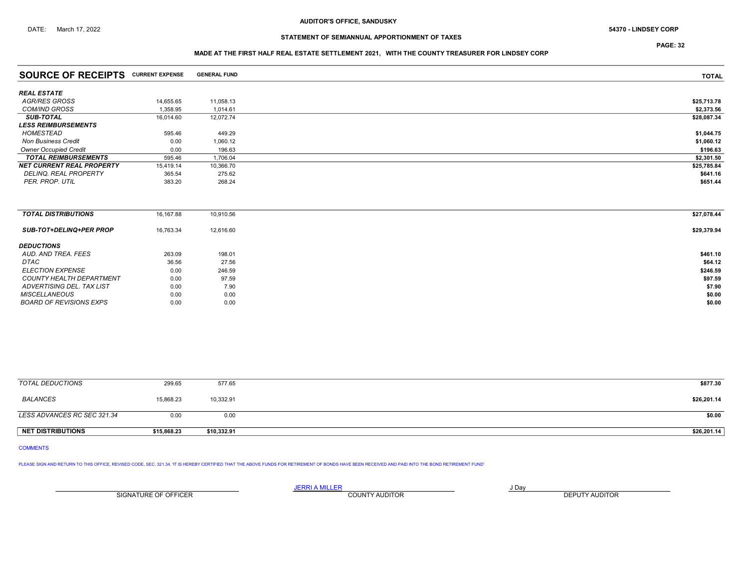## STATEMENT OF SEMIANNUAL APPORTIONMENT OF TAXES

PAGE: 32

### MADE AT THE FIRST HALF REAL ESTATE SETTLEMENT 2021, WITH THE COUNTY TREASURER FOR LINDSEY CORP

| <b>SOURCE OF RECEIPTS CURRENT EXPENSE</b> |           | <b>GENERAL FUND</b> | <b>TOTAL</b> |
|-------------------------------------------|-----------|---------------------|--------------|
| <b>REAL ESTATE</b>                        |           |                     |              |
| AGR/RES GROSS                             | 14,655.65 | 11,058.13           | \$25,713.78  |
| <b>COM/IND GROSS</b>                      | 1,358.95  | 1,014.61            | \$2,373.56   |
| <b>SUB-TOTAL</b>                          | 16,014.60 | 12,072.74           | \$28,087.34  |
| <b>LESS REIMBURSEMENTS</b>                |           |                     |              |
| <b>HOMESTEAD</b>                          | 595.46    | 449.29              | \$1,044.75   |
| <b>Non Business Credit</b>                | 0.00      | 1,060.12            | \$1,060.12   |
| <b>Owner Occupied Credit</b>              | 0.00      | 196.63              | \$196.63     |
| <b>TOTAL REIMBURSEMENTS</b>               | 595.46    | 1.706.04            | \$2,301.50   |
| <b>NET CURRENT REAL PROPERTY</b>          | 15,419.14 | 10,366.70           | \$25,785.84  |
| <b>DELINQ, REAL PROPERTY</b>              | 365.54    | 275.62              | \$641.16     |
| PER. PROP. UTIL                           | 383.20    | 268.24              | \$651.44     |
|                                           |           |                     |              |
| <b>TOTAL DISTRIBUTIONS</b>                | 16,167.88 | 10,910.56           | \$27,078.44  |
| <b>SUB-TOT+DELINQ+PER PROP</b>            | 16,763.34 | 12,616.60           | \$29,379.94  |
| <b>DEDUCTIONS</b>                         |           |                     |              |
| AUD, AND TREA, FEES                       | 263.09    | 198.01              | \$461.10     |
| DTAC                                      | 36.56     | 27.56               | \$64.12      |
| <b>ELECTION EXPENSE</b>                   | 0.00      | 246.59              | \$246.59     |
| <b>COUNTY HEALTH DEPARTMENT</b>           | 0.00      | 97.59               | \$97.59      |
| ADVERTISING DEL. TAX LIST                 | 0.00      | 7.90                | \$7.90       |
| <b>MISCELLANEOUS</b>                      | 0.00      | 0.00                | \$0.00       |
| <b>BOARD OF REVISIONS EXPS</b>            | 0.00      | 0.00                | \$0.00       |

| TOTAL DEDUCTIONS            | 299.65      | 577.65      | \$877.30    |
|-----------------------------|-------------|-------------|-------------|
| BALANCES                    | 15,868.23   | 10,332.91   | \$26,201.14 |
| LESS ADVANCES RC SEC 321.34 | 0.00        | 0.00        | \$0.00      |
| <b>NET DISTRIBUTIONS</b>    | \$15,868.23 | \$10,332.91 | \$26,201.14 |

### COMMENTS

PLEASE SIGN AND RETURN TO THIS OFFICE, REVISED CODE, SEC. 321.34. IT IS HEREBY CERTIFIED THAT THE ABOVE FUNDS FOR RETIREMENT OF BONDS HAVE BEEN RECEIVED AND PAID INTO THE BOND RETIREMENT FUND'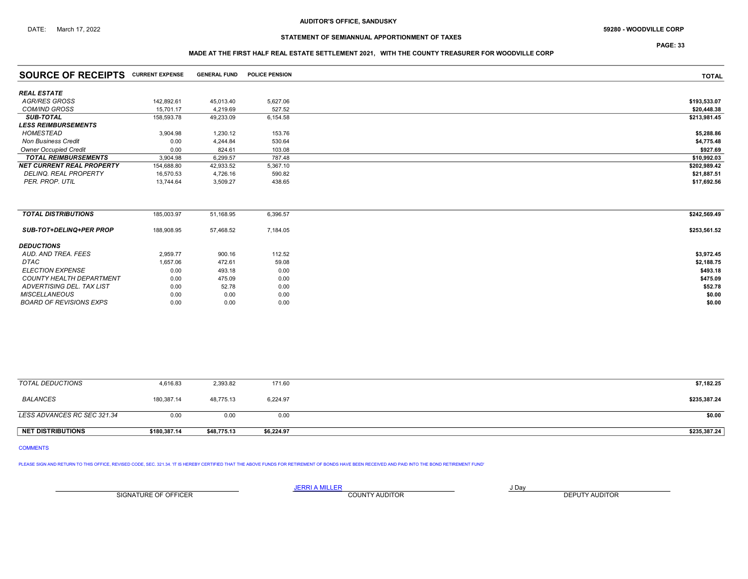## STATEMENT OF SEMIANNUAL APPORTIONMENT OF TAXES

PAGE: 33

## MADE AT THE FIRST HALF REAL ESTATE SETTLEMENT 2021, WITH THE COUNTY TREASURER FOR WOODVILLE CORP

| <b>SOURCE OF RECEIPTS CURRENT EXPENSE</b> |            | <b>GENERAL FUND</b> | <b>POLICE PENSION</b> | <b>TOTAL</b> |
|-------------------------------------------|------------|---------------------|-----------------------|--------------|
| <b>REAL ESTATE</b>                        |            |                     |                       |              |
| <b>AGR/RES GROSS</b>                      | 142,892.61 | 45,013.40           | 5,627.06              | \$193,533.07 |
| <b>COM/IND GROSS</b>                      | 15.701.17  | 4.219.69            | 527.52                | \$20,448.38  |
| <b>SUB-TOTAL</b>                          | 158,593.78 | 49,233.09           | 6,154.58              | \$213,981.45 |
| <b>LESS REIMBURSEMENTS</b>                |            |                     |                       |              |
| <b>HOMESTEAD</b>                          | 3,904.98   | 1,230.12            | 153.76                | \$5,288.86   |
| <b>Non Business Credit</b>                | 0.00       | 4,244.84            | 530.64                | \$4,775.48   |
| <b>Owner Occupied Credit</b>              | 0.00       | 824.61              | 103.08                | \$927.69     |
| <b>TOTAL REIMBURSEMENTS</b>               | 3,904.98   | 6,299.57            | 787.48                | \$10,992.03  |
| <b>NET CURRENT REAL PROPERTY</b>          | 154,688.80 | 42,933.52           | 5,367.10              | \$202,989.42 |
| <b>DELINQ, REAL PROPERTY</b>              | 16,570.53  | 4,726.16            | 590.82                | \$21,887.51  |
| PER. PROP. UTIL                           | 13,744.64  | 3,509.27            | 438.65                | \$17,692.56  |
|                                           |            |                     |                       |              |
| <b>TOTAL DISTRIBUTIONS</b>                | 185,003.97 | 51,168.95           | 6,396.57              | \$242,569.49 |
| <b>SUB-TOT+DELINQ+PER PROP</b>            | 188,908.95 | 57,468.52           | 7,184.05              | \$253,561.52 |
| <b>DEDUCTIONS</b>                         |            |                     |                       |              |
| AUD, AND TREA, FEES                       | 2,959.77   | 900.16              | 112.52                | \$3,972.45   |
| <b>DTAC</b>                               | 1,657.06   | 472.61              | 59.08                 | \$2,188.75   |
| <b>ELECTION EXPENSE</b>                   | 0.00       | 493.18              | 0.00                  | \$493.18     |
| COUNTY HEALTH DEPARTMENT                  | 0.00       | 475.09              | 0.00                  | \$475.09     |
| ADVERTISING DEL. TAX LIST                 | 0.00       | 52.78               | 0.00                  | \$52.78      |
| <b>MISCELLANEOUS</b>                      | 0.00       | 0.00                | 0.00                  | \$0.00       |
| <b>BOARD OF REVISIONS EXPS</b>            | 0.00       | 0.00                | 0.00                  | \$0.00       |
|                                           |            |                     |                       |              |

| TOTAL DEDUCTIONS            | 4,616.83     | 2,393.82    | 171.60     | \$7,182.25   |
|-----------------------------|--------------|-------------|------------|--------------|
| <b>BALANCES</b>             | 180,387.14   | 48,775.13   | 6,224.97   | \$235,387.24 |
| LESS ADVANCES RC SEC 321.34 | 0.00         | 0.00        | 0.00       | \$0.00       |
| <b>NET DISTRIBUTIONS</b>    | \$180,387.14 | \$48,775.13 | \$6,224.97 | \$235,387.24 |

### COMMENTS

PLEASE SIGN AND RETURN TO THIS OFFICE, REVISED CODE, SEC. 321.34. 'IT IS HEREBY CERTIFIED THAT THE ABOVE FUNDS FOR RETIREMENT OF BONDS HAVE BEEN RECEIVED AND PAID INTO THE BOND RETIREMENT FUND'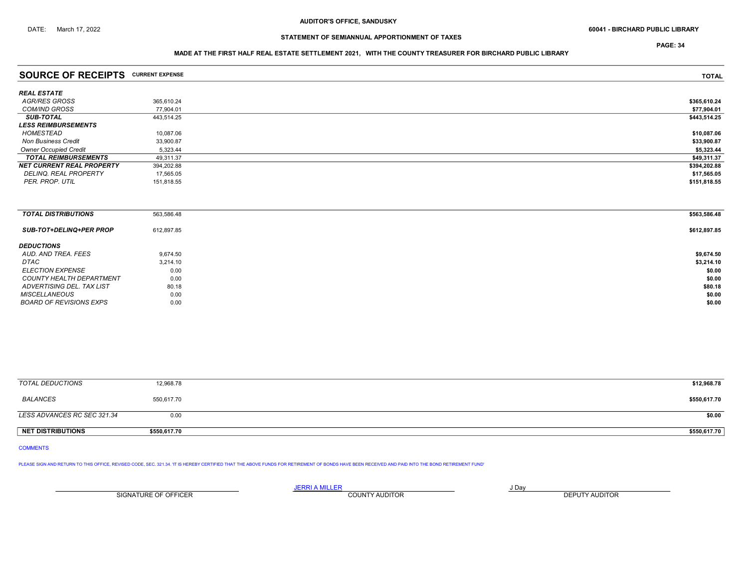PAGE: 34

### MADE AT THE FIRST HALF REAL ESTATE SETTLEMENT 2021, WITH THE COUNTY TREASURER FOR BIRCHARD PUBLIC LIBRARY

| <b>SOURCE OF RECEIPTS CURRENT EXPENSE</b> |            | <b>TOTAL</b> |
|-------------------------------------------|------------|--------------|
| REAL ESTATE                               |            |              |
| AGR/RES GROSS                             | 365.610.24 | \$365,610.24 |
| COM/IND GROSS                             | 77.904.01  | \$77,904.01  |
| SUB-TOTAL                                 | 443.514.25 | \$443,514.25 |
| <i><b>LESS REIMBURSEMENTS</b></i>         |            |              |
| HOMESTEAD                                 | 10,087.06  | \$10,087.06  |
| <b>Non Business Credit</b>                | 33.900.87  | \$33,900.87  |
| <b>Owner Occupied Credit</b>              | 5.323.44   | \$5,323.44   |
| <b>TOTAL REIMBURSEMENTS</b>               | 49,311.37  | \$49,311.37  |
| NET CURRENT REAL PROPERTY                 | 394,202.88 | \$394,202.88 |
| DELINQ. REAL PROPERTY                     | 17,565.05  | \$17,565.05  |
| PER. PROP. UTIL                           | 151,818.55 | \$151,818.55 |
|                                           |            |              |

| <b>TOTAL DISTRIBUTIONS</b>     | 563,586.48 | \$563,586.48 |
|--------------------------------|------------|--------------|
| <b>SUB-TOT+DELINQ+PER PROP</b> | 612,897.85 | \$612,897.85 |
| <b>DEDUCTIONS</b>              |            |              |
| AUD. AND TREA. FEES            | 9.674.50   | \$9,674.50   |
| DTAC                           | 3,214.10   | \$3,214.10   |
| <i>ELECTION EXPENSE</i>        | 0.00       | \$0.00       |
| COUNTY HEALTH DEPARTMENT       | 0.00       | \$0.00       |
| ADVERTISING DEL. TAX LIST      | 80.18      | \$80.18      |
| <b>MISCELLANEOUS</b>           | 0.00       | \$0.00       |
| BOARD OF REVISIONS EXPS        | 0.00       | \$0.00       |

| TOTAL DEDUCTIONS            | 12,968.78    | \$12,968.78  |
|-----------------------------|--------------|--------------|
| BALANCES                    | 550,617.70   | \$550,617.70 |
| LESS ADVANCES RC SEC 321.34 | 0.00         | \$0.00       |
| NET DISTRIBUTIONS           | \$550,617.70 | \$550,617.70 |

COMMENTS

PLEASE SIGN AND RETURN TO THIS OFFICE, REVISED CODE, SEC. 321.34. 'IT IS HEREBY CERTIFIED THAT THE ABOVE FUNDS FOR RETIREMENT OF BONDS HAVE BEEN RECEIVED AND PAID INTO THE BOND RETIREMENT FUND'

<u>JERRI A MILLER COUNTY AUDITOR AND BRITING COUNTY AND BRITING AND THE STATE OF A LIGHT OF A LIGHT OF A LIGHT OF A</u> SIGNATURE OF OFFICER **EXECUTE A RELATION COUNTY AUDITOR** COUNTY AUDITOR **DEPUTY AUDITOR**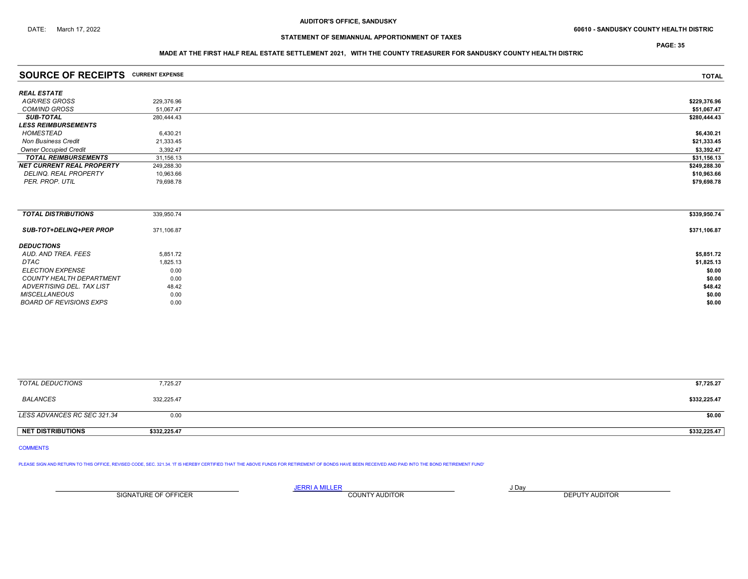PAGE: 35

### MADE AT THE FIRST HALF REAL ESTATE SETTLEMENT 2021, WITH THE COUNTY TREASURER FOR SANDUSKY COUNTY HEALTH DISTRIC

| <b>SOURCE OF RECEIPTS CURRENT EXPENSE</b> |            | <b>TOTAL</b> |
|-------------------------------------------|------------|--------------|
| <b>REAL ESTATE</b>                        |            |              |
| AGR/RES GROSS                             | 229,376.96 | \$229,376.96 |
| <b>COM/IND GROSS</b>                      | 51,067.47  | \$51,067.47  |
| <b>SUB-TOTAL</b>                          | 280,444.43 | \$280,444.43 |
| <b>LESS REIMBURSEMENTS</b>                |            |              |
| HOMESTEAD                                 | 6,430.21   | \$6,430.21   |
| <b>Non Business Credit</b>                | 21,333.45  | \$21,333.45  |
| <b>Owner Occupied Credit</b>              | 3,392.47   | \$3,392.47   |
| <b>TOTAL REIMBURSEMENTS</b>               | 31,156.13  | \$31,156.13  |
| <b>NET CURRENT REAL PROPERTY</b>          | 249,288.30 | \$249,288.30 |
| DELINQ. REAL PROPERTY                     | 10,963.66  | \$10,963.66  |
| PER. PROP. UTIL                           | 79,698.78  | \$79,698.78  |
|                                           |            |              |
| <b>TOTAL DISTRIBUTIONS</b>                | 339,950.74 | \$339,950.74 |
| SUB-TOT+DELINQ+PER PROP                   | 371,106.87 | \$371,106.87 |
| <b>DEDUCTIONS</b>                         |            |              |
| AUD. AND TREA. FEES                       | 5,851.72   | \$5,851.72   |

**DTAC** 51,825.13 \$1,825.13 ELECTION EXPENSE  $0.00$   $0.00$ COUNTY HEALTH DEPARTMENT  $10.00$ <br>ADVERTISING DEL. TAX LIST  $48.42$  \$48.42 ADVERTISING DEL. TAX LIST  $48.42$   $48.42$ MISCELLANEOUS 60.00 60.00 60.00 60.00 60.00 60.00 60.00 60.00 60.00 60.00 60.00 60.00 60.00 60.00 60.00 60.00 60.00 60.00 60.00 60.00 60.00 60.00 60.00 60.00 60.00 60.00 60.00 60.00 60.00 60.00 60.00 60.00 60.00 60.00 60.0 BOARD OF REVISIONS EXPS 0.00 \$0.00

| <b>TOTAL DEDUCTIONS</b>     | 7,725.27   | \$7,725.27   |
|-----------------------------|------------|--------------|
| BALANCES                    | 332,225.47 | \$332,225.47 |
| LESS ADVANCES RC SEC 321.34 | 0.00       | \$0.00       |
|                             |            |              |

NET DISTRIBUTIONS \$332,225.47 \$332,225.47

COMMENTS

PLEASE SIGN AND RETURN TO THIS OFFICE, REVISED CODE, SEC. 321.34. IT IS HEREBY CERTIFIED THAT THE ABOVE FUNDS FOR RETIREMENT OF BONDS HAVE BEEN RECEIVED AND PAID INTO THE BOND RETIREMENT FUND'

JERRI A MILLER JUNEAU AND DAY SIGNATURE OF OFFICER **EXECUTE A THE SIGNATURE OF OFFICER** COUNTY AUDITOR **DEPUTY AUDITOR**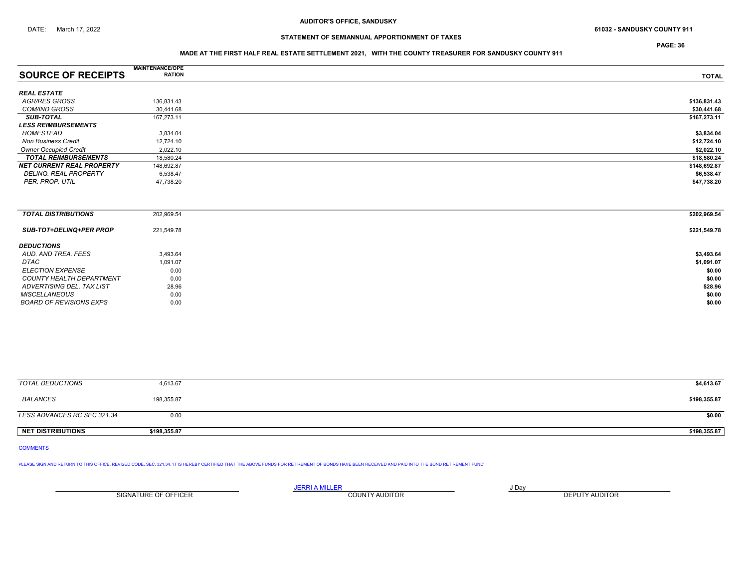PAGE: 36

### MADE AT THE FIRST HALF REAL ESTATE SETTLEMENT 2021, WITH THE COUNTY TREASURER FOR SANDUSKY COUNTY 911

|                                  | <b>MAINTENANCE/OPE</b> |              |
|----------------------------------|------------------------|--------------|
| <b>SOURCE OF RECEIPTS</b>        | <b>RATION</b>          | <b>TOTAL</b> |
| <b>REAL ESTATE</b>               |                        |              |
|                                  |                        |              |
| AGR/RES GROSS                    | 136,831.43             | \$136,831.43 |
| <b>COM/IND GROSS</b>             | 30,441.68              | \$30,441.68  |
| <b>SUB-TOTAL</b>                 | 167,273.11             | \$167,273.11 |
| <b>LESS REIMBURSEMENTS</b>       |                        |              |
| HOMESTEAD                        | 3,834.04               | \$3,834.04   |
| <b>Non Business Credit</b>       | 12,724.10              | \$12,724.10  |
| <b>Owner Occupied Credit</b>     | 2,022.10               | \$2,022.10   |
| <b>TOTAL REIMBURSEMENTS</b>      | 18,580.24              | \$18,580.24  |
| <b>NET CURRENT REAL PROPERTY</b> | 148,692.87             | \$148,692.87 |
| DELINQ. REAL PROPERTY            | 6,538.47               | \$6,538.47   |
| PER. PROP. UTIL                  | 47,738.20              | \$47,738.20  |
|                                  |                        |              |
|                                  |                        |              |
| <b>TOTAL DISTRIBUTIONS</b>       | 202,969.54             | \$202,969.54 |
|                                  |                        |              |

| <b>SUB-TOT+DELINQ+PER PROP</b>  | 221,549.78 | \$221,549.78 |
|---------------------------------|------------|--------------|
| <b>DEDUCTIONS</b>               |            |              |
| AUD. AND TREA. FEES             | 3.493.64   | \$3,493.64   |
| DTAC                            | 1,091.07   | \$1,091.07   |
| <b>ELECTION EXPENSE</b>         | 0.00       | \$0.00       |
| <b>COUNTY HEALTH DEPARTMENT</b> | 0.00       | \$0.00       |
| ADVERTISING DEL. TAX LIST       | 28.96      | \$28.96      |
| MISCELLANEOUS                   | 0.00       | \$0.00       |
| BOARD OF REVISIONS EXPS         | 0.00       | \$0.00       |

| TOTAL DEDUCTIONS            | 4,613.67     | \$4,613.67   |
|-----------------------------|--------------|--------------|
| BALANCES                    | 198,355.87   | \$198,355.87 |
| LESS ADVANCES RC SEC 321.34 | 0.00         | \$0.00       |
| <b>NET DISTRIBUTIONS</b>    | \$198,355.87 | \$198,355.87 |

COMMENTS

PLEASE SIGN AND RETURN TO THIS OFFICE, REVISED CODE, SEC. 321.34. IT IS HEREBY CERTIFIED THAT THE ABOVE FUNDS FOR RETIREMENT OF BONDS HAVE BEEN RECEIVED AND PAID INTO THE BOND RETIREMENT FUND'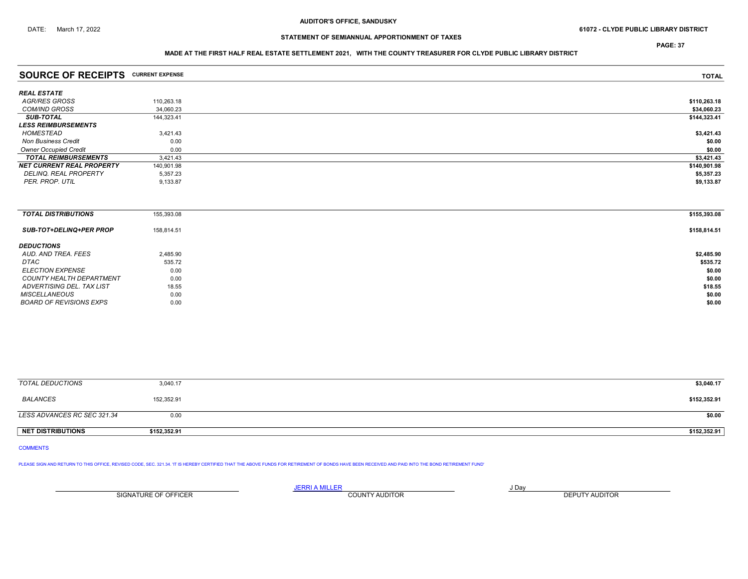PAGE: 37

### MADE AT THE FIRST HALF REAL ESTATE SETTLEMENT 2021, WITH THE COUNTY TREASURER FOR CLYDE PUBLIC LIBRARY DISTRICT

| <b>SOURCE OF RECEIPTS CURRENT EXPENSE</b> |            | <b>TOTAL</b> |
|-------------------------------------------|------------|--------------|
| <b>REAL ESTATE</b>                        |            |              |
| AGR/RES GROSS                             | 110,263.18 | \$110,263.18 |
| <b>COM/IND GROSS</b>                      | 34,060.23  | \$34,060.23  |
| <b>SUB-TOTAL</b>                          | 144,323.41 | \$144,323.41 |
| <b>LESS REIMBURSEMENTS</b>                |            |              |
| HOMESTEAD                                 | 3,421.43   | \$3,421.43   |
| <b>Non Business Credit</b>                | 0.00       | \$0.00       |
| <b>Owner Occupied Credit</b>              | 0.00       | \$0.00       |
| <b>TOTAL REIMBURSEMENTS</b>               | 3,421.43   | \$3,421.43   |
| <b>NET CURRENT REAL PROPERTY</b>          | 140,901.98 | \$140,901.98 |
| DELINQ. REAL PROPERTY                     | 5,357.23   | \$5,357.23   |
| PER. PROP. UTIL                           | 9,133.87   | \$9,133.87   |
|                                           |            |              |
| <b>TOTAL DISTRIBUTIONS</b>                | 155,393.08 | \$155,393.08 |
| <b>SUB-TOT+DELINQ+PER PROP</b>            | 158,814.51 | \$158,814.51 |
| <b>DEDUCTIONS</b>                         |            |              |
| AUD. AND TREA. FEES                       | 2,485.90   | \$2,485.90   |
| DTAC                                      | 535.72     | \$535.72     |
| <b>ELECTION EXPENSE</b>                   | 0.00       | \$0.00       |
| COUNTY HEALTH DEPARTMENT                  | 0.00       | \$0.00       |

ADVERTISING DEL. TAX LIST 18.55 \$18.55 \$18.55 \$18.55 \$18.55 \$18.55 \$18.55 \$18.55 \$18.55 \$18.55 \$18.55 \$18.55 \$ MISCELLANEOUS 60.00 60.00 60.00 60.00 60.00 60.00 60.00 60.00 60.00 60.00 60.00 60.00 60.00 60.00 60.00 60.00 60.00 60.00 60.00 60.00 60.00 60.00 60.00 60.00 60.00 60.00 60.00 60.00 60.00 60.00 60.00 60.00 60.00 60.00 60.0 BOARD OF REVISIONS EXPS 0.00 \$0.00

| TOTAL DEDUCTIONS            | 3,040.17     | \$3,040.17   |
|-----------------------------|--------------|--------------|
| BALANCES                    | 152,352.91   | \$152,352.91 |
| LESS ADVANCES RC SEC 321.34 | 0.00         | \$0.00       |
| <b>NET DISTRIBUTIONS</b>    | \$152,352.91 | \$152,352.91 |

COMMENTS

PLEASE SIGN AND RETURN TO THIS OFFICE, REVISED CODE, SEC. 321.34. IT IS HEREBY CERTIFIED THAT THE ABOVE FUNDS FOR RETIREMENT OF BONDS HAVE BEEN RECEIVED AND PAID INTO THE BOND RETIREMENT FUND'

<u>JERRI A MILLER</u> JOAY AND A DAY SIGNATURE OF OFFICER **EXECUTE A RELATION COUNTY AUDITOR** COUNTY AUDITOR **DEPUTY AUDITOR**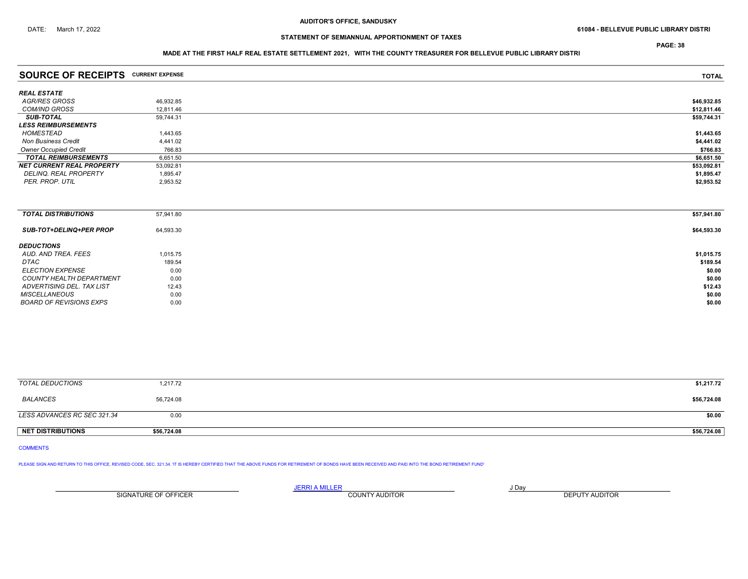PAGE: 38

### MADE AT THE FIRST HALF REAL ESTATE SETTLEMENT 2021, WITH THE COUNTY TREASURER FOR BELLEVUE PUBLIC LIBRARY DISTRI

| <b>SOURCE OF RECEIPTS CURRENT EXPENSE</b> |           | <b>TOTAL</b> |
|-------------------------------------------|-----------|--------------|
| <b>REAL ESTATE</b>                        |           |              |
| AGR/RES GROSS                             | 46,932.85 | \$46,932.85  |
| <b>COM/IND GROSS</b>                      | 12,811.46 | \$12,811.46  |
| <b>SUB-TOTAL</b>                          | 59,744.31 | \$59,744.31  |
| <b>LESS REIMBURSEMENTS</b>                |           |              |
| HOMESTEAD                                 | 1,443.65  | \$1,443.65   |
| <b>Non Business Credit</b>                | 4.441.02  | \$4,441.02   |
| <b>Owner Occupied Credit</b>              | 766.83    | \$766.83     |
| <b>TOTAL REIMBURSEMENTS</b>               | 6,651.50  | \$6,651.50   |
| <b>NET CURRENT REAL PROPERTY</b>          | 53,092.81 | \$53,092.81  |
| DELINQ. REAL PROPERTY                     | 1,895.47  | \$1,895.47   |
| PER. PROP. UTIL                           | 2,953.52  | \$2,953.52   |
|                                           |           |              |
| <b>TOTAL DISTRIBUTIONS</b>                | 57,941.80 | \$57,941.80  |
| SUB-TOT+DELINQ+PER PROP                   | 64,593.30 | \$64,593.30  |
| <b>DEDUCTIONS</b>                         |           |              |
| AUD. AND TREA. FEES                       | 1,015.75  | \$1,015.75   |
| DTAC                                      | 189.54    | \$189.54     |
| <b>ELECTION EXPENSE</b>                   | 0.00      | \$0.00       |
| COUNTY HEALTH DEPARTMENT                  | 0.00      | \$0.00       |

ADVERTISING DEL. TAX LIST 12.43 \$12.43 \$12.43 MISCELLANEOUS 60.00 60.00 60.00 60.00 60.00 60.00 60.00 60.00 60.00 60.00 60.00 60.00 60.00 60.00 60.00 60.00 60.00 60.00 60.00 60.00 60.00 60.00 60.00 60.00 60.00 60.00 60.00 60.00 60.00 60.00 60.00 60.00 60.00 60.00 60.0 BOARD OF REVISIONS EXPS 0.00 \$0.00

| TOTAL DEDUCTIONS            | 1,217.72    | \$1,217.72  |
|-----------------------------|-------------|-------------|
| <b>BALANCES</b>             | 56,724.08   | \$56,724.08 |
| LESS ADVANCES RC SEC 321.34 | 0.00        | \$0.00      |
| NET DISTRIBUTIONS           | \$56,724.08 | \$56,724.08 |

COMMENTS

PLEASE SIGN AND RETURN TO THIS OFFICE, REVISED CODE, SEC. 321.34. IT IS HEREBY CERTIFIED THAT THE ABOVE FUNDS FOR RETIREMENT OF BONDS HAVE BEEN RECEIVED AND PAID INTO THE BOND RETIREMENT FUND'

SIGNATURE OF OFFICER **EXECUTS A TELEPHONE COUNTY AUDITOR DEPUTY AUDITOR DEPUTY AUDITOR** 

JERRI A MILLER JUNIOR AND A SERVICE STATE AND A SUBSET OF A SUBSET OF A SUBSET OF A SUBSET OF A SUBSET OF A SU